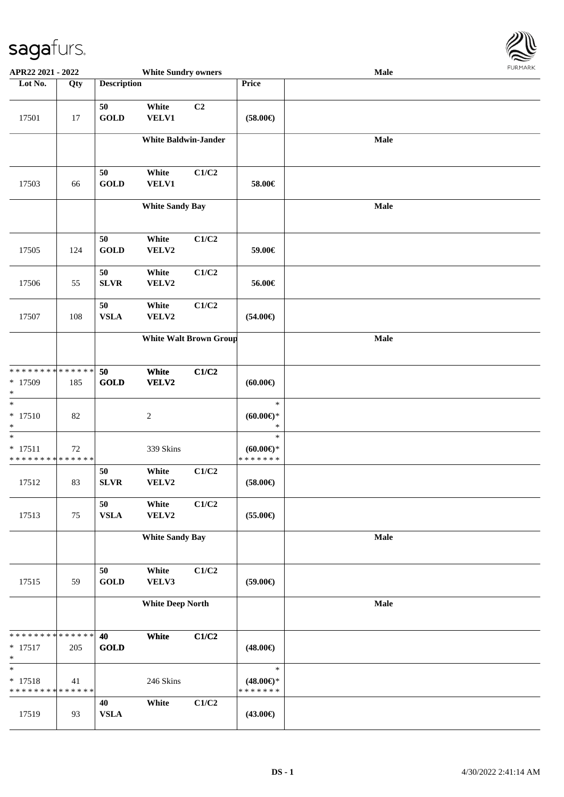

| APR22 2021 - 2022                                  |     |                    | <b>White Sundry owners</b>  |                               |                                                | Male        | <b>FURITARR</b> |
|----------------------------------------------------|-----|--------------------|-----------------------------|-------------------------------|------------------------------------------------|-------------|-----------------|
| Lot No.                                            | Qty | <b>Description</b> |                             |                               | Price                                          |             |                 |
| 17501                                              | 17  | 50<br><b>GOLD</b>  | White<br>VELV1              | C <sub>2</sub>                | $(58.00\epsilon)$                              |             |                 |
|                                                    |     |                    | <b>White Baldwin-Jander</b> |                               |                                                | <b>Male</b> |                 |
| 17503                                              | 66  | 50<br><b>GOLD</b>  | White<br><b>VELV1</b>       | C1/C2                         | 58.00€                                         |             |                 |
|                                                    |     |                    | <b>White Sandy Bay</b>      |                               |                                                | <b>Male</b> |                 |
| 17505                                              | 124 | 50<br><b>GOLD</b>  | White<br>VELV2              | C1/C2                         | 59.00€                                         |             |                 |
| 17506                                              | 55  | 50<br><b>SLVR</b>  | White<br>VELV2              | C1/C2                         | 56.00€                                         |             |                 |
| 17507                                              | 108 | 50<br><b>VSLA</b>  | White<br>VELV2              | C1/C2                         | $(54.00\epsilon)$                              |             |                 |
|                                                    |     |                    |                             | <b>White Walt Brown Group</b> |                                                | Male        |                 |
| * * * * * * * * * * * * * *<br>* 17509<br>$\ast$   | 185 | 50<br><b>GOLD</b>  | White<br>VELV2              | C1/C2                         | (60.00)                                        |             |                 |
| $\overline{\ast}$<br>$* 17510$<br>$\ast$           | 82  |                    | $\sqrt{2}$                  |                               | $\ast$<br>$(60.00\epsilon)$ *<br>$\ast$        |             |                 |
| $\ast$<br>$* 17511$<br>* * * * * * * * * * * * * * | 72  |                    | 339 Skins                   |                               | $\ast$<br>$(60.00ε)$ *<br>*******              |             |                 |
| 17512                                              | 83  | 50<br><b>SLVR</b>  | White<br>VELV2              | C1/C2                         | $(58.00\epsilon)$                              |             |                 |
| 17513                                              | 75  | 50<br><b>VSLA</b>  | White<br>VELV2              | C1/C2                         | $(55.00\epsilon)$                              |             |                 |
|                                                    |     |                    | <b>White Sandy Bay</b>      |                               |                                                | Male        |                 |
| 17515                                              | 59  | 50<br><b>GOLD</b>  | White<br>VELV3              | C1/C2                         | $(59.00\epsilon)$                              |             |                 |
|                                                    |     |                    | <b>White Deep North</b>     |                               |                                                | Male        |                 |
| * * * * * * * * * * * * * *<br>$* 17517$<br>$\ast$ | 205 | 40<br><b>GOLD</b>  | White                       | C1/C2                         | $(48.00\epsilon)$                              |             |                 |
| $\ast$<br>$* 17518$<br>* * * * * * * * * * * * * * | 41  |                    | 246 Skins                   |                               | $\ast$<br>$(48.00\epsilon)$ *<br>* * * * * * * |             |                 |
| 17519                                              | 93  | 40<br><b>VSLA</b>  | White                       | C1/C2                         | $(43.00\epsilon)$                              |             |                 |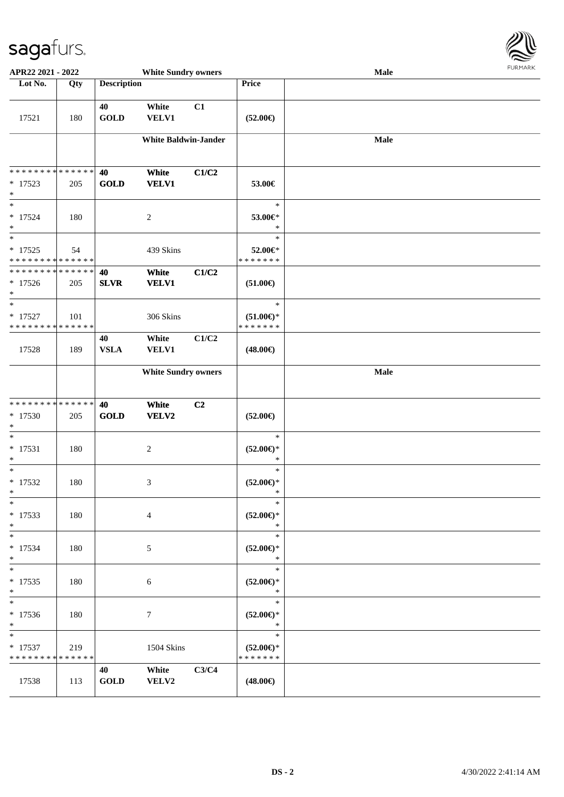

| APR22 2021 - 2022                                             |     |                    | <b>White Sundry owners</b>  |       |                                                | Male |  |
|---------------------------------------------------------------|-----|--------------------|-----------------------------|-------|------------------------------------------------|------|--|
| Lot No.                                                       | Qty | <b>Description</b> |                             |       | Price                                          |      |  |
| 17521                                                         | 180 | 40<br><b>GOLD</b>  | White<br><b>VELV1</b>       | C1    | $(52.00\epsilon)$                              |      |  |
|                                                               |     |                    | <b>White Baldwin-Jander</b> |       |                                                | Male |  |
| * * * * * * * * * * * * * *<br>$* 17523$<br>$\ast$            | 205 | 40<br><b>GOLD</b>  | White<br><b>VELV1</b>       | C1/C2 | 53.00€                                         |      |  |
| $\ast$<br>$* 17524$<br>$\ast$                                 | 180 |                    | $\overline{2}$              |       | $\ast$<br>53.00€*<br>$\ast$                    |      |  |
| $\overline{\ast}$<br>$* 17525$<br>* * * * * * * * * * * * * * | 54  |                    | 439 Skins                   |       | $\ast$<br>52.00€*<br>* * * * * * *             |      |  |
| * * * * * * * * * * * * * *<br>$* 17526$<br>$*$               | 205 | 40<br><b>SLVR</b>  | White<br><b>VELV1</b>       | C1/C2 | $(51.00\epsilon)$                              |      |  |
| $\ast$<br>$* 17527$<br>* * * * * * * * * * * * * *            | 101 |                    | 306 Skins                   |       | $\ast$<br>$(51.00\epsilon)$ *<br>* * * * * * * |      |  |
| 17528                                                         | 189 | 40<br><b>VSLA</b>  | White<br><b>VELV1</b>       | C1/C2 | $(48.00\epsilon)$                              |      |  |
|                                                               |     |                    | <b>White Sundry owners</b>  |       |                                                | Male |  |
| * * * * * * * * * * * * * *<br>$* 17530$<br>$*$               | 205 | 40<br><b>GOLD</b>  | White<br>VELV2              | C2    | $(52.00\epsilon)$                              |      |  |
| $*$<br>$* 17531$<br>$\ast$                                    | 180 |                    | $\sqrt{2}$                  |       | $\ast$<br>$(52.00\epsilon)$ *<br>$\ast$        |      |  |
| $\ast$<br>$* 17532$<br>$*$                                    | 180 |                    | 3                           |       | $\ast$<br>$(52.00\epsilon)$ *<br>$\ast$        |      |  |
| $\ast$<br>$* 17533$<br>$*$                                    | 180 |                    | $\overline{4}$              |       | $\ast$<br>$(52.00\epsilon)$ *<br>$\ast$        |      |  |
| $*$<br>$* 17534$<br>$*$                                       | 180 |                    | 5                           |       | $\ast$<br>$(52.00\epsilon)$ *<br>$\ast$        |      |  |
| $*$<br>$* 17535$<br>$*$<br>$\overline{\ }$                    | 180 |                    | 6                           |       | $\ast$<br>$(52.00\epsilon)$ *<br>$\ast$        |      |  |
| * 17536<br>$*$                                                | 180 |                    | 7                           |       | $\ast$<br>$(52.00\epsilon)$ *<br>$\ast$        |      |  |
| $*$<br>$* 17537$<br>* * * * * * * * * * * * * *               | 219 |                    | 1504 Skins                  |       | $\ast$<br>$(52.00\epsilon)$ *<br>* * * * * * * |      |  |
| 17538                                                         | 113 | 40<br><b>GOLD</b>  | White<br>VELV2              | C3/C4 | $(48.00\epsilon)$                              |      |  |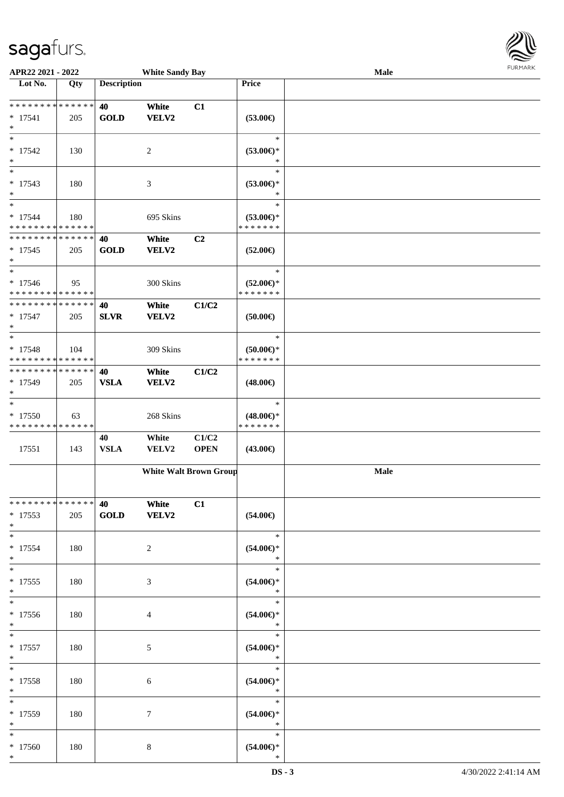

| APR22 2021 - 2022                                  |     |                    | <b>White Sandy Bay</b> |                               |                                                | Male | <b>FUNITANN</b> |
|----------------------------------------------------|-----|--------------------|------------------------|-------------------------------|------------------------------------------------|------|-----------------|
| Lot No.                                            | Qty | <b>Description</b> |                        |                               | Price                                          |      |                 |
| **************<br>$* 17541$<br>$\ast$              | 205 | 40<br><b>GOLD</b>  | White<br><b>VELV2</b>  | C1                            | $(53.00\epsilon)$                              |      |                 |
| $\ast$<br>$* 17542$<br>$\ast$                      | 130 |                    | 2                      |                               | $\ast$<br>$(53.00\epsilon)$ *<br>$\ast$        |      |                 |
| $\overline{\ast}$<br>$* 17543$<br>$\ast$           | 180 |                    | 3                      |                               | $\ast$<br>$(53.00\epsilon)$ *                  |      |                 |
| $\ast$<br>$* 17544$<br>* * * * * * * * * * * * * * | 180 |                    | 695 Skins              |                               | $\ast$<br>$(53.00\epsilon)$ *<br>* * * * * * * |      |                 |
| * * * * * * * * * * * * * *<br>$* 17545$<br>$\ast$ | 205 | 40<br><b>GOLD</b>  | White<br><b>VELV2</b>  | C <sub>2</sub>                | $(52.00\epsilon)$                              |      |                 |
| $\ast$<br>$* 17546$<br>* * * * * * * * * * * * * * | 95  |                    | 300 Skins              |                               | $\ast$<br>$(52.00\epsilon)$ *<br>* * * * * * * |      |                 |
| **************<br>$* 17547$<br>$\ast$              | 205 | 40<br><b>SLVR</b>  | White<br><b>VELV2</b>  | C1/C2                         | (50.00)                                        |      |                 |
| $\ast$<br>$* 17548$<br>* * * * * * * * * * * * * * | 104 |                    | 309 Skins              |                               | $\ast$<br>$(50.00)$ *<br>* * * * * * *         |      |                 |
| * * * * * * * * * * * * * *<br>* 17549<br>$\ast$   | 205 | 40<br><b>VSLA</b>  | White<br><b>VELV2</b>  | C1/C2                         | $(48.00\epsilon)$                              |      |                 |
| $\ast$<br>* 17550<br>* * * * * * * * * * * * * *   | 63  |                    | 268 Skins              |                               | $\ast$<br>$(48.00\epsilon)$ *<br>* * * * * * * |      |                 |
| 17551                                              | 143 | 40<br><b>VSLA</b>  | White<br>VELV2         | C1/C2<br><b>OPEN</b>          | $(43.00\epsilon)$                              |      |                 |
|                                                    |     |                    |                        | <b>White Walt Brown Group</b> |                                                | Male |                 |
| * * * * * * * * * * * * * *<br>$* 17553$<br>$*$    | 205 | 40<br><b>GOLD</b>  | White<br>VELV2         | C1                            | $(54.00\epsilon)$                              |      |                 |
| $\ast$<br>$* 17554$<br>$\ast$                      | 180 |                    | 2                      |                               | $\ast$<br>$(54.00ε)$ *<br>$\ast$               |      |                 |
| $\ast$<br>$* 17555$<br>$\ast$                      | 180 |                    | 3                      |                               | $\ast$<br>$(54.00ε)$ *<br>$\ast$               |      |                 |
| $\ast$<br>* 17556<br>$*$                           | 180 |                    | 4                      |                               | $\ast$<br>$(54.00ε)$ *<br>$\ast$               |      |                 |
| $\ast$<br>$* 17557$<br>$*$                         | 180 |                    | 5                      |                               | $\ast$<br>$(54.00\epsilon)$ *<br>$\ast$        |      |                 |
| $\ast$<br>$* 17558$<br>$*$                         | 180 |                    | $\sqrt{6}$             |                               | $\ast$<br>$(54.00ε)$ *<br>$\ast$               |      |                 |
| $\ast$<br>$* 17559$<br>$\ast$                      | 180 |                    | $\tau$                 |                               | $\ast$<br>$(54.00ε)$ *<br>$\ast$               |      |                 |
| $\ast$<br>$*17560$<br>$*$                          | 180 |                    | 8                      |                               | $\ast$<br>$(54.00\epsilon)$ *<br>$\ast$        |      |                 |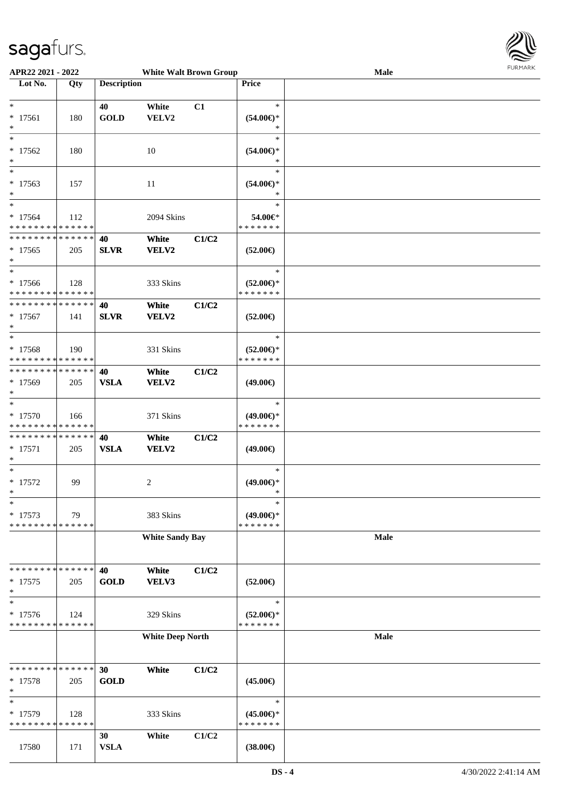

| APR22 2021 - 2022                                                          |     |                    | <b>White Walt Brown Group</b> |       |                                                | <b>Male</b> | FURMARK |
|----------------------------------------------------------------------------|-----|--------------------|-------------------------------|-------|------------------------------------------------|-------------|---------|
| Lot No.                                                                    | Qty | <b>Description</b> |                               |       | Price                                          |             |         |
| $*$<br>$* 17561$<br>$\ast$                                                 | 180 | 40<br><b>GOLD</b>  | White<br>VELV2                | C1    | $\ast$<br>$(54.00\epsilon)$ *<br>$\ast$        |             |         |
| $*$<br>$* 17562$<br>$*$                                                    | 180 |                    | 10                            |       | $\ast$<br>$(54.00\epsilon)$ *<br>$\ast$        |             |         |
| $*$<br>$* 17563$<br>$\ast$                                                 | 157 |                    | 11                            |       | $\ast$<br>$(54.00\epsilon)$ *<br>$\ast$        |             |         |
| $*$<br>$* 17564$<br>* * * * * * * * * * * * * *                            | 112 |                    | 2094 Skins                    |       | $\ast$<br>54.00€*<br>* * * * * * *             |             |         |
| * * * * * * * * * * * * * * *<br>$*17565$<br>$*$                           | 205 | 40<br><b>SLVR</b>  | White<br>VELV2                | C1/C2 | $(52.00\epsilon)$                              |             |         |
| $*$<br>* 17566<br>* * * * * * * * * * * * * *                              | 128 |                    | 333 Skins                     |       | $\ast$<br>$(52.00\epsilon)$ *<br>* * * * * * * |             |         |
| * * * * * * * * * * * * * * *<br>$*17567$<br>$*$                           | 141 | 40<br><b>SLVR</b>  | White<br><b>VELV2</b>         | C1/C2 | $(52.00\epsilon)$                              |             |         |
| $\overline{\ }$<br>$* 17568$<br>* * * * * * * * * * * * * *                | 190 |                    | 331 Skins                     |       | $\ast$<br>$(52.00\epsilon)$ *<br>* * * * * * * |             |         |
| * * * * * * * * * * * * * *<br>* 17569<br>$\ast$                           | 205 | 40<br><b>VSLA</b>  | White<br>VELV2                | C1/C2 | $(49.00\epsilon)$                              |             |         |
| $*$<br>$*17570$<br>* * * * * * * * * * * * * *                             | 166 |                    | 371 Skins                     |       | $\ast$<br>$(49.00\epsilon)$ *<br>*******       |             |         |
| * * * * * * * * <mark>* * * * * *</mark><br>$* 17571$<br>$*$               | 205 | 40<br><b>VSLA</b>  | White<br><b>VELV2</b>         | C1/C2 | $(49.00\epsilon)$                              |             |         |
| $*$<br>$* 17572$<br>*                                                      | 99  |                    | 2                             |       | $\ast$<br>$(49.00\epsilon)$ *<br>∗             |             |         |
| $\overline{\ast}$<br>* 17573<br>* * * * * * * * <mark>* * * * * * *</mark> | 79  |                    | 383 Skins                     |       | $\ast$<br>$(49.00\epsilon)$ *<br>* * * * * * * |             |         |
|                                                                            |     |                    | <b>White Sandy Bay</b>        |       |                                                | Male        |         |
| * * * * * * * * <mark>* * * * * *</mark><br>$* 17575$<br>$\ast$            | 205 | 40<br><b>GOLD</b>  | White<br>VELV3                | C1/C2 | $(52.00\epsilon)$                              |             |         |
| $*$<br>$* 17576$<br>* * * * * * * * * * * * * *                            | 124 |                    | 329 Skins                     |       | $\ast$<br>$(52.00\epsilon)$ *<br>* * * * * * * |             |         |
|                                                                            |     |                    | <b>White Deep North</b>       |       |                                                | Male        |         |
| * * * * * * * * <mark>* * * * * * *</mark><br>$* 17578$<br>$\ast$          | 205 | 30<br><b>GOLD</b>  | White                         | C1/C2 | $(45.00\epsilon)$                              |             |         |
| $\ast$<br>* 17579<br>* * * * * * * * * * * * * *                           | 128 |                    | 333 Skins                     |       | $\ast$<br>$(45.00\epsilon)$ *<br>* * * * * * * |             |         |
| 17580                                                                      | 171 | 30<br><b>VSLA</b>  | White                         | C1/C2 | $(38.00\epsilon)$                              |             |         |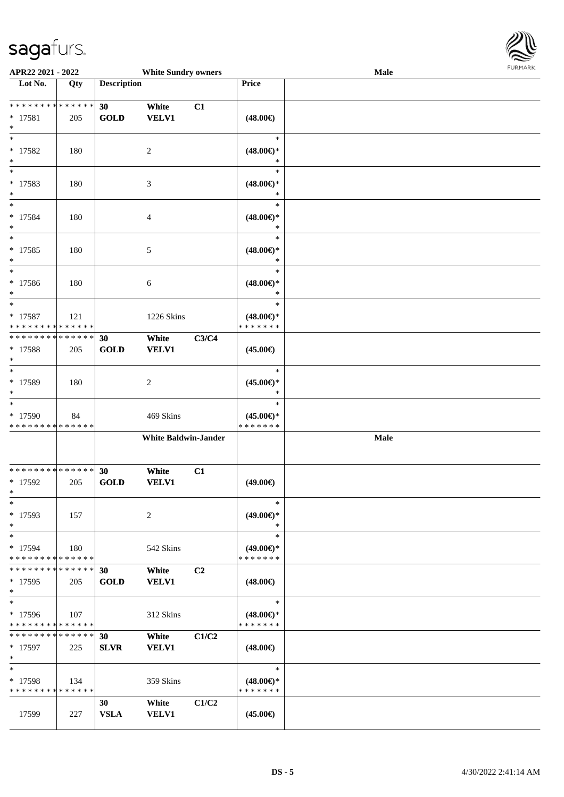

| APR22 2021 - 2022                          |       |                    | <b>White Sundry owners</b>  |                |                                      | Male |  |
|--------------------------------------------|-------|--------------------|-----------------------------|----------------|--------------------------------------|------|--|
| Lot No.                                    | Qty   | <b>Description</b> |                             |                | <b>Price</b>                         |      |  |
|                                            |       |                    |                             |                |                                      |      |  |
| * * * * * * * * * * * * * *                |       | 30                 | White                       | C1             |                                      |      |  |
| $* 17581$                                  | 205   | <b>GOLD</b>        | <b>VELV1</b>                |                | $(48.00\epsilon)$                    |      |  |
| $\ast$                                     |       |                    |                             |                |                                      |      |  |
| $\ast$                                     |       |                    |                             |                | $\ast$                               |      |  |
| $* 17582$                                  | 180   |                    | 2                           |                | $(48.00\epsilon)$ *                  |      |  |
| $*$<br>$*$                                 |       |                    |                             |                | $\ast$<br>$\ast$                     |      |  |
| * 17583                                    | 180   |                    |                             |                |                                      |      |  |
| $\ast$                                     |       |                    | 3                           |                | $(48.00\epsilon)$ *<br>$\ast$        |      |  |
| $\overline{\ast}$                          |       |                    |                             |                | $\ast$                               |      |  |
| * 17584                                    | 180   |                    | 4                           |                | $(48.00\epsilon)$ *                  |      |  |
| $\ast$                                     |       |                    |                             |                | $\ast$                               |      |  |
| $\ast$                                     |       |                    |                             |                | $\ast$                               |      |  |
| $* 17585$                                  | 180   |                    | 5                           |                | $(48.00\epsilon)$ *                  |      |  |
| $*$                                        |       |                    |                             |                | $\ast$                               |      |  |
| $*$                                        |       |                    |                             |                | $\ast$                               |      |  |
| $* 17586$                                  | 180   |                    | 6                           |                | $(48.00\epsilon)$ *                  |      |  |
| $*$                                        |       |                    |                             |                | $\ast$                               |      |  |
| $*$                                        |       |                    |                             |                | $\ast$                               |      |  |
| $* 17587$                                  | 121   |                    | 1226 Skins                  |                | $(48.00\epsilon)$ *                  |      |  |
| * * * * * * * * <mark>* * * * * * *</mark> |       |                    |                             |                | * * * * * * *                        |      |  |
| * * * * * * * * * * * * * * *              |       | 30                 | White                       | C3/C4          |                                      |      |  |
| * 17588                                    | 205   | <b>GOLD</b>        | <b>VELV1</b>                |                | $(45.00\epsilon)$                    |      |  |
| $\ast$<br>$\ast$                           |       |                    |                             |                |                                      |      |  |
|                                            |       |                    |                             |                | $\ast$                               |      |  |
| * 17589<br>$*$                             | 180   |                    | 2                           |                | $(45.00\epsilon)$ *<br>$\ast$        |      |  |
| $*$                                        |       |                    |                             |                | $\ast$                               |      |  |
| * 17590                                    | 84    |                    | 469 Skins                   |                | $(45.00\epsilon)$ *                  |      |  |
| * * * * * * * * <mark>* * * * * * *</mark> |       |                    |                             |                | * * * * * * *                        |      |  |
|                                            |       |                    | <b>White Baldwin-Jander</b> |                |                                      | Male |  |
|                                            |       |                    |                             |                |                                      |      |  |
|                                            |       |                    |                             |                |                                      |      |  |
| * * * * * * * * * * * * * * *              |       | 30                 | White                       | C1             |                                      |      |  |
| * 17592                                    | 205   | <b>GOLD</b>        | <b>VELV1</b>                |                | $(49.00\epsilon)$                    |      |  |
| $*$                                        |       |                    |                             |                |                                      |      |  |
| $*$                                        |       |                    |                             |                | $\ast$                               |      |  |
| $*17593$                                   | 157   |                    | 2                           |                | $(49.00\epsilon)$ *                  |      |  |
| $*$                                        |       |                    |                             |                | $\ast$<br>$\ast$                     |      |  |
| $*$                                        |       |                    |                             |                |                                      |      |  |
| * 17594<br>* * * * * * * * * * * * * *     | 180   |                    | 542 Skins                   |                | $(49.00\epsilon)$ *<br>* * * * * * * |      |  |
| * * * * * * * * * * * * * * *              |       | 30                 | White                       | C <sub>2</sub> |                                      |      |  |
| $*17595$                                   | 205   | <b>GOLD</b>        | <b>VELV1</b>                |                | $(48.00\epsilon)$                    |      |  |
| $*$                                        |       |                    |                             |                |                                      |      |  |
| $*$                                        |       |                    |                             |                | $\ast$                               |      |  |
| $*17596$                                   | 107   |                    | 312 Skins                   |                | $(48.00\epsilon)$ *                  |      |  |
| * * * * * * * * * * * * * *                |       |                    |                             |                | * * * * * * *                        |      |  |
| * * * * * * * * <mark>* * * * * * *</mark> |       | 30                 | White                       | C1/C2          |                                      |      |  |
| $*$ 17597                                  | 225   | <b>SLVR</b>        | <b>VELV1</b>                |                | $(48.00\epsilon)$                    |      |  |
| $*$                                        |       |                    |                             |                |                                      |      |  |
| $*$                                        |       |                    |                             |                | $\ast$                               |      |  |
| * 17598                                    | - 134 |                    | 359 Skins                   |                | $(48.00\epsilon)$ *                  |      |  |
| * * * * * * * * * * * * * *                |       |                    |                             |                | * * * * * * *                        |      |  |
|                                            |       | 30                 | White                       | C1/C2          |                                      |      |  |
| 17599                                      | 227   | <b>VSLA</b>        | <b>VELV1</b>                |                | $(45.00\epsilon)$                    |      |  |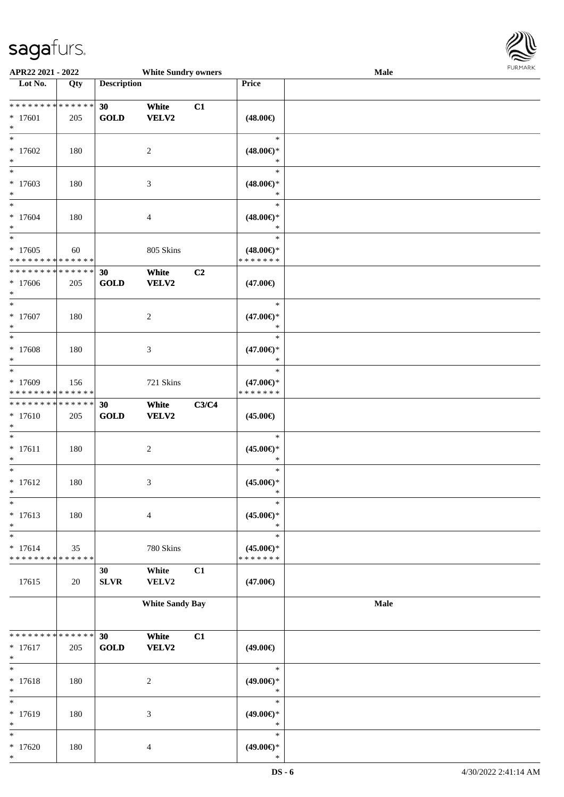

| APR22 2021 - 2022                                                           |     |                    | <b>White Sundry owners</b>      |       |                                                   | <b>Male</b> |  |
|-----------------------------------------------------------------------------|-----|--------------------|---------------------------------|-------|---------------------------------------------------|-------------|--|
| Lot No.                                                                     | Qty | <b>Description</b> |                                 |       | <b>Price</b>                                      |             |  |
| ******** <mark>******</mark><br>$* 17601$<br>$\ast$                         | 205 | 30<br><b>GOLD</b>  | White<br><b>VELV2</b>           | C1    | $(48.00\epsilon)$                                 |             |  |
| $\ast$<br>$*17602$<br>$\ast$                                                | 180 |                    | $\overline{2}$                  |       | $\ast$<br>$(48.00\epsilon)$ *<br>$\ast$           |             |  |
| $\overline{\phantom{0}}$<br>$*17603$<br>$\ast$<br>$\ast$                    | 180 |                    | $\mathfrak{Z}$                  |       | $\ast$<br>$(48.00\epsilon)$ *<br>$\ast$           |             |  |
| $*17604$<br>$\ast$<br>$*$                                                   | 180 |                    | $\overline{4}$                  |       | $\ast$<br>$(48.00\epsilon)$ *<br>$\ast$<br>$\ast$ |             |  |
| $*17605$<br>******** <mark>******</mark>                                    | 60  |                    | 805 Skins                       |       | $(48.00\epsilon)$ *<br>* * * * * * *              |             |  |
| * * * * * * * * * * * * * *<br>$*17606$<br>$\ast$<br>$\ast$                 | 205 | 30<br><b>GOLD</b>  | White<br>VELV2                  | C2    | $(47.00\epsilon)$<br>$\ast$                       |             |  |
| $*17607$<br>$\ast$<br>$\ast$                                                | 180 |                    | $\overline{c}$                  |       | $(47.00\epsilon)$ *<br>$\ast$<br>$\ast$           |             |  |
| * 17608<br>$\ast$<br>$\ast$                                                 | 180 |                    | $\mathfrak{Z}$                  |       | $(47.00\epsilon)$ *<br>$\ast$<br>$\ast$           |             |  |
| * 17609<br>* * * * * * * * * * * * * *<br>* * * * * * * * * * * * * *       | 156 | 30                 | 721 Skins<br>White              | C3/C4 | $(47.00\epsilon)$ *<br>* * * * * * *              |             |  |
| $* 17610$<br>$\ast$<br>$\ast$                                               | 205 | <b>GOLD</b>        | VELV2                           |       | $(45.00\epsilon)$<br>$\ast$                       |             |  |
| $* 17611$<br>$\ast$<br>$\ast$                                               | 180 |                    | $\boldsymbol{2}$                |       | $(45.00\epsilon)$ *<br>$\ast$<br>$\ast$           |             |  |
| $* 17612$<br>$*$<br>$\ast$                                                  | 180 |                    | 3                               |       | $(45.00ε)$ *<br>$\ast$<br>$\ast$                  |             |  |
| $* 17613$<br>$\ast$<br>$\ast$                                               | 180 |                    | $\overline{4}$                  |       | $(45.00\epsilon)$ *<br>$\ast$<br>$\ast$           |             |  |
| $* 17614$<br>* * * * * * * * * * * * * *                                    | 35  | 30                 | 780 Skins<br>White              | C1    | $(45.00\epsilon)$ *<br>* * * * * * *              |             |  |
| 17615                                                                       | 20  | <b>SLVR</b>        | VELV2<br><b>White Sandy Bay</b> |       | $(47.00\epsilon)$                                 | Male        |  |
|                                                                             |     |                    |                                 |       |                                                   |             |  |
| * * * * * * * * <mark>* * * * * * *</mark><br>$* 17617$<br>$\ast$<br>$\ast$ | 205 | 30<br><b>GOLD</b>  | White<br><b>VELV2</b>           | C1    | $(49.00\epsilon)$<br>$\ast$                       |             |  |
| $* 17618$<br>$\ast$<br>$\ast$                                               | 180 |                    | $\boldsymbol{2}$                |       | $(49.00\epsilon)$ *<br>$\ast$<br>$\ast$           |             |  |
| * 17619<br>$\ast$<br>$\ast$                                                 | 180 |                    | $\mathfrak{Z}$                  |       | $(49.00\epsilon)$ *<br>$\ast$<br>$\ast$           |             |  |
| $*17620$<br>$\ast$                                                          | 180 |                    | $\overline{4}$                  |       | $(49.00\epsilon)$ *<br>$\ast$                     |             |  |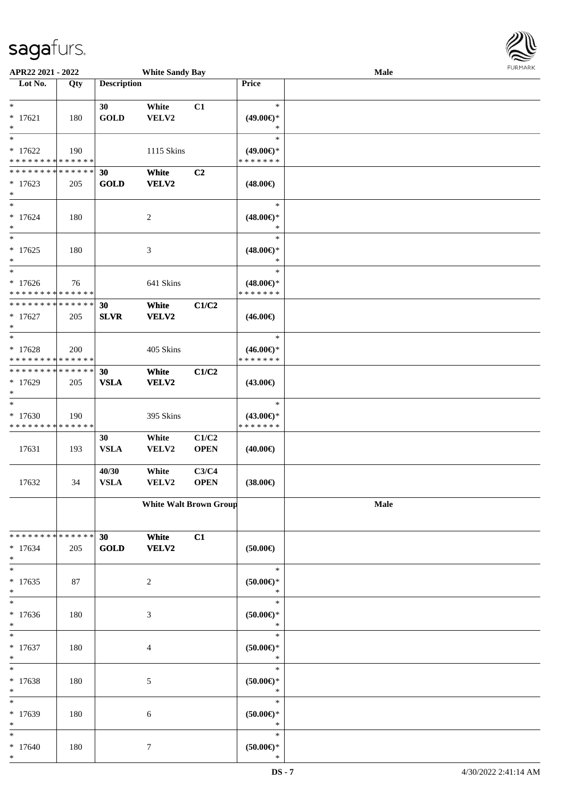

| APR22 2021 - 2022                        |     |                    | <b>White Sandy Bay</b>        |             |                        | <b>Male</b> |  |
|------------------------------------------|-----|--------------------|-------------------------------|-------------|------------------------|-------------|--|
| Lot No.                                  | Qty | <b>Description</b> |                               |             | Price                  |             |  |
|                                          |     |                    |                               |             |                        |             |  |
| $*$                                      |     | 30                 | White                         | C1          | $\ast$                 |             |  |
| $* 17621$                                | 180 | <b>GOLD</b>        | VELV2                         |             | $(49.00\epsilon)$ *    |             |  |
| $\ast$                                   |     |                    |                               |             | $\ast$                 |             |  |
| $_{*}$                                   |     |                    |                               |             | $\ast$                 |             |  |
| $*17622$                                 | 190 |                    | 1115 Skins                    |             | $(49.00\epsilon)$ *    |             |  |
| * * * * * * * * * * * * * *              |     |                    |                               |             | * * * * * * *          |             |  |
| * * * * * * * * * * * * * *              |     | 30                 | White                         | C2          |                        |             |  |
| $*17623$                                 | 205 | <b>GOLD</b>        | VELV2                         |             | $(48.00\epsilon)$      |             |  |
| $*$                                      |     |                    |                               |             |                        |             |  |
| $\overline{\phantom{0}}$                 |     |                    |                               |             | $\ast$                 |             |  |
| $* 17624$                                | 180 |                    | $\overline{c}$                |             | $(48.00\epsilon)$ *    |             |  |
| $*$                                      |     |                    |                               |             | $\ast$                 |             |  |
| $*$                                      |     |                    |                               |             | $\ast$                 |             |  |
| $* 17625$                                | 180 |                    | $\ensuremath{\mathfrak{Z}}$   |             | $(48.00\epsilon)$ *    |             |  |
| $\ast$                                   |     |                    |                               |             | $\ast$                 |             |  |
| $*$                                      |     |                    |                               |             | $\ast$                 |             |  |
| $*17626$                                 | 76  |                    | 641 Skins                     |             | $(48.00\epsilon)$ *    |             |  |
| * * * * * * * * * * * * * *              |     |                    |                               |             | * * * * * * *          |             |  |
| * * * * * * * * * * * * * *              |     | 30                 | White                         | C1/C2       |                        |             |  |
| $* 17627$                                | 205 | <b>SLVR</b>        | VELV2                         |             | $(46.00\epsilon)$      |             |  |
| $\ast$                                   |     |                    |                               |             |                        |             |  |
| $*$                                      |     |                    |                               |             | $\ast$                 |             |  |
| $* 17628$                                | 200 |                    | 405 Skins                     |             | $(46.00\epsilon)$ *    |             |  |
| * * * * * * * * * * * * * *              |     |                    |                               |             | * * * * * * *          |             |  |
| * * * * * * * * * * * * * *              |     | 30                 | White                         | C1/C2       |                        |             |  |
| $*17629$                                 | 205 | <b>VSLA</b>        | VELV2                         |             | $(43.00\epsilon)$      |             |  |
| $*$                                      |     |                    |                               |             |                        |             |  |
| $*$                                      |     |                    |                               |             | $\ast$                 |             |  |
| $* 17630$                                | 190 |                    | 395 Skins                     |             | $(43.00\epsilon)$ *    |             |  |
| * * * * * * * * * * * * * *              |     |                    |                               |             | * * * * * * *          |             |  |
|                                          |     | 30                 | White                         | C1/C2       |                        |             |  |
| 17631                                    | 193 | <b>VSLA</b>        | VELV2                         | <b>OPEN</b> | $(40.00\epsilon)$      |             |  |
|                                          |     |                    |                               |             |                        |             |  |
|                                          |     | 40/30              | White                         | C3/C4       |                        |             |  |
| 17632                                    | 34  | <b>VSLA</b>        | VELV2                         | <b>OPEN</b> | $(38.00\epsilon)$      |             |  |
|                                          |     |                    |                               |             |                        |             |  |
|                                          |     |                    | <b>White Walt Brown Group</b> |             |                        | Male        |  |
|                                          |     |                    |                               |             |                        |             |  |
|                                          |     |                    |                               |             |                        |             |  |
| * * * * * * * * <mark>* * * * * *</mark> |     | 30                 | White                         | C1          |                        |             |  |
| $* 17634$                                | 205 | <b>GOLD</b>        | VELV2                         |             | $(50.00\epsilon)$      |             |  |
| $*$                                      |     |                    |                               |             |                        |             |  |
| $*$                                      |     |                    |                               |             | $\ast$                 |             |  |
| $* 17635$                                | 87  |                    | 2                             |             | $(50.00\in)^\ast$      |             |  |
| $\ast$<br>$_{*}$                         |     |                    |                               |             | $\ast$<br>$\ast$       |             |  |
|                                          |     |                    |                               |             |                        |             |  |
| $* 17636$                                | 180 |                    | 3                             |             | $(50.00\in)^\ast$      |             |  |
| $*$ $*$                                  |     |                    |                               |             | $\ast$<br>$\ast$       |             |  |
|                                          |     |                    |                               |             |                        |             |  |
| $* 17637$                                | 180 |                    | 4                             |             | $(50.00\in)^\ast$      |             |  |
| $*$<br>$*$                               |     |                    |                               |             | $\ast$<br>$\ast$       |             |  |
|                                          |     |                    |                               |             |                        |             |  |
| * 17638<br>$\ast$                        | 180 |                    | 5                             |             | $(50.00ε)$ *<br>$\ast$ |             |  |
| $*$                                      |     |                    |                               |             | $\ast$                 |             |  |
|                                          |     |                    |                               |             |                        |             |  |
| * 17639<br>$*$                           | 180 |                    | 6                             |             | $(50.00ε)$ *<br>$\ast$ |             |  |
| $*$                                      |     |                    |                               |             | $\ast$                 |             |  |
|                                          |     |                    |                               |             |                        |             |  |
| $* 17640$<br>$*$                         | 180 |                    | $\tau$                        |             | $(50.00ε)$ *<br>$\ast$ |             |  |
|                                          |     |                    |                               |             |                        |             |  |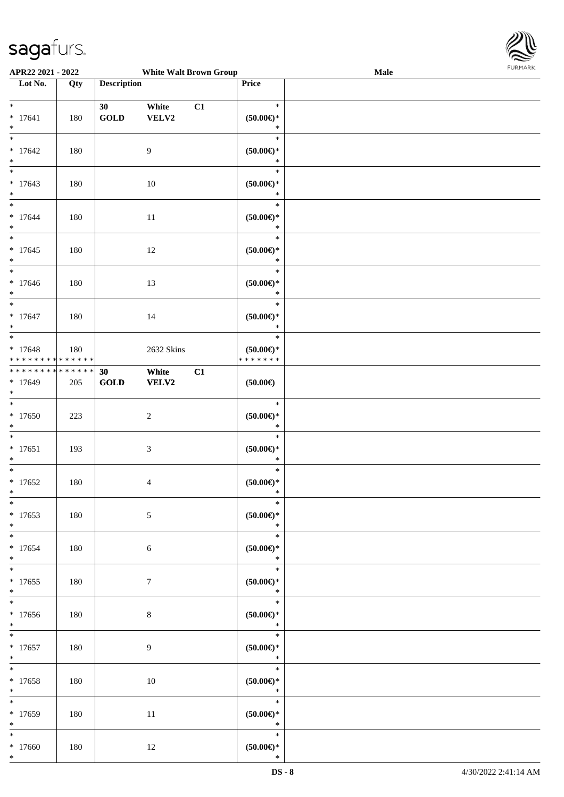

| APR22 2021 - 2022                                              |     |                    | <b>White Walt Brown Group</b> |    |                                                | <b>Male</b> |  |
|----------------------------------------------------------------|-----|--------------------|-------------------------------|----|------------------------------------------------|-------------|--|
| Lot No.                                                        | Qty | <b>Description</b> |                               |    | Price                                          |             |  |
|                                                                |     |                    |                               |    |                                                |             |  |
| $*$<br>$* 17641$<br>$*$                                        | 180 | 30<br><b>GOLD</b>  | White<br>VELV2                | C1 | $\ast$<br>$(50.00ε)$ *<br>$\ast$               |             |  |
| $\overline{\ast}$<br>$* 17642$<br>$\ast$                       | 180 |                    | 9                             |    | $\ast$<br>$(50.00ε)$ *<br>$\ast$               |             |  |
| $\overline{\phantom{0}}$<br>$* 17643$<br>$*$                   | 180 |                    | 10                            |    | $\ast$<br>$(50.00ε)$ *<br>$\ast$               |             |  |
| $*$<br>$* 17644$<br>$*$                                        | 180 |                    | 11                            |    | $\ast$<br>$(50.00ε)$ *<br>$\ast$               |             |  |
| $\overline{\ast}$<br>$* 17645$<br>$\ast$                       | 180 |                    | 12                            |    | $\ast$<br>$(50.00ε)$ *<br>$\ast$               |             |  |
| $\overline{\phantom{0}}$<br>$* 17646$<br>$*$                   | 180 |                    | 13                            |    | $\ast$<br>$(50.00ε)$ *<br>$\ast$               |             |  |
| $* 17647$<br>$*$                                               | 180 |                    | 14                            |    | $\ast$<br>$(50.00ε)$ *<br>$\ast$               |             |  |
| $*$<br>$* 17648$<br>* * * * * * * * <mark>* * * * * * *</mark> | 180 |                    | 2632 Skins                    |    | $\ast$<br>$(50.00\epsilon)$ *<br>* * * * * * * |             |  |
| * * * * * * * * <mark>* * * * * * *</mark><br>$* 17649$<br>$*$ | 205 | 30<br>GOLD         | White<br><b>VELV2</b>         | C1 | $(50.00\epsilon)$                              |             |  |
| $\overline{\ast}$<br>$* 17650$<br>$*$                          | 223 |                    | $\sqrt{2}$                    |    | $\ast$<br>$(50.00ε)$ *<br>$\ast$               |             |  |
| $*$<br>$* 17651$<br>$*$                                        | 193 |                    | 3                             |    | $\ast$<br>$(50.00ε)$ *<br>$\ast$               |             |  |
| $*$<br>$* 17652$<br>$*$                                        | 180 |                    | $\overline{4}$                |    | $\ast$<br>$(50.00ε)$ *<br>$\ast$               |             |  |
| $*$<br>$*17653$<br>$*$                                         | 180 |                    | $\sqrt{5}$                    |    | $\ast$<br>$(50.00ε)$ *<br>$\ast$               |             |  |
| $* 17654$<br>$\ast$                                            | 180 |                    | $\sqrt{6}$                    |    | $\ast$<br>$(50.00ε)$ *<br>$\ast$               |             |  |
| $\overline{\ast}$<br>$* 17655$<br>$*$                          | 180 |                    | $\tau$                        |    | $\ast$<br>$(50.00ε)$ *<br>$\ast$               |             |  |
| $* 17656$<br>$*$                                               | 180 |                    | $\,8\,$                       |    | $\ast$<br>$(50.00ε)$ *<br>$\ast$               |             |  |
| $*$ and $*$<br>$* 17657$<br>$*$                                | 180 |                    | $\overline{9}$                |    | $\ast$<br>$(50.00ε)$ *<br>$\ast$               |             |  |
| $*$ $-$<br>$* 17658$<br>$*$                                    | 180 |                    | 10                            |    | $\ast$<br>$(50.00ε)$ *<br>$\ast$               |             |  |
| $*$<br>$*17659$<br>$*$                                         | 180 |                    | 11                            |    | $\ast$<br>$(50.00\varepsilon)$ *<br>$\ast$     |             |  |
| $*$<br>$*17660$<br>$*$                                         | 180 |                    | 12                            |    | $\ast$<br>$(50.00ε)$ *<br>$\ast$               |             |  |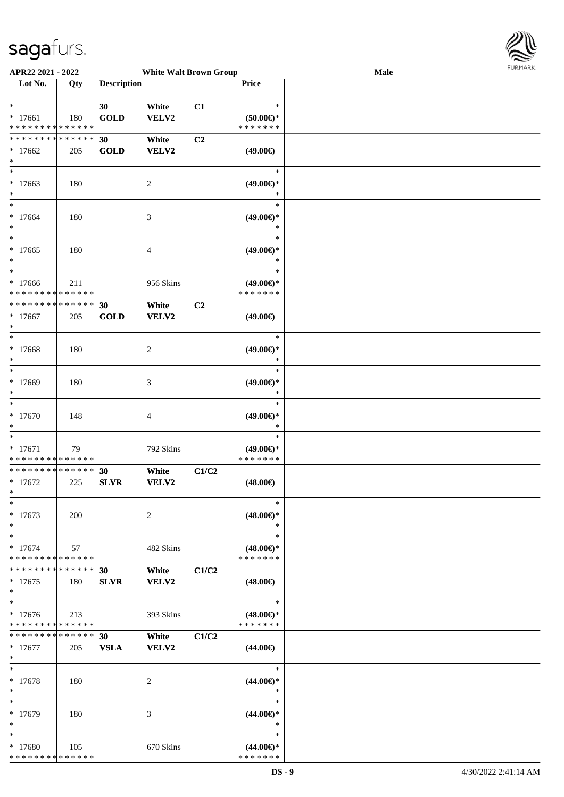

| APR22 2021 - 2022                              |             |                    | <b>White Walt Brown Group</b> |       |                                      | <b>LOKIJAKV</b><br>Male |
|------------------------------------------------|-------------|--------------------|-------------------------------|-------|--------------------------------------|-------------------------|
| Lot No.                                        | Qty         | <b>Description</b> |                               |       | Price                                |                         |
|                                                |             |                    |                               |       |                                      |                         |
| $\ast$                                         |             | 30                 | White                         | C1    | $\ast$                               |                         |
| $* 17661$<br>******** <mark>******</mark>      | 180         | <b>GOLD</b>        | VELV2                         |       | $(50.00 \in )$ *<br>* * * * * * *    |                         |
| **************                                 |             | 30                 |                               | C2    |                                      |                         |
| $*17662$                                       |             | <b>GOLD</b>        | White<br>VELV2                |       | $(49.00\epsilon)$                    |                         |
| $\ast$                                         | 205         |                    |                               |       |                                      |                         |
| $\ast$                                         |             |                    |                               |       | $\ast$                               |                         |
| $*17663$                                       | 180         |                    | $\overline{c}$                |       | $(49.00\epsilon)$ *                  |                         |
| $\ast$                                         |             |                    |                               |       | $\ast$                               |                         |
| $\ast$                                         |             |                    |                               |       | $\ast$                               |                         |
| $*17664$                                       | 180         |                    | 3                             |       | $(49.00\epsilon)$ *                  |                         |
| $\ast$                                         |             |                    |                               |       | $\ast$                               |                         |
| $\overline{\phantom{1}}$                       |             |                    |                               |       | $\ast$                               |                         |
| $*17665$                                       | 180         |                    | 4                             |       | $(49.00\epsilon)$ *                  |                         |
| $\ast$<br>$\ast$                               |             |                    |                               |       | $\ast$<br>$\ast$                     |                         |
| $*17666$                                       | 211         |                    | 956 Skins                     |       | $(49.00\epsilon)$ *                  |                         |
| * * * * * * * *                                | * * * * * * |                    |                               |       | * * * * * * *                        |                         |
| ******** <mark>*****</mark> *                  |             | 30                 | White                         | C2    |                                      |                         |
| $*17667$                                       | 205         | <b>GOLD</b>        | <b>VELV2</b>                  |       | $(49.00\epsilon)$                    |                         |
| $\ast$                                         |             |                    |                               |       |                                      |                         |
| $\ast$                                         |             |                    |                               |       | $\ast$                               |                         |
| $* 17668$                                      | 180         |                    | $\boldsymbol{2}$              |       | $(49.00\epsilon)$ *                  |                         |
| $\ast$<br>$\ast$                               |             |                    |                               |       | $\ast$<br>$\ast$                     |                         |
| * 17669                                        | 180         |                    |                               |       | $(49.00\epsilon)$ *                  |                         |
| $\ast$                                         |             |                    | 3                             |       | $\ast$                               |                         |
| $\ast$                                         |             |                    |                               |       | $\ast$                               |                         |
| $*17670$                                       | 148         |                    | 4                             |       | $(49.00\epsilon)$ *                  |                         |
| $\ast$                                         |             |                    |                               |       | $\ast$                               |                         |
| $\ast$                                         |             |                    |                               |       | $\ast$                               |                         |
| $* 17671$                                      | 79          |                    | 792 Skins                     |       | $(49.00\epsilon)$ *                  |                         |
| * * * * * * * * * * * * * *<br>**************  |             |                    |                               |       | * * * * * * *                        |                         |
| $*17672$                                       | 225         | 30<br><b>SLVR</b>  | White<br>VELV2                | C1/C2 | $(48.00\epsilon)$                    |                         |
| $\star$                                        |             |                    |                               |       |                                      |                         |
| $\ast$                                         |             |                    |                               |       | $\ast$                               |                         |
| $* 17673$                                      | 200         |                    | 2                             |       | $(48.00\epsilon)$ *                  |                         |
| $\ast$                                         |             |                    |                               |       | $\ast$                               |                         |
| $\ast$                                         |             |                    |                               |       | $\ast$                               |                         |
| $*17674$                                       | 57          |                    | 482 Skins                     |       | $(48.00\epsilon)$ *<br>* * * * * * * |                         |
| * * * * * * * * * * * * * *<br>* * * * * * * * | * * * * * * | 30                 | White                         | C1/C2 |                                      |                         |
| $*17675$                                       | 180         | <b>SLVR</b>        | VELV2                         |       | $(48.00\epsilon)$                    |                         |
| $\ast$                                         |             |                    |                               |       |                                      |                         |
| $\ast$                                         |             |                    |                               |       | $\ast$                               |                         |
| $*17676$                                       | 213         |                    | 393 Skins                     |       | $(48.00\epsilon)$ *                  |                         |
| * * * * * * * * * * * * * *                    |             |                    |                               |       | * * * * * * *                        |                         |
| * * * * * * * * * * * * * * *                  |             | 30 <sup>°</sup>    | White                         | C1/C2 |                                      |                         |
| $*17677$                                       | 205         | <b>VSLA</b>        | VELV2                         |       | $(44.00\epsilon)$                    |                         |
| $*$<br>$\ast$                                  |             |                    |                               |       | $\ast$                               |                         |
| $* 17678$                                      | 180         |                    | 2                             |       | $(44.00\epsilon)$ *                  |                         |
| $*$                                            |             |                    |                               |       | $\ast$                               |                         |
| $\ast$                                         |             |                    |                               |       | $\ast$                               |                         |
| * 17679                                        | 180         |                    | 3                             |       | $(44.00\epsilon)$ *                  |                         |
| *                                              |             |                    |                               |       | $\ast$                               |                         |
| $\ast$                                         |             |                    |                               |       | $\ast$                               |                         |
| $*17680$                                       | 105         |                    | 670 Skins                     |       | $(44.00\epsilon)$ *                  |                         |
| ******** <mark>******</mark>                   |             |                    |                               |       | * * * * * * *                        |                         |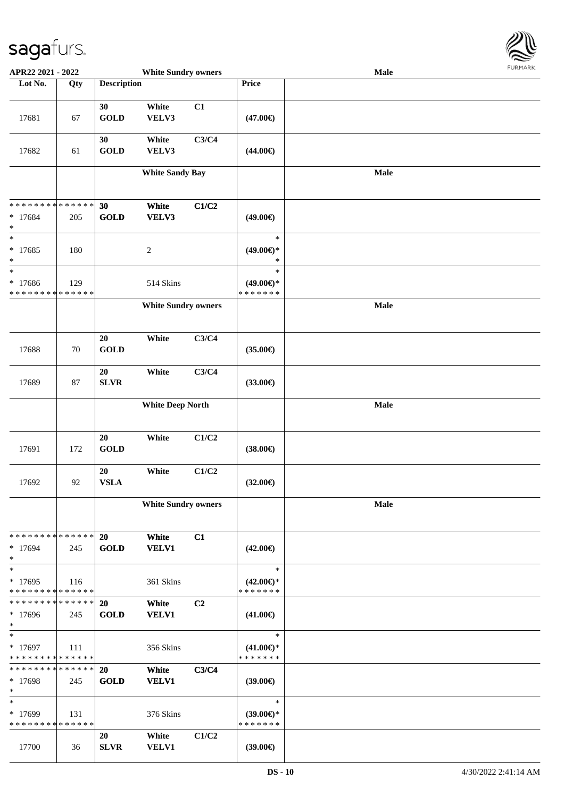

| APR22 2021 - 2022                                |                   |                          | <b>White Sundry owners</b> |                |                                                | <b>Male</b> |  |
|--------------------------------------------------|-------------------|--------------------------|----------------------------|----------------|------------------------------------------------|-------------|--|
| Lot No.                                          | $\overline{Q}$ ty | <b>Description</b>       |                            |                | Price                                          |             |  |
|                                                  |                   |                          |                            |                |                                                |             |  |
| 17681                                            | 67                | 30<br><b>GOLD</b>        | White<br>VELV3             | C1             | $(47.00\epsilon)$                              |             |  |
| 17682                                            | 61                | 30<br><b>GOLD</b>        | White<br>VELV3             | C3/C4          | $(44.00\epsilon)$                              |             |  |
|                                                  |                   |                          | <b>White Sandy Bay</b>     |                |                                                | <b>Male</b> |  |
| * * * * * * * * * * * * * *                      |                   | 30                       | White                      | C1/C2          |                                                |             |  |
| * 17684<br>$\ast$                                | 205               | <b>GOLD</b>              | VELV3                      |                | $(49.00\epsilon)$                              |             |  |
| $\ast$<br>$* 17685$<br>$\ast$                    | 180               |                          | $\sqrt{2}$                 |                | $\ast$<br>$(49.00\epsilon)$ *<br>$\ast$        |             |  |
| $\ast$<br>* 17686<br>* * * * * * * * * * * * * * | 129               |                          | 514 Skins                  |                | $\ast$<br>$(49.00\epsilon)$ *<br>* * * * * * * |             |  |
|                                                  |                   |                          | <b>White Sundry owners</b> |                |                                                | Male        |  |
| 17688                                            | 70                | $20\,$<br><b>GOLD</b>    | White                      | C3/C4          | $(35.00\epsilon)$                              |             |  |
| 17689                                            | 87                | 20<br><b>SLVR</b>        | White                      | C3/C4          | $(33.00\epsilon)$                              |             |  |
|                                                  |                   |                          | <b>White Deep North</b>    |                |                                                | Male        |  |
| 17691                                            | 172               | 20<br><b>GOLD</b>        | White                      | C1/C2          | $(38.00\epsilon)$                              |             |  |
| 17692                                            | 92                | 20<br><b>VSLA</b>        | White                      | C1/C2          | $(32.00\epsilon)$                              |             |  |
|                                                  |                   |                          | <b>White Sundry owners</b> |                |                                                | Male        |  |
| * * * * * * * * * * * * * * *<br>* 17694<br>$*$  | 245               | 20<br><b>GOLD</b>        | White<br><b>VELV1</b>      | C1             | $(42.00\epsilon)$                              |             |  |
| $*$<br>* 17695<br>* * * * * * * * * * * * * *    | 116               |                          | 361 Skins                  |                | $\ast$<br>$(42.00\epsilon)$ *<br>* * * * * * * |             |  |
| * * * * * * * * * * * * * * *<br>* 17696<br>$*$  | 245               | <b>20</b><br><b>GOLD</b> | White<br><b>VELV1</b>      | C <sub>2</sub> | $(41.00\epsilon)$                              |             |  |
| $*$<br>$* 17697$<br>* * * * * * * * * * * * * *  | 111               |                          | 356 Skins                  |                | $\ast$<br>$(41.00\epsilon)$ *<br>*******       |             |  |
| * * * * * * * * * * * * * * *<br>* 17698<br>$*$  | 245               | 20<br><b>GOLD</b>        | White<br><b>VELV1</b>      | C3/C4          | $(39.00\epsilon)$                              |             |  |
| $\ast$<br>* 17699<br>* * * * * * * * * * * * * * | 131               |                          | 376 Skins                  |                | $\ast$<br>$(39.00\epsilon)$ *<br>* * * * * * * |             |  |
| 17700                                            | 36                | 20<br><b>SLVR</b>        | White<br><b>VELV1</b>      | C1/C2          | $(39.00\epsilon)$                              |             |  |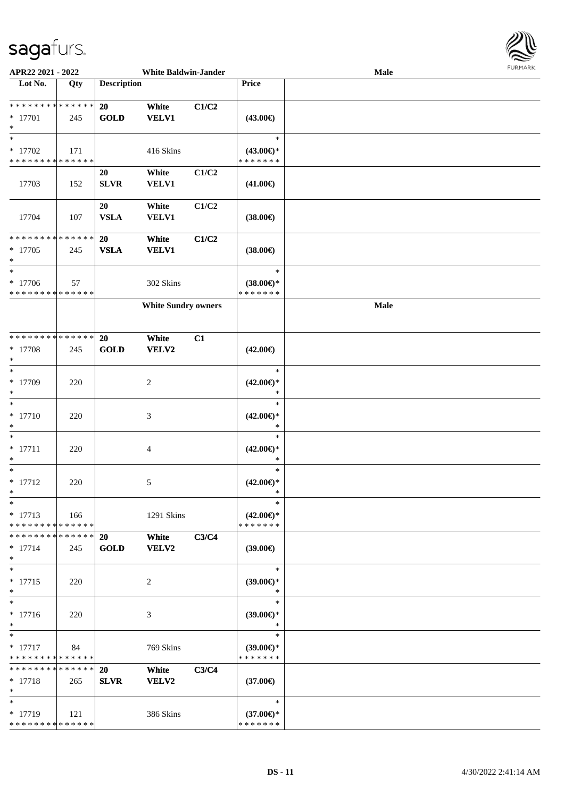

| APR22 2021 - 2022                                  |     |                          | <b>White Baldwin-Jander</b> |       |                                                | Male | $1 \times 1 \times 1 \times 1 \times 1 \times$ |
|----------------------------------------------------|-----|--------------------------|-----------------------------|-------|------------------------------------------------|------|------------------------------------------------|
| Lot No.                                            | Qty | <b>Description</b>       |                             |       | Price                                          |      |                                                |
| * * * * * * * * * * * * * *<br>* 17701<br>$\ast$   | 245 | 20<br><b>GOLD</b>        | White<br><b>VELV1</b>       | C1/C2 | $(43.00\epsilon)$                              |      |                                                |
| $\ast$<br>$* 17702$<br>* * * * * * * * * * * * * * | 171 |                          | 416 Skins                   |       | $\ast$<br>$(43.00\epsilon)$ *<br>* * * * * * * |      |                                                |
| 17703                                              | 152 | 20<br><b>SLVR</b>        | White<br><b>VELV1</b>       | C1/C2 | $(41.00\epsilon)$                              |      |                                                |
| 17704                                              | 107 | 20<br><b>VSLA</b>        | White<br><b>VELV1</b>       | C1/C2 | $(38.00\epsilon)$                              |      |                                                |
| * * * * * * * * * * * * * *<br>$* 17705$<br>$\ast$ | 245 | 20<br><b>VSLA</b>        | White<br><b>VELV1</b>       | C1/C2 | $(38.00\epsilon)$                              |      |                                                |
| $\ast$<br>$* 17706$<br>* * * * * * * * * * * * * * | 57  |                          | 302 Skins                   |       | $\ast$<br>$(38.00\epsilon)$ *<br>* * * * * * * |      |                                                |
|                                                    |     |                          | <b>White Sundry owners</b>  |       |                                                | Male |                                                |
| **************<br>$* 17708$<br>$\ast$              | 245 | 20<br><b>GOLD</b>        | White<br><b>VELV2</b>       | C1    | $(42.00\epsilon)$                              |      |                                                |
| $\ast$<br>* 17709<br>$\ast$                        | 220 |                          | $\overline{c}$              |       | $\ast$<br>$(42.00\epsilon)$ *<br>$\ast$        |      |                                                |
| $\ast$<br>$* 17710$<br>$\ast$                      | 220 |                          | 3                           |       | $\ast$<br>$(42.00\epsilon)$ *<br>*             |      |                                                |
| $\ast$<br>$* 17711$<br>$\ast$                      | 220 |                          | 4                           |       | $\ast$<br>$(42.00\epsilon)$ *<br>$\ast$        |      |                                                |
| $\ast$<br>$* 17712$<br>$*$                         | 220 |                          | 5                           |       | $\ast$<br>$(42.00\epsilon)$ *<br>*             |      |                                                |
| $\ast$<br>$* 17713$<br>* * * * * * * * * * * * * * | 166 |                          | 1291 Skins                  |       | $\ast$<br>$(42.00€)$ *<br>* * * * * * *        |      |                                                |
| * * * * * * * * * * * * * *<br>$* 17714$<br>$\ast$ | 245 | <b>20</b><br><b>GOLD</b> | White<br>VELV2              | C3/C4 | $(39.00\epsilon)$                              |      |                                                |
| $\ast$<br>$* 17715$<br>$\ast$                      | 220 |                          | 2                           |       | $\ast$<br>$(39.00\epsilon)$ *<br>$\ast$        |      |                                                |
| $\ast$<br>$* 17716$<br>$\ast$                      | 220 |                          | 3                           |       | $\ast$<br>$(39.00\epsilon)$ *<br>$\ast$        |      |                                                |
| $\ast$<br>$* 17717$<br>* * * * * * * * * * * * * * | 84  |                          | 769 Skins                   |       | $\ast$<br>$(39.00\epsilon)$ *<br>* * * * * * * |      |                                                |
| * * * * * * * * * * * * * *<br>$* 17718$<br>$\ast$ | 265 | 20<br><b>SLVR</b>        | White<br><b>VELV2</b>       | C3/C4 | $(37.00\epsilon)$                              |      |                                                |
| $\ast$<br>$* 17719$<br>* * * * * * * * * * * * * * | 121 |                          | 386 Skins                   |       | $\ast$<br>$(37.00\epsilon)$ *<br>* * * * * * * |      |                                                |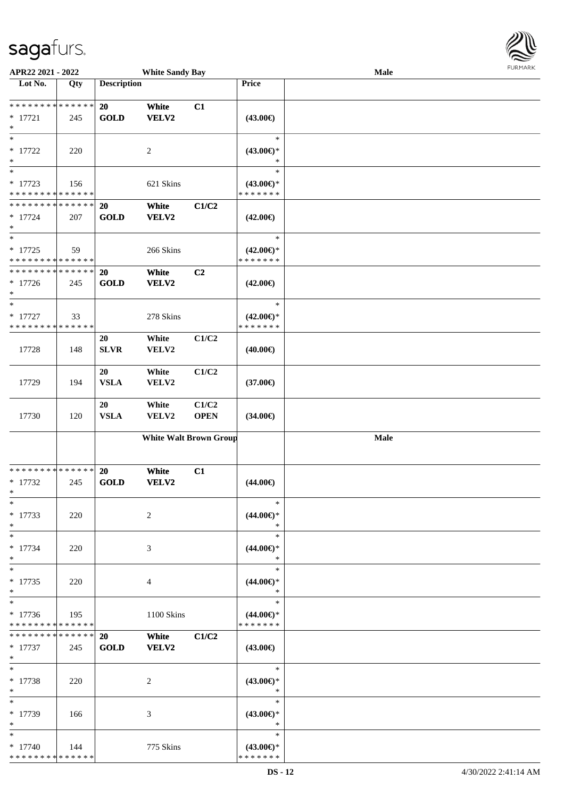| APR22 2021 - 2022                                          |       |                    | <b>White Sandy Bay</b> |                               |                                      | Male | <b>FURPIARK</b> |
|------------------------------------------------------------|-------|--------------------|------------------------|-------------------------------|--------------------------------------|------|-----------------|
| Lot No.                                                    | Qty   | <b>Description</b> |                        |                               | Price                                |      |                 |
|                                                            |       |                    |                        |                               |                                      |      |                 |
| **************                                             |       | 20                 | White                  | C1                            |                                      |      |                 |
| $* 17721$                                                  | 245   | <b>GOLD</b>        | VELV2                  |                               | $(43.00\epsilon)$                    |      |                 |
| $\ast$                                                     |       |                    |                        |                               |                                      |      |                 |
| $\ast$                                                     |       |                    |                        |                               | $\ast$                               |      |                 |
| $* 17722$                                                  | 220   |                    | $\sqrt{2}$             |                               | $(43.00\epsilon)$ *                  |      |                 |
| $\ast$<br>$\overline{\phantom{a}^*}$                       |       |                    |                        |                               | $\ast$                               |      |                 |
|                                                            |       |                    |                        |                               | $\ast$                               |      |                 |
| $* 17723$                                                  | 156   |                    | 621 Skins              |                               | $(43.00€)$ *                         |      |                 |
| * * * * * * * * * * * * * *                                |       |                    |                        |                               | * * * * * * *                        |      |                 |
| * * * * * * * * * * * * * *                                |       | 20                 | White                  | C1/C2                         |                                      |      |                 |
| $* 17724$                                                  | 207   | <b>GOLD</b>        | <b>VELV2</b>           |                               | $(42.00\epsilon)$                    |      |                 |
| $\ast$<br>$\ast$                                           |       |                    |                        |                               | $\ast$                               |      |                 |
|                                                            |       |                    |                        |                               |                                      |      |                 |
| $* 17725$                                                  | 59    |                    | 266 Skins              |                               | $(42.00\epsilon)$ *<br>* * * * * * * |      |                 |
| * * * * * * * * * * * * * *<br>* * * * * * * * * * * * * * |       |                    |                        |                               |                                      |      |                 |
|                                                            |       | 20                 | White                  | C2                            |                                      |      |                 |
| $* 17726$<br>$\ast$                                        | 245   | <b>GOLD</b>        | <b>VELV2</b>           |                               | $(42.00\epsilon)$                    |      |                 |
| $\ast$                                                     |       |                    |                        |                               | $\ast$                               |      |                 |
|                                                            |       |                    |                        |                               | $(42.00\epsilon)$ *                  |      |                 |
| $* 17727$<br>* * * * * * * * * * * * * *                   | 33    |                    | 278 Skins              |                               | * * * * * * *                        |      |                 |
|                                                            |       | 20                 | White                  | C1/C2                         |                                      |      |                 |
|                                                            |       | <b>SLVR</b>        |                        |                               |                                      |      |                 |
| 17728                                                      | 148   |                    | VELV2                  |                               | $(40.00\epsilon)$                    |      |                 |
|                                                            |       | 20                 | White                  | C1/C2                         |                                      |      |                 |
| 17729                                                      | 194   | <b>VSLA</b>        | VELV2                  |                               | $(37.00\epsilon)$                    |      |                 |
|                                                            |       |                    |                        |                               |                                      |      |                 |
|                                                            |       | 20                 | White                  | C1/C2                         |                                      |      |                 |
| 17730                                                      | 120   | <b>VSLA</b>        | VELV2                  | <b>OPEN</b>                   | $(34.00\epsilon)$                    |      |                 |
|                                                            |       |                    |                        |                               |                                      |      |                 |
|                                                            |       |                    |                        | <b>White Walt Brown Group</b> |                                      | Male |                 |
|                                                            |       |                    |                        |                               |                                      |      |                 |
|                                                            |       |                    |                        |                               |                                      |      |                 |
| **************                                             |       | 20                 | White                  | C1                            |                                      |      |                 |
| $*17732$                                                   | 245   | <b>GOLD</b>        | VELV2                  |                               | $(44.00\epsilon)$                    |      |                 |
| $*$                                                        |       |                    |                        |                               |                                      |      |                 |
| $\ast$                                                     |       |                    |                        |                               | $\ast$                               |      |                 |
| $* 17733$                                                  | 220   |                    | 2                      |                               | $(44.00\epsilon)$ *                  |      |                 |
| $\ast$                                                     |       |                    |                        |                               | $\ast$                               |      |                 |
| $\ast$                                                     |       |                    |                        |                               | $\ast$                               |      |                 |
| $* 17734$                                                  | 220   |                    | 3                      |                               | $(44.00\epsilon)$ *                  |      |                 |
| $\ast$                                                     |       |                    |                        |                               | $\ast$                               |      |                 |
| $\ast$                                                     |       |                    |                        |                               | $\ast$                               |      |                 |
| $* 17735$                                                  | 220   |                    | $\overline{4}$         |                               | $(44.00\epsilon)$ *                  |      |                 |
| $\ast$                                                     |       |                    |                        |                               | $\ast$                               |      |                 |
| $\ast$                                                     |       |                    |                        |                               | $\ast$                               |      |                 |
| $* 17736$                                                  | 195   |                    | 1100 Skins             |                               | $(44.00\epsilon)$ *                  |      |                 |
| * * * * * * * * * * * * * *                                |       |                    |                        |                               | * * * * * * *                        |      |                 |
| * * * * * * * * * * * * * *                                |       | 20                 | White                  | C1/C2                         |                                      |      |                 |
| $* 17737$                                                  | 245   | <b>GOLD</b>        | <b>VELV2</b>           |                               | (43.00€)                             |      |                 |
| $\ast$                                                     |       |                    |                        |                               |                                      |      |                 |
| $\ast$                                                     |       |                    |                        |                               | $\ast$                               |      |                 |
| $* 17738$                                                  | 220   |                    | 2                      |                               | $(43.00\epsilon)$ *                  |      |                 |
| $\ast$                                                     |       |                    |                        |                               | $\ast$                               |      |                 |
| $\ast$                                                     |       |                    |                        |                               | $\ast$                               |      |                 |
| * 17739                                                    | - 166 |                    | 3                      |                               | $(43.00€)$ *                         |      |                 |
| $*$                                                        |       |                    |                        |                               | $\ast$                               |      |                 |
| $\ast$                                                     |       |                    |                        |                               | $\ast$                               |      |                 |
| $*17740$<br>**************                                 | - 144 |                    | 775 Skins              |                               | $(43.00\epsilon)$ *                  |      |                 |
|                                                            |       |                    |                        |                               | * * * * * * *                        |      |                 |

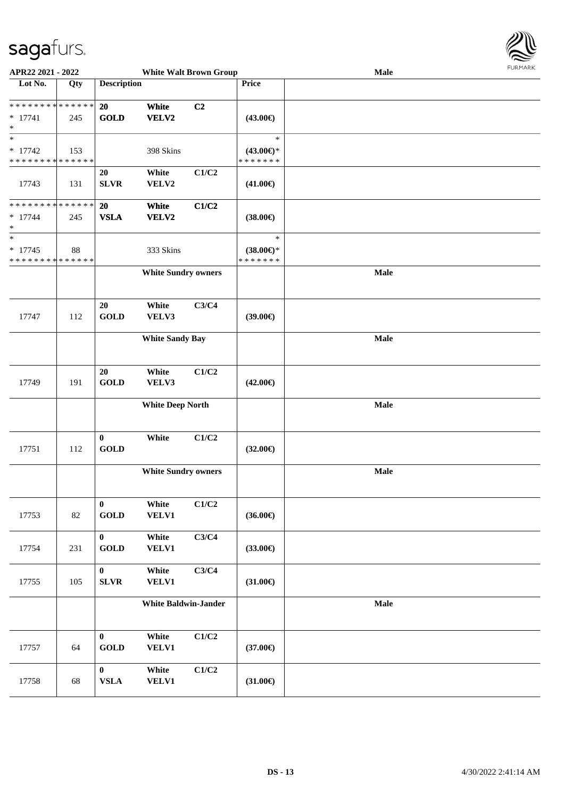

| APR22 2021 - 2022                                                    |     |                                 |                             | <b>White Walt Brown Group</b> |                                                | $1 \times 1$<br>Male |  |  |  |
|----------------------------------------------------------------------|-----|---------------------------------|-----------------------------|-------------------------------|------------------------------------------------|----------------------|--|--|--|
| Lot No.                                                              | Qty | <b>Description</b>              |                             |                               | Price                                          |                      |  |  |  |
| ******** <mark>******</mark><br>$* 17741$<br>$\ast$                  | 245 | 20<br><b>GOLD</b>               | White<br>VELV2              | C <sub>2</sub>                | $(43.00\epsilon)$                              |                      |  |  |  |
| $\ast$<br>$* 17742$<br>* * * * * * * * * * * * * *                   | 153 |                                 | 398 Skins                   |                               | $\ast$<br>$(43.00\epsilon)$ *<br>* * * * * * * |                      |  |  |  |
| 17743                                                                | 131 | 20<br><b>SLVR</b>               | White<br>VELV2              | C1/C2                         | $(41.00\epsilon)$                              |                      |  |  |  |
| * * * * * * * * * * * * * *<br>$* 17744$<br>$\ast$                   | 245 | <b>20</b><br><b>VSLA</b>        | White<br>VELV2              | C1/C2                         | $(38.00\epsilon)$                              |                      |  |  |  |
| $\overline{\phantom{1}}$<br>$* 17745$<br>* * * * * * * * * * * * * * | 88  |                                 | 333 Skins                   |                               | $\ast$<br>$(38.00\epsilon)$ *<br>* * * * * * * |                      |  |  |  |
|                                                                      |     |                                 | <b>White Sundry owners</b>  |                               |                                                | Male                 |  |  |  |
| 17747                                                                | 112 | 20<br><b>GOLD</b>               | White<br>VELV3              | C3/C4                         | (39.00)                                        |                      |  |  |  |
|                                                                      |     |                                 | <b>White Sandy Bay</b>      |                               |                                                | Male                 |  |  |  |
| 17749                                                                | 191 | 20<br><b>GOLD</b>               | White<br>VELV3              | C1/C2                         | $(42.00\epsilon)$                              |                      |  |  |  |
|                                                                      |     |                                 | <b>White Deep North</b>     |                               |                                                | <b>Male</b>          |  |  |  |
| 17751                                                                | 112 | $\boldsymbol{0}$<br><b>GOLD</b> | White                       | C1/C2                         | $(32.00\epsilon)$                              |                      |  |  |  |
|                                                                      |     |                                 | <b>White Sundry owners</b>  |                               |                                                | Male                 |  |  |  |
| 17753                                                                | 82  | $\bf{0}$<br><b>GOLD</b>         | White<br>VELV1              | C1/C2                         | $(36.00\epsilon)$                              |                      |  |  |  |
| 17754                                                                | 231 | $\mathbf{0}$<br><b>GOLD</b>     | White<br><b>VELV1</b>       | C3/C4                         | $(33.00\epsilon)$                              |                      |  |  |  |
| 17755                                                                | 105 | $\bf{0}$<br>SLVR                | White<br><b>VELV1</b>       | C3/C4                         | $(31.00\epsilon)$                              |                      |  |  |  |
|                                                                      |     |                                 | <b>White Baldwin-Jander</b> |                               |                                                | Male                 |  |  |  |
| 17757                                                                | 64  | $\bf{0}$<br><b>GOLD</b>         | White<br>VELV1              | C1/C2                         | $(37.00\epsilon)$                              |                      |  |  |  |
| 17758                                                                | 68  | $\bf{0}$<br>${\bf VSLA}$        | White<br><b>VELV1</b>       | C1/C2                         | $(31.00\epsilon)$                              |                      |  |  |  |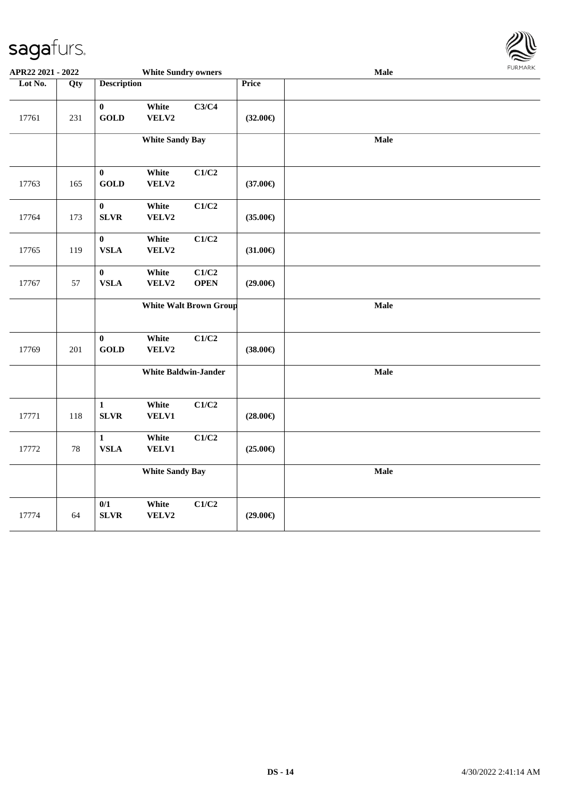

| APR22 2021 - 2022 |        |                                 | <b>White Sundry owners</b>  |                               |                   | Male | <b>FUNITANN</b> |
|-------------------|--------|---------------------------------|-----------------------------|-------------------------------|-------------------|------|-----------------|
| Lot No.           | Qty    | <b>Description</b>              |                             |                               | <b>Price</b>      |      |                 |
| 17761             | 231    | $\boldsymbol{0}$<br><b>GOLD</b> | White<br>VELV2              | C3/C4                         | $(32.00\epsilon)$ |      |                 |
|                   |        |                                 | <b>White Sandy Bay</b>      |                               |                   | Male |                 |
| 17763             | 165    | $\bf{0}$<br><b>GOLD</b>         | White<br>VELV2              | C1/C2                         | $(37.00\epsilon)$ |      |                 |
| 17764             | 173    | $\bf{0}$<br><b>SLVR</b>         | White<br>VELV2              | C1/C2                         | $(35.00\epsilon)$ |      |                 |
| 17765             | 119    | $\boldsymbol{0}$<br><b>VSLA</b> | White<br>VELV2              | C1/C2                         | $(31.00\epsilon)$ |      |                 |
| 17767             | 57     | $\bf{0}$<br>${\bf VSLA}$        | White<br>VELV2              | C1/C2<br><b>OPEN</b>          | $(29.00\epsilon)$ |      |                 |
|                   |        |                                 |                             | <b>White Walt Brown Group</b> |                   | Male |                 |
| 17769             | 201    | $\boldsymbol{0}$<br><b>GOLD</b> | White<br>VELV2              | C1/C2                         | $(38.00\epsilon)$ |      |                 |
|                   |        |                                 | <b>White Baldwin-Jander</b> |                               |                   | Male |                 |
| 17771             | 118    | $\mathbf{1}$<br><b>SLVR</b>     | White<br>VELV1              | C1/C2                         | $(28.00\epsilon)$ |      |                 |
| 17772             | $78\,$ | $\mathbf{1}$<br>${\bf VSLA}$    | White<br>VELV1              | C1/C2                         | $(25.00\epsilon)$ |      |                 |
|                   |        |                                 | <b>White Sandy Bay</b>      |                               |                   | Male |                 |
| 17774             | 64     | 0/1<br>SLVR                     | White<br>${\bf VELV2}$      | C1/C2                         | $(29.00\epsilon)$ |      |                 |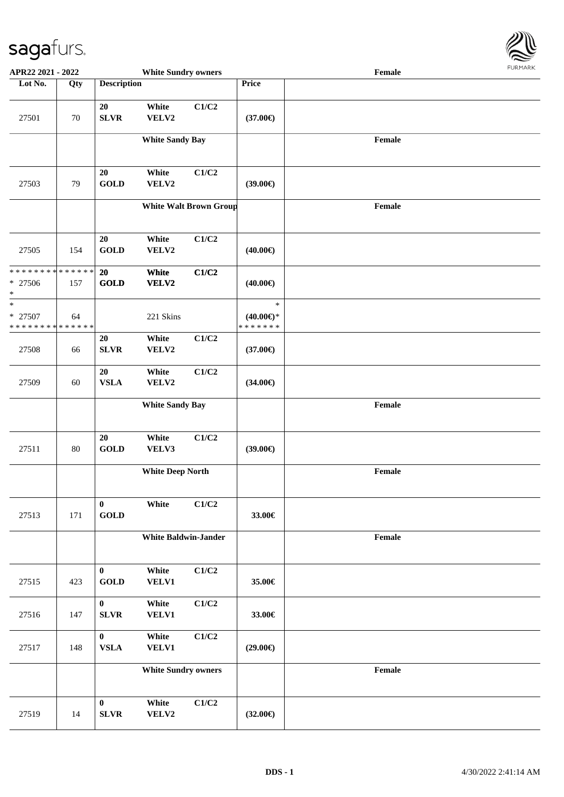

| APR22 2021 - 2022                                  |     |                                   | <b>White Sundry owners</b>  |                               |                                                | Female |  |
|----------------------------------------------------|-----|-----------------------------------|-----------------------------|-------------------------------|------------------------------------------------|--------|--|
| Lot No.                                            | Qty | <b>Description</b>                |                             |                               | Price                                          |        |  |
| 27501                                              | 70  | 20<br><b>SLVR</b>                 | White<br>VELV2              | C1/C2                         | $(37.00\epsilon)$                              |        |  |
|                                                    |     |                                   | <b>White Sandy Bay</b>      |                               |                                                | Female |  |
| 27503                                              | 79  | 20<br><b>GOLD</b>                 | White<br>VELV2              | C1/C2                         | $(39.00\epsilon)$                              |        |  |
|                                                    |     |                                   |                             | <b>White Walt Brown Group</b> |                                                | Female |  |
| 27505                                              | 154 | 20<br><b>GOLD</b>                 | White<br>VELV2              | C1/C2                         | $(40.00\epsilon)$                              |        |  |
| * * * * * * * * * * * * * *<br>$* 27506$<br>$\ast$ | 157 | 20<br><b>GOLD</b>                 | White<br>VELV2              | C1/C2                         | $(40.00\epsilon)$                              |        |  |
| $\ast$<br>* 27507<br>* * * * * * * * * * * * * *   | 64  |                                   | 221 Skins                   |                               | $\ast$<br>$(40.00\epsilon)$ *<br>* * * * * * * |        |  |
| 27508                                              | 66  | 20<br><b>SLVR</b>                 | White<br>VELV2              | C1/C2                         | $(37.00\epsilon)$                              |        |  |
| 27509                                              | 60  | ${\bf 20}$<br><b>VSLA</b>         | White<br>VELV2              | C1/C2                         | $(34.00\epsilon)$                              |        |  |
|                                                    |     |                                   | <b>White Sandy Bay</b>      |                               |                                                | Female |  |
| 27511                                              | 80  | 20<br>$\operatorname{GOLD}$       | White<br>VELV3              | C1/C2                         | $(39.00\epsilon)$                              |        |  |
|                                                    |     |                                   | <b>White Deep North</b>     |                               |                                                | Female |  |
| 27513                                              | 171 | $\bf{0}$<br>$\operatorname{GOLD}$ | White                       | C1/C2                         | 33.00€                                         |        |  |
|                                                    |     |                                   | <b>White Baldwin-Jander</b> |                               |                                                | Female |  |
| 27515                                              | 423 | $\bf{0}$<br>$\operatorname{GOLD}$ | White<br>VELV1              | C1/C2                         | 35.00€                                         |        |  |
| 27516                                              | 147 | $\bf{0}$<br><b>SLVR</b>           | White<br>VELV1              | C1/C2                         | 33.00€                                         |        |  |
| 27517                                              | 148 | $\bf{0}$<br><b>VSLA</b>           | White<br><b>VELV1</b>       | C1/C2                         | $(29.00\epsilon)$                              |        |  |
|                                                    |     |                                   | <b>White Sundry owners</b>  |                               |                                                | Female |  |
| 27519                                              | 14  | $\bf{0}$<br><b>SLVR</b>           | White<br>VELV2              | C1/C2                         | $(32.00\epsilon)$                              |        |  |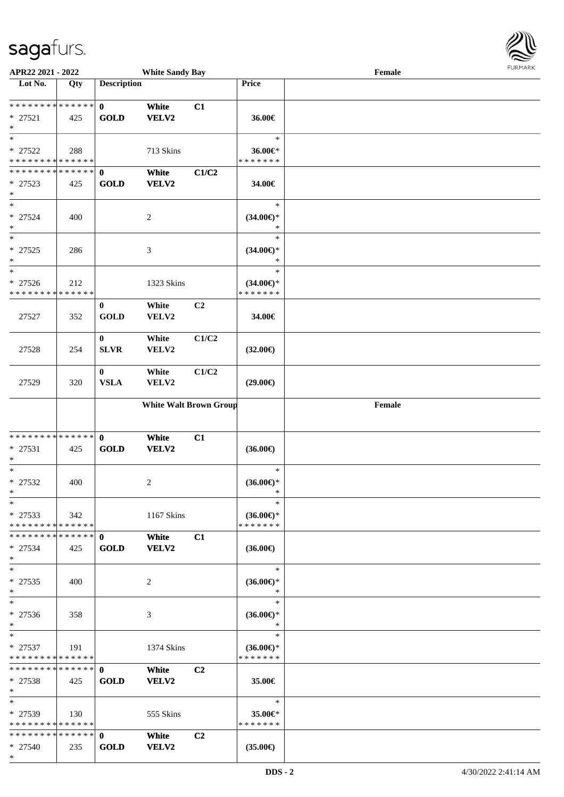

| APR22 2021 - 2022             |     |                    | <b>White Sandy Bay</b>        |                |                     | Female |  |
|-------------------------------|-----|--------------------|-------------------------------|----------------|---------------------|--------|--|
| Lot No.                       | Qty | <b>Description</b> |                               |                | Price               |        |  |
|                               |     |                    |                               |                |                     |        |  |
| ******** <mark>******</mark>  |     | $\mathbf{0}$       | White                         | C1             |                     |        |  |
| $* 27521$                     | 425 | <b>GOLD</b>        | VELV2                         |                | 36.00€              |        |  |
| $\ast$                        |     |                    |                               |                |                     |        |  |
| $\ast$                        |     |                    |                               |                | $\ast$              |        |  |
| * 27522                       | 288 |                    | 713 Skins                     |                | 36.00€*             |        |  |
| * * * * * * * * * * * * * *   |     |                    |                               |                | * * * * * * *       |        |  |
| * * * * * * * * * * * * * *   |     | $\mathbf{0}$       | White                         | C1/C2          |                     |        |  |
| * 27523                       | 425 | <b>GOLD</b>        | <b>VELV2</b>                  |                | 34.00€              |        |  |
| $\ast$                        |     |                    |                               |                |                     |        |  |
| $\ast$                        |     |                    |                               |                | $\ast$              |        |  |
| $* 27524$                     | 400 |                    | $\overline{c}$                |                | $(34.00\epsilon)$ * |        |  |
| $\ast$                        |     |                    |                               |                | $\ast$              |        |  |
| $\ast$                        |     |                    |                               |                | $\ast$              |        |  |
| $* 27525$                     | 286 |                    | $\mathfrak{Z}$                |                | $(34.00\epsilon)$ * |        |  |
| $\ast$                        |     |                    |                               |                | *                   |        |  |
| $\ast$                        |     |                    |                               |                | $\ast$              |        |  |
| $* 27526$                     | 212 |                    | 1323 Skins                    |                | $(34.00\epsilon)$ * |        |  |
| * * * * * * * * * * * * * *   |     |                    |                               |                | * * * * * * *       |        |  |
|                               |     | $\bf{0}$           | White                         | C <sub>2</sub> |                     |        |  |
| 27527                         | 352 | <b>GOLD</b>        | VELV2                         |                | 34.00€              |        |  |
|                               |     |                    |                               |                |                     |        |  |
|                               |     | $\bf{0}$           | White                         | C1/C2          |                     |        |  |
| 27528                         | 254 | <b>SLVR</b>        | VELV2                         |                | $(32.00\epsilon)$   |        |  |
|                               |     |                    |                               |                |                     |        |  |
|                               |     | $\bf{0}$           | White                         | C1/C2          |                     |        |  |
| 27529                         | 320 | <b>VSLA</b>        | VELV2                         |                | $(29.00\epsilon)$   |        |  |
|                               |     |                    |                               |                |                     |        |  |
|                               |     |                    | <b>White Walt Brown Group</b> |                |                     | Female |  |
|                               |     |                    |                               |                |                     |        |  |
| **************                |     | $\mathbf{0}$       |                               | C1             |                     |        |  |
| * 27531                       | 425 | <b>GOLD</b>        | White<br>VELV2                |                | $(36.00\epsilon)$   |        |  |
| $\ast$                        |     |                    |                               |                |                     |        |  |
| $\ast$                        |     |                    |                               |                | $\ast$              |        |  |
| $* 27532$                     | 400 |                    | $\overline{c}$                |                | $(36.00\epsilon)$ * |        |  |
| $*$                           |     |                    |                               |                | $\ast$              |        |  |
| $\ast$                        |     |                    |                               |                | $\ast$              |        |  |
| $*27533$                      | 342 |                    | 1167 Skins                    |                | $(36.00\epsilon)$ * |        |  |
| * * * * * * * * * * * * * *   |     |                    |                               |                | * * * * * * *       |        |  |
| * * * * * * * * * * * * * * * |     | $\mathbf{0}$       | White                         | C1             |                     |        |  |
| * 27534                       | 425 | <b>GOLD</b>        | <b>VELV2</b>                  |                | $(36.00\epsilon)$   |        |  |
| $*$                           |     |                    |                               |                |                     |        |  |
| $\ast$                        |     |                    |                               |                | $\ast$              |        |  |
| $* 27535$                     | 400 |                    | 2                             |                | $(36.00\epsilon)$ * |        |  |
| $*$                           |     |                    |                               |                | $\ast$              |        |  |
| $\ast$                        |     |                    |                               |                | $\ast$              |        |  |
| * 27536                       | 358 |                    | 3                             |                | $(36.00\epsilon)$ * |        |  |
| $*$                           |     |                    |                               |                | $\ast$              |        |  |
| $*$                           |     |                    |                               |                | $\ast$              |        |  |
| $* 27537$                     | 191 |                    | 1374 Skins                    |                | $(36.00\epsilon)$ * |        |  |
| * * * * * * * * * * * * * *   |     |                    |                               |                | * * * * * * *       |        |  |
| ******** <mark>******</mark>  |     | $\mathbf{0}$       | White                         | C <sub>2</sub> |                     |        |  |
| $* 27538$                     | 425 | <b>GOLD</b>        | <b>VELV2</b>                  |                | 35.00€              |        |  |
| $*$                           |     |                    |                               |                |                     |        |  |
| $*$                           |     |                    |                               |                | $\ast$              |        |  |
| * 27539                       | 130 |                    | 555 Skins                     |                | 35.00€*             |        |  |
| * * * * * * * * * * * * * *   |     |                    |                               |                | * * * * * * *       |        |  |
| * * * * * * * * * * * * * * * |     | $\mathbf{0}$       | White                         | C2             |                     |        |  |
| $* 27540$                     | 235 | <b>GOLD</b>        | <b>VELV2</b>                  |                | $(35.00\epsilon)$   |        |  |
| $*$                           |     |                    |                               |                |                     |        |  |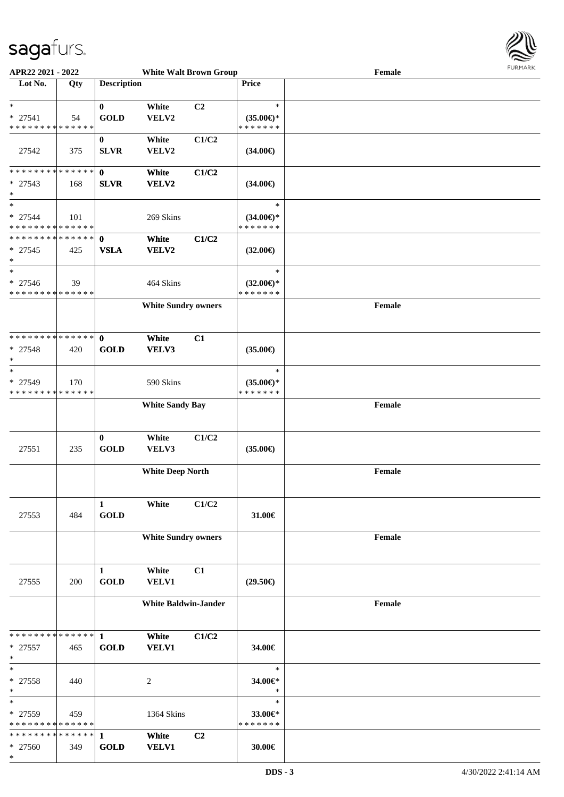

| APR22 2021 - 2022                        |     |                    | <b>White Walt Brown Group</b> |       |                                      | Female | 1.91117177 |
|------------------------------------------|-----|--------------------|-------------------------------|-------|--------------------------------------|--------|------------|
| Lot No.                                  | Qty | <b>Description</b> |                               |       | Price                                |        |            |
|                                          |     |                    |                               |       |                                      |        |            |
| $\ast$                                   |     | $\bf{0}$           | White                         | C2    | $\ast$                               |        |            |
| $* 27541$                                | 54  | <b>GOLD</b>        | VELV2                         |       | $(35.00\epsilon)$ *                  |        |            |
| * * * * * * * * * * * * * *              |     |                    |                               |       | * * * * * * *                        |        |            |
|                                          |     | $\bf{0}$           | White                         | C1/C2 |                                      |        |            |
| 27542                                    | 375 | <b>SLVR</b>        | VELV2                         |       | $(34.00\epsilon)$                    |        |            |
|                                          |     |                    |                               |       |                                      |        |            |
| * * * * * * * * * * * * * * *            |     | $\mathbf{0}$       | White                         | C1/C2 |                                      |        |            |
| * 27543                                  | 168 | <b>SLVR</b>        | VELV2                         |       | $(34.00\epsilon)$                    |        |            |
| $\ast$                                   |     |                    |                               |       |                                      |        |            |
| $\ast$                                   |     |                    |                               |       | $\ast$                               |        |            |
| $* 27544$                                | 101 |                    | 269 Skins                     |       |                                      |        |            |
| * * * * * * * * * * * * * *              |     |                    |                               |       | $(34.00€)$ *<br>* * * * * * *        |        |            |
| * * * * * * * * * * * * * * *            |     | $\mathbf{0}$       | White                         | C1/C2 |                                      |        |            |
|                                          |     |                    |                               |       |                                      |        |            |
| $* 27545$<br>$\ast$                      | 425 | <b>VSLA</b>        | VELV2                         |       | $(32.00\epsilon)$                    |        |            |
| $\ast$                                   |     |                    |                               |       | $\ast$                               |        |            |
|                                          |     |                    |                               |       |                                      |        |            |
| $* 27546$<br>* * * * * * * * * * * * * * | 39  |                    | 464 Skins                     |       | $(32.00\epsilon)$ *<br>* * * * * * * |        |            |
|                                          |     |                    |                               |       |                                      |        |            |
|                                          |     |                    | <b>White Sundry owners</b>    |       |                                      | Female |            |
|                                          |     |                    |                               |       |                                      |        |            |
| **************                           |     |                    |                               |       |                                      |        |            |
|                                          |     | $\mathbf{0}$       | White                         | C1    |                                      |        |            |
| $* 27548$                                | 420 | <b>GOLD</b>        | VELV3                         |       | $(35.00\epsilon)$                    |        |            |
| $\ast$                                   |     |                    |                               |       |                                      |        |            |
| $\ast$                                   |     |                    |                               |       | $\ast$                               |        |            |
| * 27549                                  | 170 |                    | 590 Skins                     |       | $(35.00\epsilon)$ *                  |        |            |
| * * * * * * * * * * * * * *              |     |                    |                               |       | * * * * * * *                        |        |            |
|                                          |     |                    | <b>White Sandy Bay</b>        |       |                                      | Female |            |
|                                          |     |                    |                               |       |                                      |        |            |
|                                          |     |                    |                               |       |                                      |        |            |
|                                          |     | $\bf{0}$           | White                         | C1/C2 |                                      |        |            |
| 27551                                    | 235 | <b>GOLD</b>        | VELV3                         |       | $(35.00\epsilon)$                    |        |            |
|                                          |     |                    |                               |       |                                      |        |            |
|                                          |     |                    | <b>White Deep North</b>       |       |                                      | Female |            |
|                                          |     |                    |                               |       |                                      |        |            |
|                                          |     |                    |                               |       |                                      |        |            |
|                                          |     | 1                  | White                         | C1/C2 |                                      |        |            |
| 27553                                    | 484 | <b>GOLD</b>        |                               |       | 31.00€                               |        |            |
|                                          |     |                    |                               |       |                                      |        |            |
|                                          |     |                    | <b>White Sundry owners</b>    |       |                                      | Female |            |
|                                          |     |                    |                               |       |                                      |        |            |
|                                          |     |                    |                               |       |                                      |        |            |
|                                          |     | $\mathbf{1}$       | White                         | C1    |                                      |        |            |
| 27555                                    | 200 | <b>GOLD</b>        | <b>VELV1</b>                  |       | $(29.50\epsilon)$                    |        |            |
|                                          |     |                    |                               |       |                                      |        |            |
|                                          |     |                    | <b>White Baldwin-Jander</b>   |       |                                      | Female |            |
|                                          |     |                    |                               |       |                                      |        |            |
|                                          |     |                    |                               |       |                                      |        |            |
| * * * * * * * * * * * * * * *            |     | $\mathbf{1}$       | White                         | C1/C2 |                                      |        |            |
| $* 27557$                                | 465 | <b>GOLD</b>        | <b>VELV1</b>                  |       | 34.00€                               |        |            |
| $\ast$<br>$\ast$                         |     |                    |                               |       | $\ast$                               |        |            |
|                                          |     |                    |                               |       |                                      |        |            |
| $* 27558$                                | 440 |                    | $\overline{c}$                |       | 34.00€*                              |        |            |
| $\ast$                                   |     |                    |                               |       | $\ast$                               |        |            |
| $\ast$                                   |     |                    |                               |       | $\ast$                               |        |            |
| * 27559                                  | 459 |                    | 1364 Skins                    |       | 33.00 $\in$ *                        |        |            |
| * * * * * * * * * * * * * *              |     |                    |                               |       | * * * * * * *                        |        |            |
| * * * * * * * * * * * * * *              |     | $\mathbf{1}$       | White                         | C2    |                                      |        |            |
| * 27560                                  | 349 | <b>GOLD</b>        | <b>VELV1</b>                  |       | 30.00€                               |        |            |
| $\ast$                                   |     |                    |                               |       |                                      |        |            |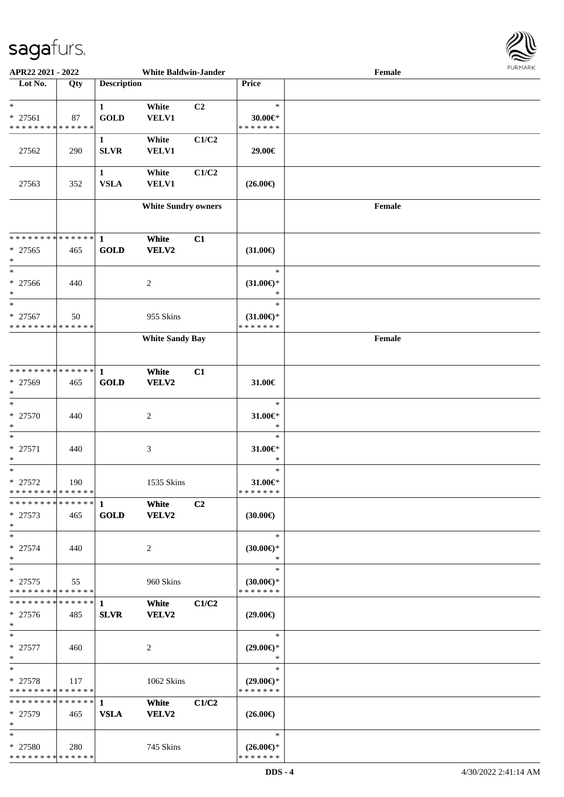

| APR22 2021 - 2022             |     |                    | <b>White Baldwin-Jander</b> |       |                           | Female |  |
|-------------------------------|-----|--------------------|-----------------------------|-------|---------------------------|--------|--|
| Lot No.                       | Qty | <b>Description</b> |                             |       | Price                     |        |  |
|                               |     |                    |                             |       |                           |        |  |
| $\ast$                        |     | $\mathbf{1}$       | White                       | C2    | $\ast$                    |        |  |
| * 27561                       | 87  | <b>GOLD</b>        | VELV1                       |       | $30.00 \in$ *             |        |  |
| * * * * * * * * * * * * * *   |     |                    |                             |       | * * * * * * *             |        |  |
|                               |     | $\mathbf{1}$       | White                       | C1/C2 |                           |        |  |
|                               |     |                    |                             |       |                           |        |  |
| 27562                         | 290 | <b>SLVR</b>        | <b>VELV1</b>                |       | 29.00€                    |        |  |
|                               |     |                    |                             |       |                           |        |  |
|                               |     | $\mathbf{1}$       | White                       | C1/C2 |                           |        |  |
| 27563                         | 352 | <b>VSLA</b>        | <b>VELV1</b>                |       | $(26.00\epsilon)$         |        |  |
|                               |     |                    |                             |       |                           |        |  |
|                               |     |                    | <b>White Sundry owners</b>  |       |                           | Female |  |
|                               |     |                    |                             |       |                           |        |  |
|                               |     |                    |                             |       |                           |        |  |
| * * * * * * * * * * * * * * * |     | $\mathbf{1}$       | White                       | C1    |                           |        |  |
| $* 27565$                     | 465 | <b>GOLD</b>        | VELV2                       |       | $(31.00\epsilon)$         |        |  |
| $\ast$                        |     |                    |                             |       |                           |        |  |
| $\ast$                        |     |                    |                             |       | $\ast$                    |        |  |
| $* 27566$                     | 440 |                    | 2                           |       | $(31.00\epsilon)$ *       |        |  |
| $\ast$                        |     |                    |                             |       | $\ast$                    |        |  |
| $\ast$                        |     |                    |                             |       | $\ast$                    |        |  |
|                               |     |                    |                             |       |                           |        |  |
| * 27567                       | 50  |                    | 955 Skins                   |       | $(31.00\epsilon)$ *       |        |  |
| * * * * * * * * * * * * * *   |     |                    |                             |       | * * * * * * *             |        |  |
|                               |     |                    | <b>White Sandy Bay</b>      |       |                           | Female |  |
|                               |     |                    |                             |       |                           |        |  |
|                               |     |                    |                             |       |                           |        |  |
| **************                |     | $\mathbf{1}$       | White                       | C1    |                           |        |  |
| * 27569                       | 465 | <b>GOLD</b>        | VELV2                       |       | 31.00€                    |        |  |
| $\ast$                        |     |                    |                             |       |                           |        |  |
| $\ast$                        |     |                    |                             |       | $\ast$                    |        |  |
| * 27570                       | 440 |                    |                             |       | 31.00€*                   |        |  |
|                               |     |                    | 2                           |       |                           |        |  |
| $\ast$                        |     |                    |                             |       | $\ast$                    |        |  |
| $\ast$                        |     |                    |                             |       | $\ast$                    |        |  |
| $* 27571$                     | 440 |                    | 3                           |       | $31.00 \in$ *             |        |  |
| $\ast$                        |     |                    |                             |       | $\ast$                    |        |  |
| $\ast$                        |     |                    |                             |       | $\ast$                    |        |  |
| $* 27572$                     | 190 |                    | 1535 Skins                  |       | $31.00 \in$               |        |  |
| **************                |     |                    |                             |       | *******                   |        |  |
| * * * * * * * * * * * * * *   |     | $\mathbf{1}$       | White                       | C2    |                           |        |  |
| $* 27573$                     | 465 | <b>GOLD</b>        | VELV2                       |       | $(30.00\epsilon)$         |        |  |
| $\ast$                        |     |                    |                             |       |                           |        |  |
| $\ast$                        |     |                    |                             |       | $\ast$                    |        |  |
| $* 27574$                     | 440 |                    | 2                           |       | $(30.00\epsilon)$ *       |        |  |
| $\ast$                        |     |                    |                             |       | $\ast$                    |        |  |
|                               |     |                    |                             |       |                           |        |  |
| $\ast$                        |     |                    |                             |       | $\ast$                    |        |  |
| $* 27575$                     | 55  |                    | 960 Skins                   |       | $(30.00\epsilon)$ *       |        |  |
| * * * * * * * * * * * * * *   |     |                    |                             |       | * * * * * * *             |        |  |
| * * * * * * * * * * * * * * * |     | 1                  | White                       | C1/C2 |                           |        |  |
| * 27576                       | 485 | <b>SLVR</b>        | VELV2                       |       | $(29.00\epsilon)$         |        |  |
| $\ast$                        |     |                    |                             |       |                           |        |  |
| $\ast$                        |     |                    |                             |       | $\ast$                    |        |  |
| $* 27577$                     | 460 |                    | $\overline{c}$              |       | $(29.00\epsilon)$ *       |        |  |
| $\ast$                        |     |                    |                             |       | $\ast$                    |        |  |
| $\ast$                        |     |                    |                             |       | $\ast$                    |        |  |
| * 27578                       | 117 |                    | 1062 Skins                  |       | $(29.00 \in \mathcal{F})$ |        |  |
| * * * * * * * * * * * * * *   |     |                    |                             |       | * * * * * * *             |        |  |
| * * * * * * * * * * * * * *   |     |                    |                             |       |                           |        |  |
|                               |     | $\mathbf{1}$       | White                       | C1/C2 |                           |        |  |
| * 27579                       | 465 | <b>VSLA</b>        | VELV2                       |       | $(26.00\epsilon)$         |        |  |
| $\ast$                        |     |                    |                             |       |                           |        |  |
| $\ast$                        |     |                    |                             |       | $\ast$                    |        |  |
| * 27580                       | 280 |                    | 745 Skins                   |       | $(26.00\epsilon)$ *       |        |  |
| * * * * * * * * * * * * * *   |     |                    |                             |       | * * * * * * *             |        |  |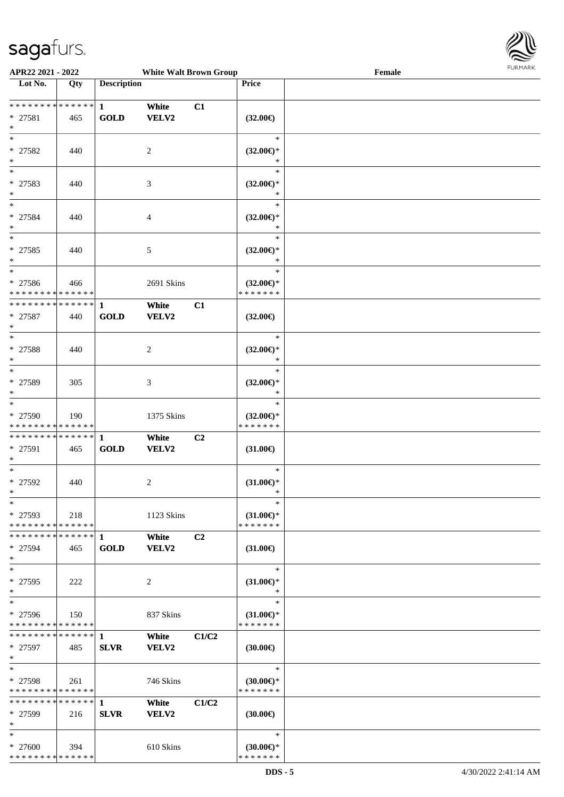

| APR22 2021 - 2022                                               |     |                             | <b>White Walt Brown Group</b> |       |                                                | Female | <b>FURPIARA</b> |
|-----------------------------------------------------------------|-----|-----------------------------|-------------------------------|-------|------------------------------------------------|--------|-----------------|
| Lot No.                                                         | Qty | <b>Description</b>          |                               |       | Price                                          |        |                 |
| * * * * * * * * * * * * * * *<br>* 27581<br>$\ast$              | 465 | $\mathbf{1}$<br><b>GOLD</b> | White<br><b>VELV2</b>         | C1    | $(32.00\epsilon)$                              |        |                 |
| $\ast$<br>* 27582<br>$\ast$                                     | 440 |                             | 2                             |       | $\ast$<br>$(32.00\epsilon)$ *<br>$\ast$        |        |                 |
| $\ast$<br>* 27583<br>$\ast$                                     | 440 |                             | 3                             |       | $\ast$<br>$(32.00\epsilon)$ *<br>$\ast$        |        |                 |
| $\overline{\ast}$<br>* 27584<br>$\ast$<br>$_{\ast}^{-}$         | 440 |                             | 4                             |       | $\ast$<br>$(32.00\epsilon)$ *<br>$\ast$        |        |                 |
| $* 27585$<br>$\ast$                                             | 440 |                             | 5                             |       | $\ast$<br>$(32.00\epsilon)$ *<br>*             |        |                 |
| $\ast$<br>* 27586<br>* * * * * * * * * * * * * *                | 466 |                             | 2691 Skins                    |       | $\ast$<br>$(32.00\epsilon)$ *<br>* * * * * * * |        |                 |
| * * * * * * * * * * * * * * *<br>$* 27587$<br>$\ast$            | 440 | $\mathbf{1}$<br><b>GOLD</b> | White<br><b>VELV2</b>         | C1    | $(32.00\epsilon)$                              |        |                 |
| $\ast$<br>$* 27588$<br>$\ast$                                   | 440 |                             | $\overline{c}$                |       | $\ast$<br>$(32.00\epsilon)$ *<br>$\ast$        |        |                 |
| $\ast$<br>* 27589<br>$\ast$                                     | 305 |                             | 3                             |       | $\ast$<br>$(32.00\epsilon)$ *<br>$\ast$        |        |                 |
| $\ast$<br>* 27590<br>* * * * * * * * <mark>* * * * * * *</mark> | 190 |                             | 1375 Skins                    |       | $\ast$<br>$(32.00\epsilon)$ *<br>* * * * * * * |        |                 |
| **************<br>* 27591<br>$\ast$                             | 465 | 1<br>GOLD                   | White<br>VELV2                | C2    | $(31.00\epsilon)$                              |        |                 |
| $\ast$<br>$* 27592$<br>$\star$                                  | 440 |                             | $\overline{c}$                |       | $\ast$<br>$(31.00\epsilon)$ *<br>$\rightarrow$ |        |                 |
| $\ast$<br>* 27593<br>* * * * * * * * * * * * * *                | 218 |                             | 1123 Skins                    |       | $\ast$<br>$(31.00\epsilon)$ *<br>* * * * * * * |        |                 |
| **************<br>$* 27594$<br>$\ast$                           | 465 | $\mathbf{1}$<br><b>GOLD</b> | White<br>VELV2                | C2    | $(31.00\epsilon)$                              |        |                 |
| $\ast$<br>$* 27595$<br>$\ast$                                   | 222 |                             | 2                             |       | $\ast$<br>$(31.00\epsilon)$ *<br>$\ast$        |        |                 |
| $\ast$<br>* 27596<br>* * * * * * * * * * * * * *                | 150 |                             | 837 Skins                     |       | $\ast$<br>$(31.00\epsilon)$ *<br>* * * * * * * |        |                 |
| * * * * * * * * * * * * * * *<br>* 27597<br>$\ast$              | 485 | -1<br><b>SLVR</b>           | White<br>VELV2                | C1/C2 | $(30.00\epsilon)$                              |        |                 |
| $\ast$<br>$* 27598$<br>* * * * * * * * * * * * * *              | 261 |                             | 746 Skins                     |       | $\ast$<br>$(30.00\epsilon)$ *<br>* * * * * * * |        |                 |
| ******** <mark>******</mark> 1<br>* 27599<br>$\ast$             | 216 | <b>SLVR</b>                 | White<br><b>VELV2</b>         | C1/C2 | $(30.00\epsilon)$                              |        |                 |
| $\ast$<br>$* 27600$<br>* * * * * * * * * * * * * *              | 394 |                             | 610 Skins                     |       | $\ast$<br>$(30.00\epsilon)$ *<br>* * * * * * * |        |                 |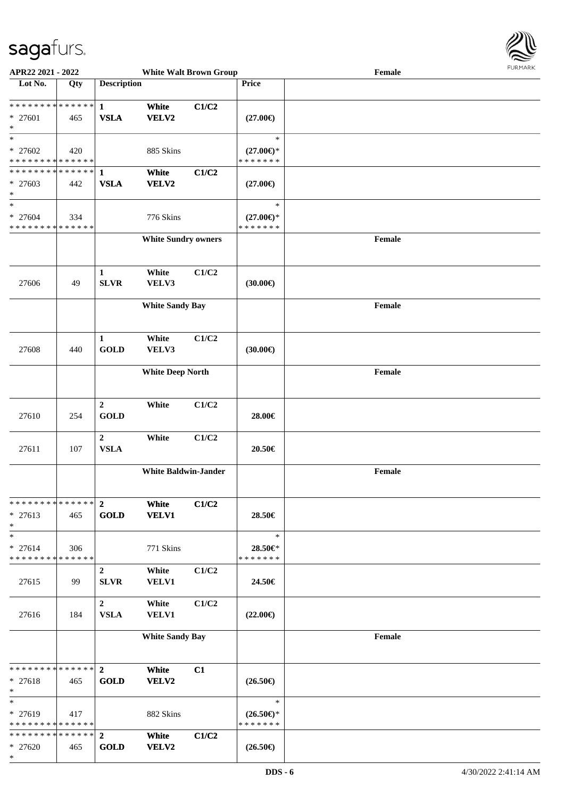

| APR22 2021 - 2022             |     |                    | <b>White Walt Brown Group</b> |       |                     | Female | <b>FURITARN</b> |
|-------------------------------|-----|--------------------|-------------------------------|-------|---------------------|--------|-----------------|
| Lot No.                       | Qty | <b>Description</b> |                               |       | Price               |        |                 |
|                               |     |                    |                               |       |                     |        |                 |
| ******** <mark>******</mark>  |     | $\mathbf{1}$       | White                         | C1/C2 |                     |        |                 |
| * 27601                       | 465 | <b>VSLA</b>        | VELV2                         |       | $(27.00\epsilon)$   |        |                 |
| $\ast$                        |     |                    |                               |       |                     |        |                 |
| $\ast$                        |     |                    |                               |       | $\ast$              |        |                 |
| $* 27602$                     | 420 |                    | 885 Skins                     |       | $(27.00\epsilon)$ * |        |                 |
| * * * * * * * * * * * * * *   |     |                    |                               |       | * * * * * * *       |        |                 |
| ******** <mark>******</mark>  |     | $\mathbf{1}$       | White                         | C1/C2 |                     |        |                 |
| * 27603<br>$\ast$             | 442 | <b>VSLA</b>        | VELV2                         |       | $(27.00\epsilon)$   |        |                 |
| $\ast$                        |     |                    |                               |       | $\ast$              |        |                 |
| * 27604                       | 334 |                    | 776 Skins                     |       | $(27.00\epsilon)$ * |        |                 |
| * * * * * * * * * * * * * *   |     |                    |                               |       | * * * * * * *       |        |                 |
|                               |     |                    | <b>White Sundry owners</b>    |       |                     | Female |                 |
|                               |     |                    |                               |       |                     |        |                 |
|                               |     |                    |                               |       |                     |        |                 |
|                               |     | 1                  | White                         | C1/C2 |                     |        |                 |
| 27606                         | 49  | <b>SLVR</b>        | VELV3                         |       | (30.00)             |        |                 |
|                               |     |                    |                               |       |                     |        |                 |
|                               |     |                    | <b>White Sandy Bay</b>        |       |                     | Female |                 |
|                               |     |                    |                               |       |                     |        |                 |
|                               |     |                    |                               |       |                     |        |                 |
|                               |     | $\mathbf{1}$       | White                         | C1/C2 |                     |        |                 |
| 27608                         | 440 | <b>GOLD</b>        | VELV3                         |       | (30.00)             |        |                 |
|                               |     |                    |                               |       |                     |        |                 |
|                               |     |                    | <b>White Deep North</b>       |       |                     | Female |                 |
|                               |     |                    |                               |       |                     |        |                 |
|                               |     | $\boldsymbol{2}$   | White                         | C1/C2 |                     |        |                 |
| 27610                         | 254 | <b>GOLD</b>        |                               |       | 28.00€              |        |                 |
|                               |     |                    |                               |       |                     |        |                 |
|                               |     | $\boldsymbol{2}$   | White                         | C1/C2 |                     |        |                 |
| 27611                         | 107 | <b>VSLA</b>        |                               |       | 20.50€              |        |                 |
|                               |     |                    |                               |       |                     |        |                 |
|                               |     |                    | <b>White Baldwin-Jander</b>   |       |                     | Female |                 |
|                               |     |                    |                               |       |                     |        |                 |
| * * * * * * * * * * * * * * * |     | $\mathbf{2}$       | White                         | C1/C2 |                     |        |                 |
| $* 27613$                     | 465 | <b>GOLD</b>        | <b>VELV1</b>                  |       | 28.50€              |        |                 |
| $\ast$                        |     |                    |                               |       |                     |        |                 |
| $\ast$                        |     |                    |                               |       | $\ast$              |        |                 |
| $* 27614$                     | 306 |                    | 771 Skins                     |       | 28.50€*             |        |                 |
| * * * * * * * * * * * * * *   |     |                    |                               |       | * * * * * * *       |        |                 |
|                               |     | $\overline{2}$     | White                         | C1/C2 |                     |        |                 |
| 27615                         | 99  | <b>SLVR</b>        | <b>VELV1</b>                  |       | 24.50€              |        |                 |
|                               |     |                    |                               |       |                     |        |                 |
|                               |     | $\overline{2}$     | White                         | C1/C2 |                     |        |                 |
| 27616                         | 184 | <b>VSLA</b>        | <b>VELV1</b>                  |       | $(22.00\epsilon)$   |        |                 |
|                               |     |                    |                               |       |                     |        |                 |
|                               |     |                    | <b>White Sandy Bay</b>        |       |                     | Female |                 |
|                               |     |                    |                               |       |                     |        |                 |
| * * * * * * * * * * * * * * * |     | $2^{\circ}$        | White                         | C1    |                     |        |                 |
| * 27618                       | 465 | <b>GOLD</b>        | <b>VELV2</b>                  |       | $(26.50\epsilon)$   |        |                 |
| $*$                           |     |                    |                               |       |                     |        |                 |
| $*$                           |     |                    |                               |       | $\ast$              |        |                 |
| * 27619                       | 417 |                    | 882 Skins                     |       | $(26.50\epsilon)$ * |        |                 |
| * * * * * * * * * * * * * *   |     |                    |                               |       | * * * * * * *       |        |                 |
| * * * * * * * * * * * * * * * |     | $\overline{2}$     | White                         | C1/C2 |                     |        |                 |
| * 27620                       | 465 | <b>GOLD</b>        | VELV2                         |       | $(26.50\epsilon)$   |        |                 |
| $*$                           |     |                    |                               |       |                     |        |                 |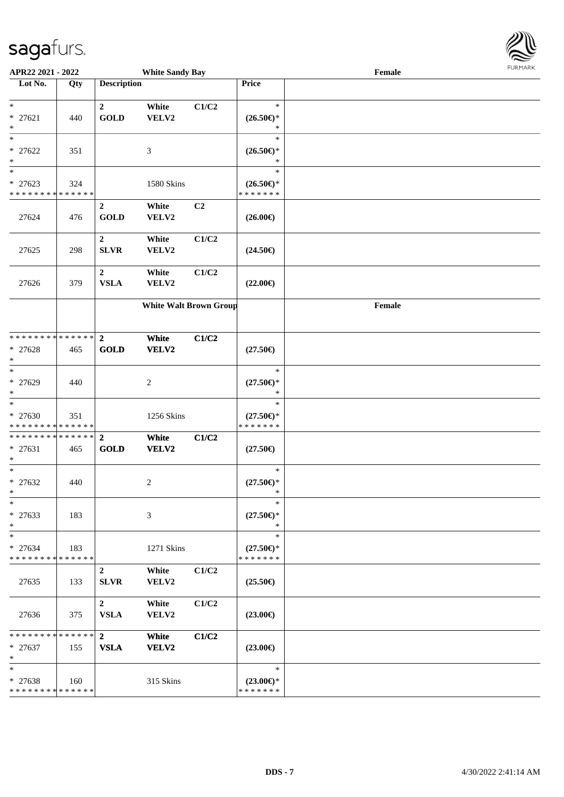

| APR22 2021 - 2022                                            |     |                                 | <b>White Sandy Bay</b>        |                |                                                                   | Female | <b>FURMARK</b> |
|--------------------------------------------------------------|-----|---------------------------------|-------------------------------|----------------|-------------------------------------------------------------------|--------|----------------|
| Lot No.                                                      | Qty | <b>Description</b>              |                               |                | Price                                                             |        |                |
| $*$<br>$* 27621$<br>$*$                                      | 440 | $\overline{2}$<br><b>GOLD</b>   | White<br>VELV2                | C1/C2          | $\ast$<br>$(26.50\epsilon)$ *<br>*                                |        |                |
| $*$<br>$* 27622$<br>$*$<br>$*$                               | 351 |                                 | 3                             |                | $\ast$<br>$(26.50\mathnormal{\in}\mathcal{)^{\! \! \times}}$<br>* |        |                |
| * 27623<br>* * * * * * * * * * * * * *                       | 324 |                                 | 1580 Skins                    |                | $\ast$<br>$(26.50\epsilon)$ *<br>* * * * * * *                    |        |                |
| 27624                                                        | 476 | $\overline{2}$<br><b>GOLD</b>   | White<br>VELV2                | C <sub>2</sub> | $(26.00\epsilon)$                                                 |        |                |
| 27625                                                        | 298 | $\boldsymbol{2}$<br><b>SLVR</b> | White<br>VELV2                | C1/C2          | $(24.50\epsilon)$                                                 |        |                |
| 27626                                                        | 379 | $\boldsymbol{2}$<br><b>VSLA</b> | White<br>VELV2                | C1/C2          | $(22.00\epsilon)$                                                 |        |                |
|                                                              |     |                                 | <b>White Walt Brown Group</b> |                |                                                                   | Female |                |
| * * * * * * * * * * * * * * *<br>* 27628<br>$*$              | 465 | $\overline{2}$<br><b>GOLD</b>   | White<br>VELV2                | C1/C2          | $(27.50\epsilon)$                                                 |        |                |
| $*$<br>* 27629<br>$*$                                        | 440 |                                 | 2                             |                | $\ast$<br>$(27.50\epsilon)$ *<br>$\ast$                           |        |                |
| * 27630<br>* * * * * * * * <mark>* * * * * * *</mark>        | 351 |                                 | 1256 Skins                    |                | $\ast$<br>$(27.50\epsilon)$ *<br>* * * * * * *                    |        |                |
| * * * * * * * * * * * * * * *<br>* 27631<br>$\ast$           | 465 | $\overline{2}$<br><b>GOLD</b>   | White<br>VELV2                | C1/C2          | $(27.50\epsilon)$                                                 |        |                |
| $*$<br>* 27632                                               | 440 |                                 | 2                             |                | $\ast$<br>$(27.50\epsilon)$ *                                     |        |                |
| $\ast$<br>* 27633<br>$*$                                     | 183 |                                 | 3                             |                | *<br>$(27.50\epsilon)$ *<br>$\ast$                                |        |                |
| $\ast$<br>$* 27634$<br>* * * * * * * * * * * * * *           | 183 |                                 | 1271 Skins                    |                | $\ast$<br>$(27.50\epsilon)$ *<br>* * * * * * *                    |        |                |
| 27635                                                        | 133 | $\overline{2}$<br><b>SLVR</b>   | White<br>VELV2                | C1/C2          | $(25.50\epsilon)$                                                 |        |                |
| 27636                                                        | 375 | $\overline{2}$<br><b>VSLA</b>   | White<br>VELV2                | C1/C2          | $(23.00\epsilon)$                                                 |        |                |
| * * * * * * * * * * * * * * *<br>$* 27637$<br>$*$            | 155 | $\overline{2}$<br><b>VSLA</b>   | White<br>VELV2                | C1/C2          | $(23.00\epsilon)$                                                 |        |                |
| $*$<br>* 27638<br>* * * * * * * * <mark>* * * * * * *</mark> | 160 |                                 | 315 Skins                     |                | $\ast$<br>$(23.00\epsilon)$ *<br>* * * * * * *                    |        |                |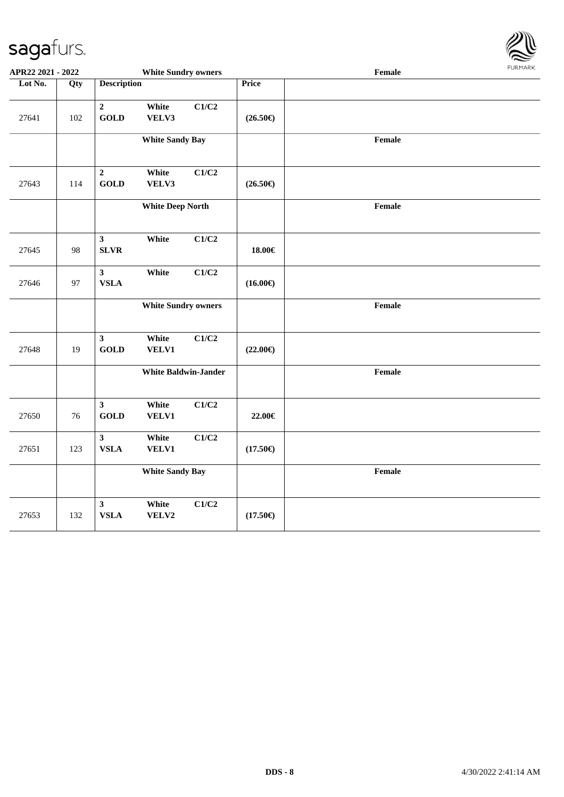

| APR22 2021 - 2022 |     |                               | <b>White Sundry owners</b> |                             |                   | Female |  |
|-------------------|-----|-------------------------------|----------------------------|-----------------------------|-------------------|--------|--|
| Lot No.           | Qty | <b>Description</b>            |                            |                             | Price             |        |  |
| 27641             | 102 | $\overline{2}$<br><b>GOLD</b> | White<br>VELV3             | C1/C2                       | $(26.50\epsilon)$ |        |  |
|                   |     |                               | <b>White Sandy Bay</b>     |                             |                   | Female |  |
| 27643             | 114 | $\overline{2}$<br><b>GOLD</b> | White<br>VELV3             | C1/C2                       | $(26.50\epsilon)$ |        |  |
|                   |     |                               | <b>White Deep North</b>    |                             |                   | Female |  |
| 27645             | 98  | $\mathbf{3}$<br><b>SLVR</b>   | White                      | C1/C2                       | 18.00€            |        |  |
| 27646             | 97  | $\mathbf{3}$<br><b>VSLA</b>   | White                      | C1/C2                       | $(16.00\epsilon)$ |        |  |
|                   |     |                               | <b>White Sundry owners</b> |                             |                   | Female |  |
| 27648             | 19  | $\mathbf{3}$<br><b>GOLD</b>   | White<br>VELV1             | C1/C2                       | $(22.00\epsilon)$ |        |  |
|                   |     |                               |                            | <b>White Baldwin-Jander</b> |                   | Female |  |
| 27650             | 76  | $\mathbf{3}$<br><b>GOLD</b>   | White<br>VELV1             | C1/C2                       | 22.00€            |        |  |
| 27651             | 123 | $\mathbf{3}$<br>${\bf VSLA}$  | White<br><b>VELV1</b>      | C1/C2                       | $(17.50\epsilon)$ |        |  |
|                   |     |                               | <b>White Sandy Bay</b>     |                             |                   | Female |  |
| 27653             | 132 | $\mathbf{3}$<br><b>VSLA</b>   | White<br>VELV2             | C1/C2                       | $(17.50\epsilon)$ |        |  |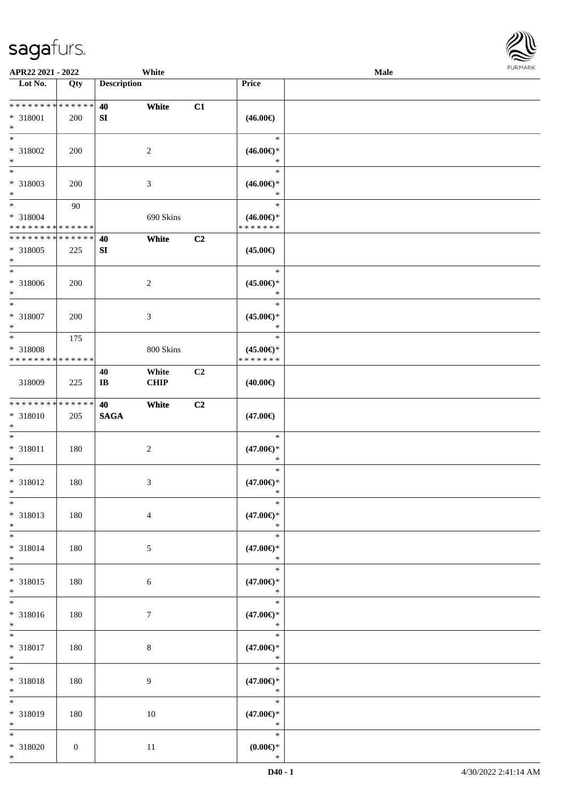

| APR22 2021 - 2022                          |                |                    | White          |    |                       | <b>Male</b> |  |
|--------------------------------------------|----------------|--------------------|----------------|----|-----------------------|-------------|--|
| Lot No.                                    | Qty            | <b>Description</b> |                |    | Price                 |             |  |
|                                            |                |                    |                |    |                       |             |  |
| * * * * * * * * <mark>* * * * * * *</mark> |                | 40                 | White          | C1 |                       |             |  |
| * 318001                                   | 200            | SI                 |                |    | $(46.00\epsilon)$     |             |  |
| $*$                                        |                |                    |                |    |                       |             |  |
| $*$                                        |                |                    |                |    | $\ast$                |             |  |
|                                            |                |                    |                |    |                       |             |  |
| * 318002                                   | 200            |                    | 2              |    | $(46.00\epsilon)$ *   |             |  |
| $*$                                        |                |                    |                |    | $\ast$                |             |  |
|                                            |                |                    |                |    | $\ast$                |             |  |
| * 318003                                   | 200            |                    | 3              |    | $(46.00\epsilon)$ *   |             |  |
| $*$                                        |                |                    |                |    | $\ast$                |             |  |
| $*$                                        | 90             |                    |                |    | $\ast$                |             |  |
| * 318004                                   |                |                    | 690 Skins      |    | $(46.00\epsilon)$ *   |             |  |
| * * * * * * * * * * * * * *                |                |                    |                |    | * * * * * * *         |             |  |
| * * * * * * * * * * * * * *                |                | 40                 | White          | C2 |                       |             |  |
| * 318005                                   |                |                    |                |    |                       |             |  |
|                                            | 225            | SI                 |                |    | $(45.00\epsilon)$     |             |  |
| $*$<br>$*$                                 |                |                    |                |    |                       |             |  |
|                                            |                |                    |                |    | $\ast$                |             |  |
| * 318006                                   | 200            |                    | 2              |    | $(45.00\epsilon)$ *   |             |  |
| $\ast$                                     |                |                    |                |    | $\ast$                |             |  |
| $*$                                        |                |                    |                |    | $\ast$                |             |  |
| * 318007                                   | 200            |                    | 3              |    | $(45.00\epsilon)$ *   |             |  |
| $*$                                        |                |                    |                |    | $\ast$                |             |  |
| $*$                                        | 175            |                    |                |    | $\ast$                |             |  |
| * 318008                                   |                |                    | 800 Skins      |    | $(45.00\epsilon)$ *   |             |  |
| * * * * * * * * * * * * * *                |                |                    |                |    | * * * * * * *         |             |  |
|                                            |                |                    |                | C2 |                       |             |  |
|                                            |                | 40                 | White          |    |                       |             |  |
| 318009                                     | 225            | IB                 | <b>CHIP</b>    |    | $(40.00\epsilon)$     |             |  |
|                                            |                |                    |                |    |                       |             |  |
| * * * * * * * * * * * * * *                |                | 40                 | White          | C2 |                       |             |  |
| * 318010                                   | 205            | <b>SAGA</b>        |                |    | $(47.00\epsilon)$     |             |  |
| $*$                                        |                |                    |                |    |                       |             |  |
| $*$                                        |                |                    |                |    | $\ast$                |             |  |
| * 318011                                   | 180            |                    | $\overline{c}$ |    | $(47.00\epsilon)$ *   |             |  |
| $\ast$                                     |                |                    |                |    | $\ast$                |             |  |
| $*$                                        |                |                    |                |    | $\ast$                |             |  |
| * 318012                                   | 180            |                    | 3              |    | $(47.00\epsilon)$ *   |             |  |
| $*$                                        |                |                    |                |    | $\ast$                |             |  |
| $*$                                        |                |                    |                |    | $\ast$                |             |  |
| * 318013                                   | 180            |                    | $\overline{4}$ |    | $(47.00\epsilon)$ *   |             |  |
| $*$                                        |                |                    |                |    | $\ast$                |             |  |
|                                            |                |                    |                |    |                       |             |  |
| $*$                                        |                |                    |                |    | $\ast$                |             |  |
| * 318014                                   | 180            |                    | 5              |    | $(47.00\epsilon)$ *   |             |  |
| $*$                                        |                |                    |                |    | $\ast$                |             |  |
| $*$                                        |                |                    |                |    | $\ast$                |             |  |
| * 318015                                   | 180            |                    | $\sqrt{6}$     |    | $(47.00\epsilon)$ *   |             |  |
| $*$                                        |                |                    |                |    | $\ast$                |             |  |
| $\overline{\ }$                            |                |                    |                |    | $\ast$                |             |  |
| * 318016                                   | 180            |                    | $\tau$         |    | $(47.00\epsilon)$ *   |             |  |
| $*$                                        |                |                    |                |    | $\ast$                |             |  |
| $*$                                        |                |                    |                |    | $\ast$                |             |  |
| * 318017                                   | 180            |                    | $8\,$          |    | $(47.00\epsilon)$ *   |             |  |
| $*$                                        |                |                    |                |    | $\ast$                |             |  |
| $*$ $-$                                    |                |                    |                |    | $\ast$                |             |  |
|                                            |                |                    |                |    |                       |             |  |
| * 318018                                   | 180            |                    | 9              |    | $(47.00\epsilon)$ *   |             |  |
| $*$                                        |                |                    |                |    | $\ast$                |             |  |
| $\overline{\ast}$                          |                |                    |                |    | $\ast$                |             |  |
| * 318019                                   | 180            |                    | 10             |    | $(47.00\epsilon)$ *   |             |  |
| $*$                                        |                |                    |                |    | $\ast$                |             |  |
| $*$                                        |                |                    |                |    | $\ast$                |             |  |
| * 318020                                   | $\overline{0}$ |                    | 11             |    | $(0.00\varepsilon)$ * |             |  |
| $*$                                        |                |                    |                |    | $\ast$                |             |  |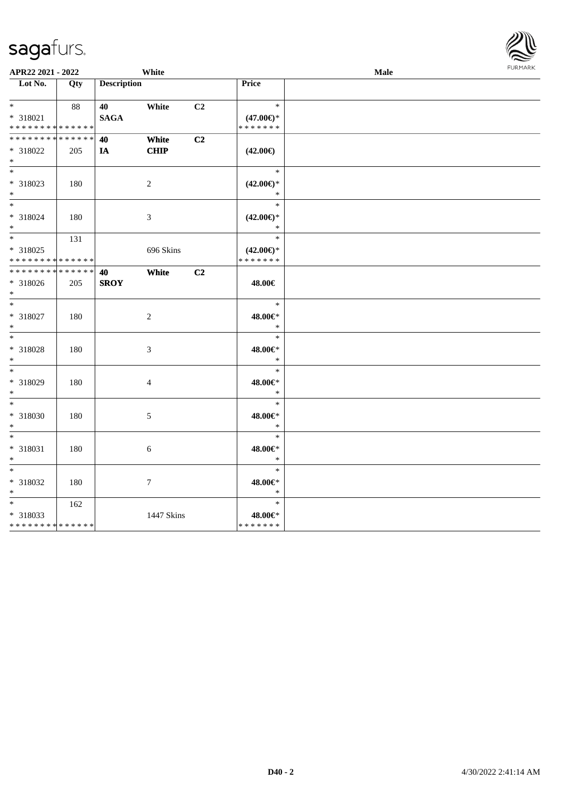| APR22 2021 - 2022                          |        |                    | White          |                |                     | Male | <b>FUNITANN</b> |
|--------------------------------------------|--------|--------------------|----------------|----------------|---------------------|------|-----------------|
| Lot No.                                    | Qty    | <b>Description</b> |                |                | Price               |      |                 |
|                                            |        |                    |                |                |                     |      |                 |
| $*$ $*$                                    | 88     | 40                 | White          | C <sub>2</sub> | $\ast$              |      |                 |
| * 318021                                   |        | <b>SAGA</b>        |                |                | $(47.00\epsilon)$ * |      |                 |
| * * * * * * * * * * * * * *                |        |                    |                |                | * * * * * * *       |      |                 |
| * * * * * * * * <mark>* * * * * *</mark>   |        | 40                 | White          | C2             |                     |      |                 |
| * 318022                                   | 205    | IA                 | CHIP           |                | $(42.00\epsilon)$   |      |                 |
| $\ast$                                     |        |                    |                |                |                     |      |                 |
| $*$                                        |        |                    |                |                | $\ast$              |      |                 |
| * 318023                                   | 180    |                    | 2              |                | $(42.00\epsilon)$ * |      |                 |
| $*$                                        |        |                    |                |                | $\ast$              |      |                 |
| $*$                                        |        |                    |                |                | $\ast$              |      |                 |
| * 318024                                   | 180    |                    | $\mathfrak{Z}$ |                | $(42.00\epsilon)$ * |      |                 |
| $*$                                        |        |                    |                |                | $\ast$              |      |                 |
|                                            | 131    |                    |                |                | $\ast$              |      |                 |
| * 318025                                   |        |                    | 696 Skins      |                | $(42.00\epsilon)$ * |      |                 |
| * * * * * * * * * * * * * *                |        |                    |                |                | * * * * * * *       |      |                 |
| * * * * * * * *                            | ****** | 40                 | White          | C2             |                     |      |                 |
| * 318026                                   | 205    | <b>SROY</b>        |                |                | 48.00€              |      |                 |
| $*$                                        |        |                    |                |                |                     |      |                 |
| $*$                                        |        |                    |                |                | $\ast$              |      |                 |
| * 318027                                   | 180    |                    | $\sqrt{2}$     |                | 48.00€*             |      |                 |
| $*$                                        |        |                    |                |                | $\ast$              |      |                 |
|                                            |        |                    |                |                | $\ast$              |      |                 |
| * 318028                                   | 180    |                    | $\mathfrak{Z}$ |                | 48.00€*             |      |                 |
| $*$                                        |        |                    |                |                | $\ast$              |      |                 |
|                                            |        |                    |                |                | $\ast$              |      |                 |
| * 318029                                   | 180    |                    | 4              |                | $48.00 \text{eV}$   |      |                 |
| $\ast$                                     |        |                    |                |                | $\ast$              |      |                 |
| $*$                                        |        |                    |                |                | $\ast$              |      |                 |
| * 318030                                   | 180    |                    | 5              |                | 48.00€*             |      |                 |
| $*$                                        |        |                    |                |                | $\ast$              |      |                 |
| $*$                                        |        |                    |                |                | $\ast$              |      |                 |
| * 318031                                   | 180    |                    | 6              |                | 48.00€*             |      |                 |
| $\ast$                                     |        |                    |                |                | $\ast$              |      |                 |
| $*$                                        |        |                    |                |                | $\ast$              |      |                 |
| * 318032                                   | 180    |                    | 7              |                | 48.00€*             |      |                 |
| $*$                                        |        |                    |                |                | $\ast$              |      |                 |
| $*$ $*$                                    | 162    |                    |                |                | $\ast$              |      |                 |
| * 318033                                   |        |                    | 1447 Skins     |                | 48.00€*             |      |                 |
| * * * * * * * * <mark>* * * * * * *</mark> |        |                    |                |                | * * * * * * *       |      |                 |

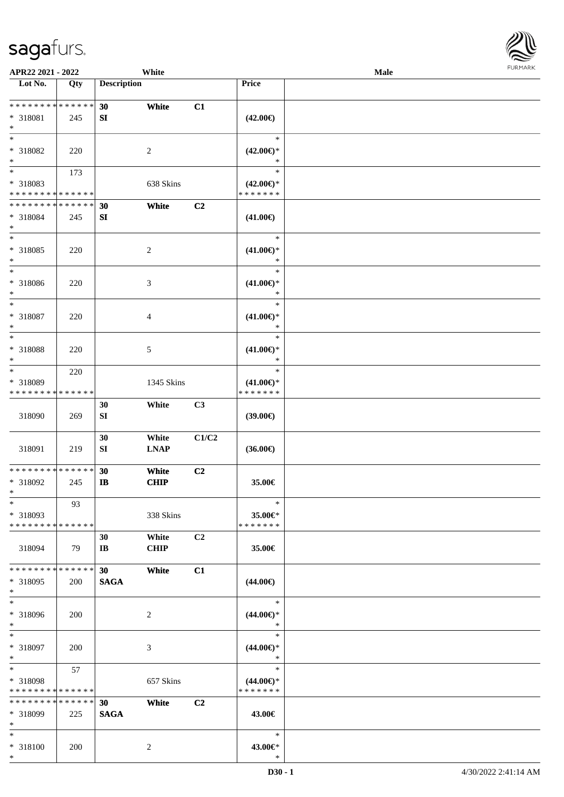

| APR22 2021 - 2022                                                   |                    |                             | White                |                |                                                | Male |  |
|---------------------------------------------------------------------|--------------------|-----------------------------|----------------------|----------------|------------------------------------------------|------|--|
| Lot No.                                                             | Qty                | <b>Description</b>          |                      |                | Price                                          |      |  |
| ******** <mark>******</mark><br>* 318081<br>$*$                     | 245                | 30<br>SI                    | White                | C1             | $(42.00\epsilon)$                              |      |  |
| $*$<br>* 318082<br>$\ast$                                           | 220                |                             | 2                    |                | $\ast$<br>$(42.00\epsilon)$ *<br>∗             |      |  |
| $\overline{\phantom{0}}$<br>* 318083<br>* * * * * * * * * * * * * * | 173                |                             | 638 Skins            |                | $\ast$<br>$(42.00\epsilon)$ *<br>* * * * * * * |      |  |
| * * * * * * * * * * * * * *<br>* 318084<br>$*$                      | 245                | 30<br>${\bf SI}$            | White                | C <sub>2</sub> | $(41.00\epsilon)$                              |      |  |
| $*$<br>* 318085<br>$*$                                              | 220                |                             | $\overline{c}$       |                | $\ast$<br>$(41.00\epsilon)$ *<br>$\ast$        |      |  |
| $\ast$<br>$* 318086$<br>$*$                                         | 220                |                             | 3                    |                | $\ast$<br>$(41.00\epsilon)$ *<br>$\ast$        |      |  |
| $*$<br>$* 318087$<br>$*$                                            | 220                |                             | 4                    |                | $\ast$<br>$(41.00\epsilon)$ *<br>$\ast$        |      |  |
| $*$<br>* 318088<br>$*$                                              | 220                |                             | 5                    |                | $\ast$<br>$(41.00\epsilon)$ *<br>$\ast$        |      |  |
| $*$<br>* 318089<br>* * * * * * * *                                  | 220<br>* * * * * * |                             | 1345 Skins           |                | $\ast$<br>$(41.00\epsilon)$ *<br>* * * * * * * |      |  |
| 318090                                                              | 269                | 30<br>${\bf S}{\bf I}$      | White                | C3             | $(39.00\epsilon)$                              |      |  |
| 318091                                                              | 219                | 30<br>SI                    | White<br><b>LNAP</b> | C1/C2          | $(36.00\epsilon)$                              |      |  |
| * * * * * * * * * * * * * *<br>* 318092<br>$*$                      | 245                | 30<br>$\mathbf{I}$          | White<br><b>CHIP</b> | C2             | 35.00€                                         |      |  |
| $\ast$<br>* 318093<br>* * * * * * * * * * * * * *                   | 93                 |                             | 338 Skins            |                | $\ast$<br>35.00€*<br>* * * * * * *             |      |  |
| 318094                                                              | 79                 | 30<br>$\mathbf{I}$ <b>B</b> | White<br><b>CHIP</b> | C2             | 35.00€                                         |      |  |
| * * * * * * * *<br>* 318095<br>$*$                                  | * * * * * *<br>200 | 30<br><b>SAGA</b>           | White                | C1             | $(44.00\epsilon)$                              |      |  |
| $*$<br>* 318096<br>$*$                                              | 200                |                             | 2                    |                | $\ast$<br>$(44.00\epsilon)$ *<br>$\ast$        |      |  |
| $*$<br>* 318097<br>$*$                                              | 200                |                             | 3                    |                | $\ast$<br>$(44.00\epsilon)$ *<br>$\ast$        |      |  |
| $*$<br>* 318098<br>* * * * * * * * * * * * * *                      | 57                 |                             | 657 Skins            |                | $\ast$<br>$(44.00\epsilon)$ *<br>* * * * * * * |      |  |
| * * * * * * * *<br>* 318099<br>$*$                                  | * * * * * *<br>225 | 30<br><b>SAGA</b>           | White                | C2             | 43.00€                                         |      |  |
| $*$<br>* 318100<br>$*$                                              | 200                |                             | $\overline{c}$       |                | $\ast$<br>43.00€*<br>$\ast$                    |      |  |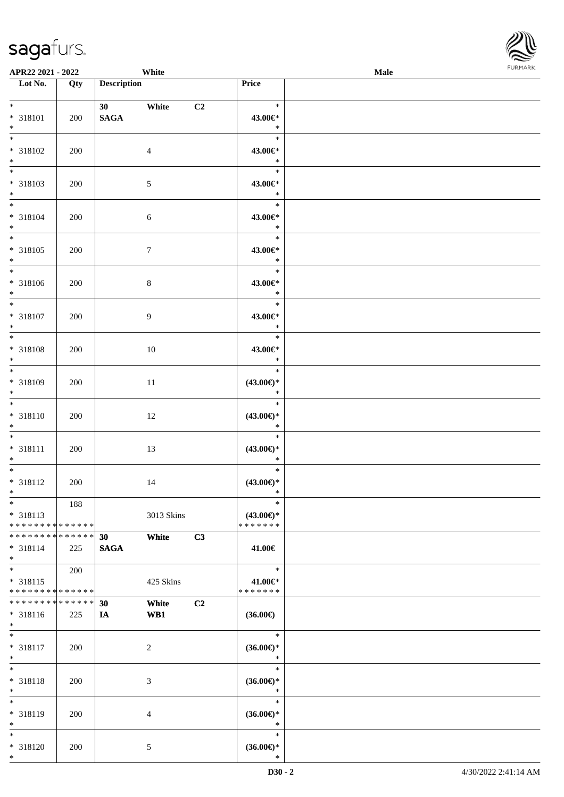| APR22 2021 - 2022                                                                                  |             | White                     |                |                                         | <b>Male</b> |  |
|----------------------------------------------------------------------------------------------------|-------------|---------------------------|----------------|-----------------------------------------|-------------|--|
| Lot No.                                                                                            | Qty         | <b>Description</b>        |                | Price                                   |             |  |
| $*$<br>* 318101<br>$*$                                                                             | 200         | 30 White<br><b>SAGA</b>   | C <sub>2</sub> | $\ast$<br>43.00€*<br>$\ast$             |             |  |
| $\overline{\ast}$<br>* 318102<br>$*$                                                               | 200         | $\overline{4}$            |                | $\ast$<br>43.00€*<br>$\ast$             |             |  |
| $\overline{\phantom{0}}$<br>* 318103<br>$*$                                                        | 200         | $\sqrt{5}$                |                | $\ast$<br>43.00€*<br>$\ast$             |             |  |
| $*$<br>* 318104<br>$*$                                                                             | 200         | 6                         |                | $\ast$<br>43.00€*<br>$\ast$<br>$\ast$   |             |  |
| * 318105<br>$*$<br>$\overline{\phantom{0}}$                                                        | 200         | $\tau$                    |                | 43.00€*<br>$\ast$<br>$\ast$             |             |  |
| * 318106<br>$*$<br>$\overline{\ast}$                                                               | 200         | $8\,$                     |                | 43.00€*<br>$\ast$<br>$\ast$             |             |  |
| * 318107<br>$*$<br>$*$                                                                             | 200         | 9                         |                | 43.00€*<br>$\ast$<br>$\ast$             |             |  |
| * 318108<br>$\ast$<br>$*$                                                                          | 200         | 10                        |                | 43.00€*<br>$\ast$<br>$\ast$             |             |  |
| * 318109<br>$\ast$<br>$*$                                                                          | 200         | 11                        |                | $(43.00\epsilon)$ *<br>$\ast$<br>$\ast$ |             |  |
| * 318110<br>$*$<br>$\ddot{x}$                                                                      | 200         | 12                        |                | $(43.00\epsilon)$ *<br>$\ast$<br>$\ast$ |             |  |
| * 318111<br>$*$<br>$\ast$                                                                          | 200         | 13                        |                | $(43.00\epsilon)$ *<br>$\ast$<br>$\ast$ |             |  |
| * 318112<br>$*$<br>$*$                                                                             | 200<br>188  | 14                        |                | $(43.00\epsilon)$ *<br>$\ast$<br>$\ast$ |             |  |
| * 318113<br>* * * * * * * * <mark>* * * * * * *</mark><br>* * * * * * * * <mark>* * * * * *</mark> |             | 3013 Skins<br>White<br>30 | C3             | $(43.00\epsilon)$ *<br>* * * * * * *    |             |  |
| * 318114<br>$\ast$<br>$*$                                                                          | 225<br>200  | <b>SAGA</b>               |                | 41.00€<br>$\ast$                        |             |  |
| * 318115<br>* * * * * * * * <mark>* * * * * * *</mark><br>* * * * * * * *                          | * * * * * * | 425 Skins<br>White<br>30  | C2             | 41.00€*<br>* * * * * * *                |             |  |
| * 318116<br>$*$<br>$\overline{\ast}$                                                               | 225         | WB1<br>IA                 |                | $(36.00\epsilon)$<br>$\ast$             |             |  |
| * 318117<br>$\ast$<br>$*$                                                                          | 200         | $\overline{c}$            |                | $(36.00\epsilon)$ *<br>$\ast$<br>$\ast$ |             |  |
| * 318118<br>$\ast$<br>$\ast$                                                                       | 200         | 3                         |                | $(36.00\epsilon)$ *<br>$\ast$<br>$\ast$ |             |  |
| * 318119<br>$*$<br>$*$                                                                             | 200         | 4                         |                | $(36.00\epsilon)$ *<br>$\ast$<br>$\ast$ |             |  |
| * 318120<br>$\ast$                                                                                 | 200         | 5                         |                | $(36.00\epsilon)$ *<br>$\ast$           |             |  |

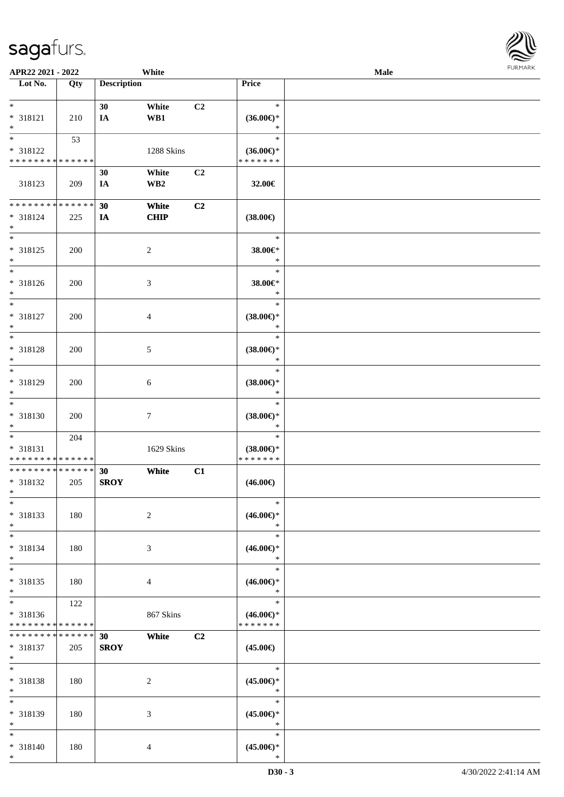| APR22 2021 - 2022                          |             |                    | White                |                |                               | Male | <b>FURPIARA</b> |
|--------------------------------------------|-------------|--------------------|----------------------|----------------|-------------------------------|------|-----------------|
| Lot No.                                    | Qty         | <b>Description</b> |                      |                | Price                         |      |                 |
| $*$                                        |             |                    |                      |                | $\ast$                        |      |                 |
| * 318121                                   | 210         | 30<br>IA           | White<br>WB1         | C2             | $(36.00\epsilon)$ *           |      |                 |
| $\ast$                                     |             |                    |                      |                | $\ast$                        |      |                 |
|                                            | 53          |                    |                      |                | $\ast$                        |      |                 |
| * 318122                                   |             |                    | 1288 Skins           |                | $(36.00\epsilon)$ *           |      |                 |
| * * * * * * * * * * * * * *                |             |                    |                      |                | * * * * * * *                 |      |                 |
|                                            |             | 30                 | White                | C <sub>2</sub> |                               |      |                 |
| 318123                                     | 209         | IA                 | WB <sub>2</sub>      |                | 32.00€                        |      |                 |
| * * * * * * * * * * * * * * *              |             | 30                 |                      | C2             |                               |      |                 |
| * 318124                                   | 225         | IA                 | White<br><b>CHIP</b> |                | $(38.00\epsilon)$             |      |                 |
| $\ast$                                     |             |                    |                      |                |                               |      |                 |
| $\overline{\phantom{0}}$                   |             |                    |                      |                | $\ast$                        |      |                 |
| * 318125                                   | 200         |                    | 2                    |                | 38.00€*                       |      |                 |
| $\ast$                                     |             |                    |                      |                | $\ast$                        |      |                 |
| $\overline{\phantom{0}}$                   |             |                    |                      |                | $\ast$                        |      |                 |
| * 318126<br>$*$                            | 200         |                    | 3                    |                | 38.00€*<br>$\ast$             |      |                 |
| $\ast$                                     |             |                    |                      |                | $\ast$                        |      |                 |
| * 318127                                   | 200         |                    | $\overline{4}$       |                | $(38.00\epsilon)$ *           |      |                 |
| $\ast$                                     |             |                    |                      |                | $\ast$                        |      |                 |
| $\overline{\ast}$                          |             |                    |                      |                | $\ast$                        |      |                 |
| * 318128                                   | 200         |                    | 5                    |                | $(38.00\epsilon)$ *           |      |                 |
| $*$                                        |             |                    |                      |                | $\ast$                        |      |                 |
|                                            |             |                    |                      |                | $\ast$                        |      |                 |
| * 318129<br>$\ast$                         | 200         |                    | 6                    |                | $(38.00\epsilon)$ *<br>$\ast$ |      |                 |
| $\ast$                                     |             |                    |                      |                | $\ast$                        |      |                 |
| * 318130                                   | 200         |                    | $\tau$               |                | $(38.00\epsilon)$ *           |      |                 |
| $\ast$                                     |             |                    |                      |                | $\ast$                        |      |                 |
| $\overline{\ast}$                          | 204         |                    |                      |                | $\ast$                        |      |                 |
| * 318131                                   |             |                    | 1629 Skins           |                | $(38.00\epsilon)$ *           |      |                 |
| * * * * * * * * <mark>* * * * * * *</mark> |             |                    |                      |                | * * * * * * *                 |      |                 |
| * * * * * * * * <mark>* * * * * * *</mark> |             | 30                 | White                | C1             |                               |      |                 |
| * 318132<br>$*$ $-$                        | 205         | <b>SROY</b>        |                      |                | $(46.00\epsilon)$             |      |                 |
| $\ast$                                     |             |                    |                      |                | $\ast$                        |      |                 |
| * 318133                                   | 180         |                    | $\sqrt{2}$           |                | $(46.00ε)$ *                  |      |                 |
| $\ast$                                     |             |                    |                      |                | $\ast$                        |      |                 |
|                                            |             |                    |                      |                | $\ast$                        |      |                 |
| * 318134                                   | 180         |                    | 3                    |                | $(46.00\epsilon)$ *           |      |                 |
| $*$<br>$\ast$                              |             |                    |                      |                | $\ast$<br>$\ast$              |      |                 |
| * 318135                                   | 180         |                    | $\overline{4}$       |                | $(46.00\epsilon)$ *           |      |                 |
| $\ast$                                     |             |                    |                      |                | $\ast$                        |      |                 |
| $*$ $-$                                    | 122         |                    |                      |                | $\ast$                        |      |                 |
| * 318136                                   |             |                    | 867 Skins            |                | $(46.00\epsilon)$ *           |      |                 |
| * * * * * * * * <mark>* * * * * * *</mark> |             |                    |                      |                | * * * * * * *                 |      |                 |
| * * * * * * * *                            | * * * * * * | 30                 | White                | C <sub>2</sub> |                               |      |                 |
| * 318137                                   | 205         | <b>SROY</b>        |                      |                | $(45.00\epsilon)$             |      |                 |
| $\ast$<br>$\ast$                           |             |                    |                      |                | $\ast$                        |      |                 |
| * 318138                                   | 180         |                    | 2                    |                | $(45.00\epsilon)$ *           |      |                 |
| $*$                                        |             |                    |                      |                | $\ast$                        |      |                 |
| $*$                                        |             |                    |                      |                | $\ast$                        |      |                 |
| * 318139                                   | 180         |                    | 3                    |                | $(45.00\epsilon)$ *           |      |                 |
| $\ast$                                     |             |                    |                      |                | $\ast$                        |      |                 |
| $\ast$                                     |             |                    |                      |                | $\ast$                        |      |                 |
| * 318140<br>$*$                            | 180         |                    | 4                    |                | $(45.00ε)$ *<br>$\ast$        |      |                 |
|                                            |             |                    |                      |                |                               |      |                 |

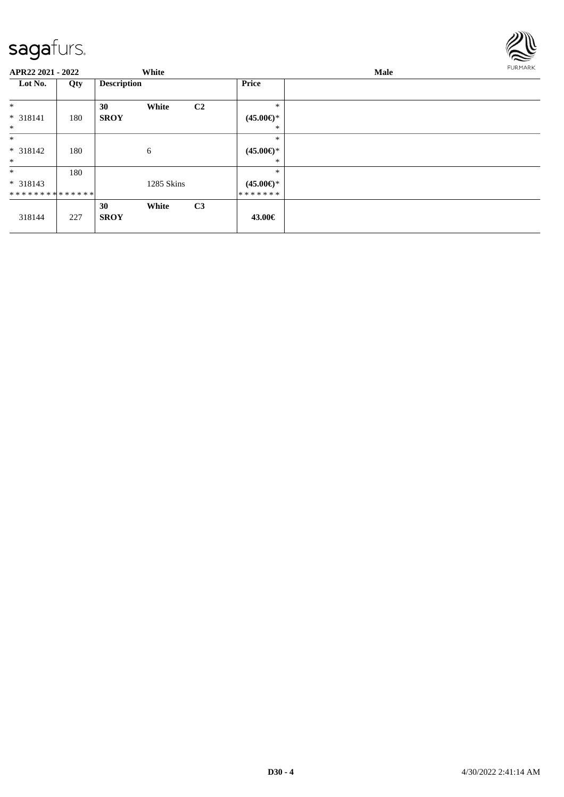

| APR22 2021 - 2022 |     |                    | White      |                |                     | Male |  |  |  |
|-------------------|-----|--------------------|------------|----------------|---------------------|------|--|--|--|
| Lot No.           | Qty | <b>Description</b> |            |                | <b>Price</b>        |      |  |  |  |
| $\ast$            |     | 30                 | White      | C2             | $\ast$              |      |  |  |  |
| $* 318141$        | 180 | <b>SROY</b>        |            |                | $(45.00\epsilon)$ * |      |  |  |  |
| $\ast$            |     |                    |            |                | $\ast$              |      |  |  |  |
| $*$               |     |                    |            |                | $\ast$              |      |  |  |  |
| $* 318142$        | 180 |                    | 6          |                | $(45.00\epsilon)$ * |      |  |  |  |
| $\ast$            |     |                    |            |                | ∗                   |      |  |  |  |
| $\ast$            | 180 |                    |            |                | $\ast$              |      |  |  |  |
| $* 318143$        |     |                    | 1285 Skins |                | $(45.00\epsilon)$ * |      |  |  |  |
| **************    |     |                    |            |                | *******             |      |  |  |  |
|                   |     | 30                 | White      | C <sub>3</sub> |                     |      |  |  |  |
| 318144            | 227 | <b>SROY</b>        |            |                | 43.00€              |      |  |  |  |
|                   |     |                    |            |                |                     |      |  |  |  |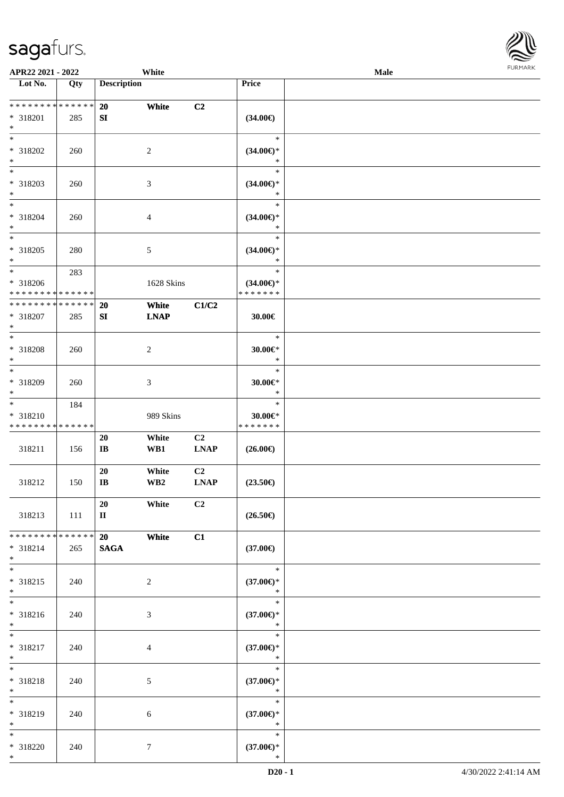

| APR22 2021 - 2022                                                    |       |                              | White                            |                               |                                                   | <b>Male</b> |  |
|----------------------------------------------------------------------|-------|------------------------------|----------------------------------|-------------------------------|---------------------------------------------------|-------------|--|
| Lot No.                                                              | Qty   | <b>Description</b>           |                                  |                               | Price                                             |             |  |
| * * * * * * * * * * * * * *<br>* 318201                              | 285   | 20<br>SI                     | White                            | C2                            | $(34.00\in)$                                      |             |  |
| $*$<br>* 318202                                                      | 260   |                              | 2                                |                               | $\ast$<br>$(34.00\epsilon)$ *                     |             |  |
| $*$<br>* 318203<br>$*$                                               | 260   |                              | 3                                |                               | $\ast$<br>$\ast$<br>$(34.00\epsilon)$ *<br>$\ast$ |             |  |
| $*$<br>* 318204<br>$*$                                               | 260   |                              | $\overline{4}$                   |                               | $\ast$<br>$(34.00\epsilon)$ *<br>$\ast$           |             |  |
| $\overline{\ }$<br>* 318205<br>$\ast$                                | 280   |                              | 5                                |                               | $\ast$<br>$(34.00\epsilon)$ *<br>$\ast$           |             |  |
| * 318206<br>* * * * * * * * <mark>* * * * * * *</mark>               | 283   |                              | 1628 Skins                       |                               | $\ast$<br>$(34.00\epsilon)$ *<br>* * * * * * *    |             |  |
| * * * * * * * * * * * * * *<br>* 318207<br>$*$                       | 285   | <b>20</b><br>SI              | White<br><b>LNAP</b>             | C1/C2                         | 30.00€                                            |             |  |
| $*$<br>* 318208<br>$*$                                               | 260   |                              | 2                                |                               | $\ast$<br>30.00€*<br>$\ast$                       |             |  |
| $\overline{\phantom{0}}$<br>* 318209<br>$*$                          | 260   |                              | 3                                |                               | $\ast$<br>30.00€*<br>$\ast$                       |             |  |
| $*$<br>* 318210<br>* * * * * * * * * * * * * *                       | 184   |                              | 989 Skins                        |                               | $\ast$<br>$30.00 \in$ *<br>* * * * * * *          |             |  |
| 318211                                                               | 156   | 20<br>$\mathbf{I}\mathbf{B}$ | White<br>WB1                     | C <sub>2</sub><br><b>LNAP</b> | $(26.00\epsilon)$                                 |             |  |
| 318212                                                               | 150   | 20<br>$\bf I\bf B$           | White<br>$\mathbf{W}\mathbf{B2}$ | C <sub>2</sub><br><b>LNAP</b> | $(23.50\epsilon)$                                 |             |  |
| 318213                                                               | - 111 | 20<br>$\mathbf{I}$           | White                            | C2                            | $(26.50\epsilon)$                                 |             |  |
| * * * * * * * * <mark>* * * * * *</mark><br>$* 318214$<br>$*$<br>$*$ | 265   | 20<br><b>SAGA</b>            | White                            | C1                            | $(37.00\epsilon)$<br>$\ast$                       |             |  |
| * 318215<br>$*$<br>$\overline{\ast}$                                 | 240   |                              | 2                                |                               | $(37.00\epsilon)$ *<br>$\ast$<br>$\ast$           |             |  |
| * 318216<br>$*$<br>$*$ $*$                                           | 240   |                              | 3                                |                               | $(37.00\epsilon)$ *<br>$\ast$<br>$\ast$           |             |  |
| * 318217<br>$*$<br>$*$                                               | 240   |                              | $\overline{4}$                   |                               | $(37.00\epsilon)$ *<br>$\ast$<br>$\ast$           |             |  |
| * 318218<br>$*$<br>$*$                                               | 240   |                              | 5                                |                               | $(37.00\epsilon)$ *<br>$\ast$<br>$\ast$           |             |  |
| * 318219<br>$*$<br>$*$                                               | 240   |                              | 6                                |                               | $(37.00\epsilon)$ *<br>$\ast$<br>$\ast$           |             |  |
| * 318220<br>$*$                                                      | 240   |                              | $\tau$                           |                               | $(37.00\epsilon)$ *<br>$\ast$                     |             |  |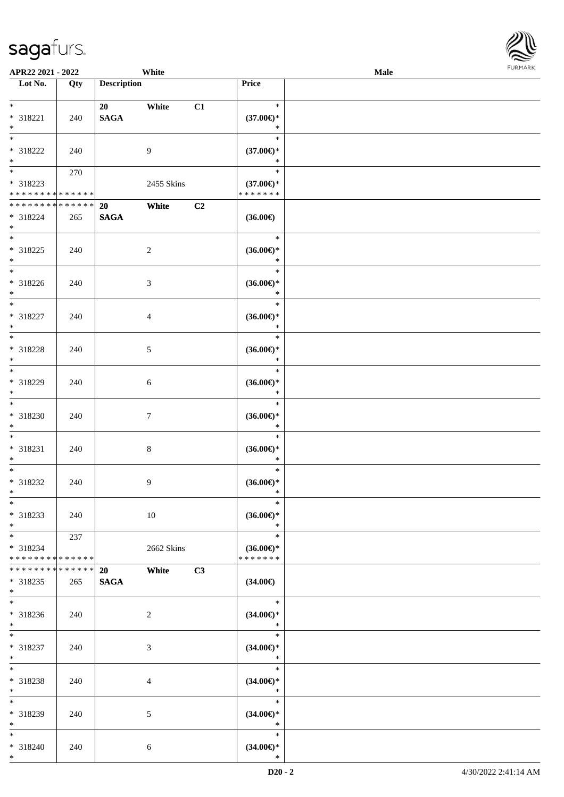| APR22 2021 - 2022                                                     |                    |                          | White            |                |                                                | Male |  |
|-----------------------------------------------------------------------|--------------------|--------------------------|------------------|----------------|------------------------------------------------|------|--|
| Lot No.                                                               | Qty                | <b>Description</b>       |                  |                | Price                                          |      |  |
| $*$<br>* 318221<br>$*$                                                | 240                | 20<br><b>SAGA</b>        | White            | C1             | $\ast$<br>$(37.00\epsilon)$ *<br>$\ast$        |      |  |
| $\overline{\ast}$<br>* 318222<br>$*$                                  | 240                |                          | 9                |                | $\ast$<br>$(37.00\epsilon)$ *<br>$\ast$        |      |  |
| $\overline{\mathbf{r}}$<br>* 318223<br>* * * * * * * * <mark>*</mark> | 270<br>* * * * * * |                          | 2455 Skins       |                | $\ast$<br>$(37.00\epsilon)$ *<br>* * * * * * * |      |  |
| * * * * * * * * * * * * * *<br>* 318224<br>$*$                        | 265                | 20<br><b>SAGA</b>        | White            | C <sub>2</sub> | $(36.00\in)$                                   |      |  |
| $*$<br>* 318225<br>$\ast$                                             | 240                |                          | $\overline{2}$   |                | $\ast$<br>$(36.00\epsilon)$ *<br>$\ast$        |      |  |
| $\overline{\phantom{0}}$<br>* 318226<br>$*$                           | 240                |                          | 3                |                | $\ast$<br>$(36.00\epsilon)$ *<br>$\ast$        |      |  |
| $\overline{\phantom{0}}$<br>* 318227<br>$*$                           | 240                |                          | 4                |                | $\ast$<br>$(36.00\epsilon)$ *<br>$\ast$        |      |  |
| $\overline{\ast}$<br>* 318228<br>$*$                                  | 240                |                          | 5                |                | $\ast$<br>$(36.00\epsilon)$ *<br>$\ast$        |      |  |
| $*$<br>* 318229<br>$\ast$                                             | 240                |                          | 6                |                | $\ast$<br>$(36.00\epsilon)$ *<br>$\ast$        |      |  |
| $\ast$<br>* 318230<br>$*$                                             | 240                |                          | $\boldsymbol{7}$ |                | $\ast$<br>$(36.00\epsilon)$ *<br>$\ast$        |      |  |
| $\ast$<br>* 318231<br>$\ast$                                          | 240                |                          | 8                |                | $\ast$<br>$(36.00\epsilon)$ *<br>$\ast$        |      |  |
| $*$<br>* 318232<br>$*$                                                | 240                |                          | 9                |                | $\ast$<br>$(36.00\epsilon)$ *<br>$\ast$        |      |  |
| $\ddot{x}$<br>* 318233<br>$*$                                         | 240                |                          | 10               |                | $\ast$<br>$(36.00\epsilon)$ *<br>$\ast$        |      |  |
| $*$ $*$<br>$* 318234$<br>* * * * * * * * <mark>* * * * * * *</mark>   | 237                |                          | 2662 Skins       |                | $\ast$<br>$(36.00\epsilon)$ *<br>* * * * * * * |      |  |
| * * * * * * * *<br>* 318235<br>$\ast$                                 | * * * * * *<br>265 | <b>20</b><br><b>SAGA</b> | White            | C3             | $(34.00\epsilon)$                              |      |  |
| * 318236<br>$*$                                                       | 240                |                          | 2                |                | $*$<br>$(34.00\epsilon)$ *<br>$\ast$           |      |  |
| $\overline{\ast}$<br>* 318237<br>$*$                                  | 240                |                          | 3                |                | $\ast$<br>$(34.00\epsilon)$ *<br>$\ast$        |      |  |
| $*$<br>* 318238<br>$*$                                                | 240                |                          | 4                |                | $\ast$<br>$(34.00\epsilon)$ *<br>$*$           |      |  |
| $\overline{\ast}$<br>* 318239<br>$*$                                  | 240                |                          | 5                |                | $\ast$<br>$(34.00\epsilon)$ *<br>$*$           |      |  |
| $*$<br>* 318240<br>$\ast$                                             | 240                |                          | $\sqrt{6}$       |                | $\ast$<br>$(34.00\epsilon)$ *<br>$\ast$        |      |  |

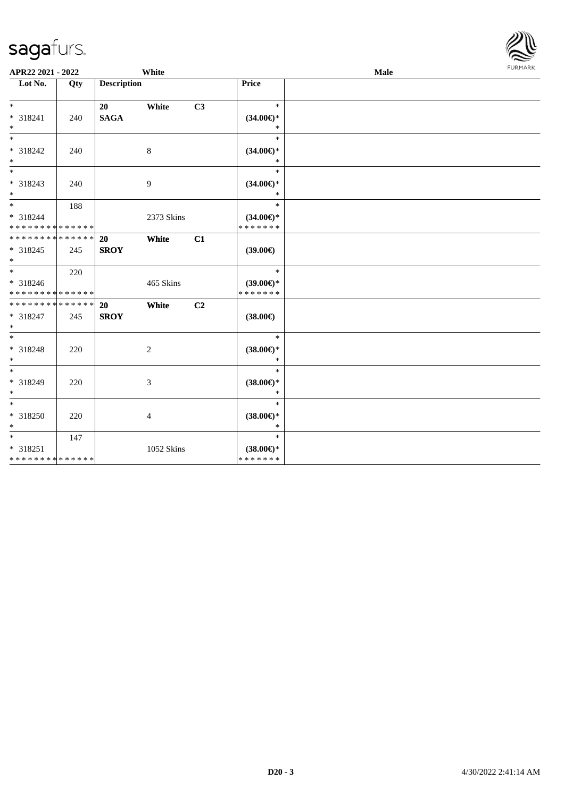

| APR22 2021 - 2022                                             |     |                          | White      |    | <b>FURMARK</b><br><b>Male</b>                  |  |  |  |
|---------------------------------------------------------------|-----|--------------------------|------------|----|------------------------------------------------|--|--|--|
| Lot No.                                                       | Qty | <b>Description</b>       |            |    | Price                                          |  |  |  |
| $*$<br>* 318241<br>$*$                                        | 240 | 20<br><b>SAGA</b>        | White      | C3 | $\ast$<br>$(34.00\epsilon)$ *<br>$\ast$        |  |  |  |
| $\overline{\phantom{0}}$<br>* 318242<br>$*$                   | 240 |                          | 8          |    | $\ast$<br>$(34.00\epsilon)$ *<br>$\ast$        |  |  |  |
| * 318243<br>$*$                                               | 240 |                          | 9          |    | $\ast$<br>$(34.00\epsilon)$ *<br>$\ast$        |  |  |  |
| $*$<br>* 318244<br>* * * * * * * * * * * * * *                | 188 |                          | 2373 Skins |    | $\ast$<br>$(34.00\epsilon)$ *<br>* * * * * * * |  |  |  |
| * * * * * * * * <mark>* * * * * * *</mark><br>* 318245<br>$*$ | 245 | 20<br><b>SROY</b>        | White      | C1 | $(39.00\epsilon)$                              |  |  |  |
| $*$ $*$<br>* 318246<br>* * * * * * * * * * * * * *            | 220 |                          | 465 Skins  |    | $\ast$<br>$(39.00 \in )$ *<br>* * * * * * *    |  |  |  |
| * * * * * * * * * * * * * * *<br>* 318247<br>$*$              | 245 | <b>20</b><br><b>SROY</b> | White      | C2 | $(38.00\epsilon)$                              |  |  |  |
| $*$<br>* 318248<br>$*$                                        | 220 |                          | 2          |    | $\ast$<br>$(38.00\epsilon)$ *<br>$\ast$        |  |  |  |
| * 318249<br>$*$                                               | 220 |                          | 3          |    | $\ast$<br>$(38.00\epsilon)$ *<br>$\ast$        |  |  |  |
| * 318250<br>$*$                                               | 220 |                          | 4          |    | $\ast$<br>$(38.00\epsilon)$ *<br>$\ast$        |  |  |  |
| $*$<br>* 318251<br>* * * * * * * * * * * * * *                | 147 |                          | 1052 Skins |    | $\ast$<br>$(38.00\epsilon)$ *<br>* * * * * * * |  |  |  |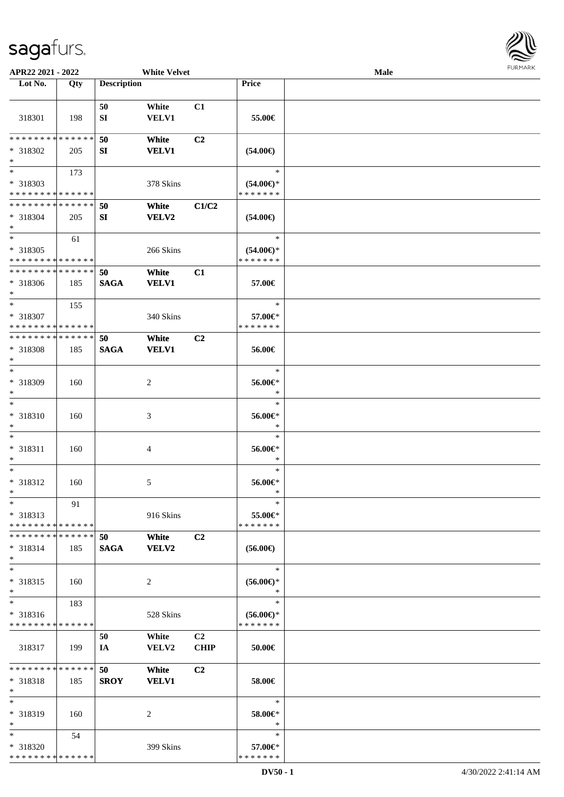

| APR22 2021 - 2022             |             |                    | <b>White Velvet</b>         |                |                                | Male |  |
|-------------------------------|-------------|--------------------|-----------------------------|----------------|--------------------------------|------|--|
| Lot No.                       | Qty         | <b>Description</b> |                             |                | Price                          |      |  |
|                               |             |                    |                             |                |                                |      |  |
|                               |             | 50                 | White                       | C1             |                                |      |  |
| 318301                        | 198         | SI                 | VELV1                       |                | 55.00€                         |      |  |
|                               |             |                    |                             |                |                                |      |  |
| * * * * * * * *               | * * * * * * | 50                 | White                       | C <sub>2</sub> |                                |      |  |
|                               |             |                    |                             |                |                                |      |  |
| * 318302<br>$\ast$            | 205         | SI                 | <b>VELV1</b>                |                | $(54.00\epsilon)$              |      |  |
| $\overline{\phantom{0}}$      |             |                    |                             |                |                                |      |  |
|                               | 173         |                    |                             |                | $\ast$                         |      |  |
| * 318303                      |             |                    | 378 Skins                   |                | $(54.00\epsilon)$ *            |      |  |
| * * * * * * * * * * * * * *   |             |                    |                             |                | * * * * * * *                  |      |  |
| * * * * * * * * * * * * * *   |             | 50                 | White                       | C1/C2          |                                |      |  |
| * 318304                      | 205         | SI                 | <b>VELV2</b>                |                | $(54.00\epsilon)$              |      |  |
| $*$                           |             |                    |                             |                |                                |      |  |
| $*$                           | 61          |                    |                             |                | $\ast$                         |      |  |
| * 318305                      |             |                    | 266 Skins                   |                | $(54.00ε)$ *                   |      |  |
| * * * * * * * * * * * * * *   |             |                    |                             |                | * * * * * * *                  |      |  |
| * * * * * * * * * * * * * *   |             | 50                 | White                       | C1             |                                |      |  |
| $*318306$                     | 185         | <b>SAGA</b>        | <b>VELV1</b>                |                | 57.00€                         |      |  |
| $*$                           |             |                    |                             |                |                                |      |  |
| $*$                           |             |                    |                             |                | $\ast$                         |      |  |
|                               | 155         |                    |                             |                |                                |      |  |
| * 318307                      |             |                    | 340 Skins                   |                | 57.00€*                        |      |  |
| * * * * * * * * * * * * * *   |             |                    |                             |                | * * * * * * *                  |      |  |
| * * * * * * * * * * * * * *   |             | 50                 | White                       | C <sub>2</sub> |                                |      |  |
| * 318308                      | 185         | <b>SAGA</b>        | <b>VELV1</b>                |                | 56.00€                         |      |  |
| $*$                           |             |                    |                             |                |                                |      |  |
| $*$                           |             |                    |                             |                | $\ast$                         |      |  |
| * 318309                      | 160         |                    | 2                           |                | 56.00€*                        |      |  |
| $*$                           |             |                    |                             |                | $\ast$                         |      |  |
| $*$                           |             |                    |                             |                | $\ast$                         |      |  |
| $* 318310$                    | 160         |                    | $\ensuremath{\mathfrak{Z}}$ |                | 56.00€*                        |      |  |
| $*$                           |             |                    |                             |                | $\ast$                         |      |  |
| $*$                           |             |                    |                             |                | $\ast$                         |      |  |
| * 318311                      | 160         |                    | 4                           |                | $56.00 \text{E}^*$             |      |  |
| $\ast$                        |             |                    |                             |                | $\ast$                         |      |  |
| $*$                           |             |                    |                             |                | $\ast$                         |      |  |
|                               |             |                    |                             |                |                                |      |  |
| $* 318312$                    | 160         |                    | 5                           |                | 56.00€*                        |      |  |
| $*$                           |             |                    |                             |                | *                              |      |  |
| $*$                           | 91          |                    |                             |                | $\ast$                         |      |  |
| * 318313                      |             |                    | 916 Skins                   |                | 55.00€*                        |      |  |
| * * * * * * * * * * * * * * * |             |                    |                             |                | * * * * * * *                  |      |  |
| * * * * * * * * * * * * * * * |             | 50                 | White                       | C2             |                                |      |  |
| * 318314                      | 185         | <b>SAGA</b>        | <b>VELV2</b>                |                | $(56.00\epsilon)$              |      |  |
| $*$                           |             |                    |                             |                |                                |      |  |
| $*$                           |             |                    |                             |                | $\ast$                         |      |  |
| $* 318315$                    | 160         |                    | 2                           |                | $(56.00\mathnormal{\infty})^*$ |      |  |
| $*$                           |             |                    |                             |                | $\ast$                         |      |  |
| $*$                           | 183         |                    |                             |                | $\ast$                         |      |  |
| * 318316                      |             |                    | 528 Skins                   |                | $(56.00ε)$ *                   |      |  |
| * * * * * * * * * * * * * *   |             |                    |                             |                | * * * * * * *                  |      |  |
|                               |             |                    |                             | C <sub>2</sub> |                                |      |  |
|                               |             | 50                 | White                       |                |                                |      |  |
| 318317                        | 199         | IA                 | <b>VELV2</b>                | <b>CHIP</b>    | 50.00€                         |      |  |
|                               |             |                    |                             |                |                                |      |  |
| * * * * * * * * * * * * * * * |             | 50                 | White                       | C2             |                                |      |  |
| $* 318318$                    | 185         | <b>SROY</b>        | <b>VELV1</b>                |                | 58.00€                         |      |  |
| $*$                           |             |                    |                             |                |                                |      |  |
| $*$                           |             |                    |                             |                | $\ast$                         |      |  |
| * 318319                      | 160         |                    | 2                           |                | 58.00€*                        |      |  |
| $*$                           |             |                    |                             |                | $\ast$                         |      |  |
| $*$                           | 54          |                    |                             |                | $\ast$                         |      |  |
| * 318320                      |             |                    | 399 Skins                   |                | 57.00€*                        |      |  |
| * * * * * * * * * * * * * *   |             |                    |                             |                | * * * * * * *                  |      |  |
|                               |             |                    |                             |                |                                |      |  |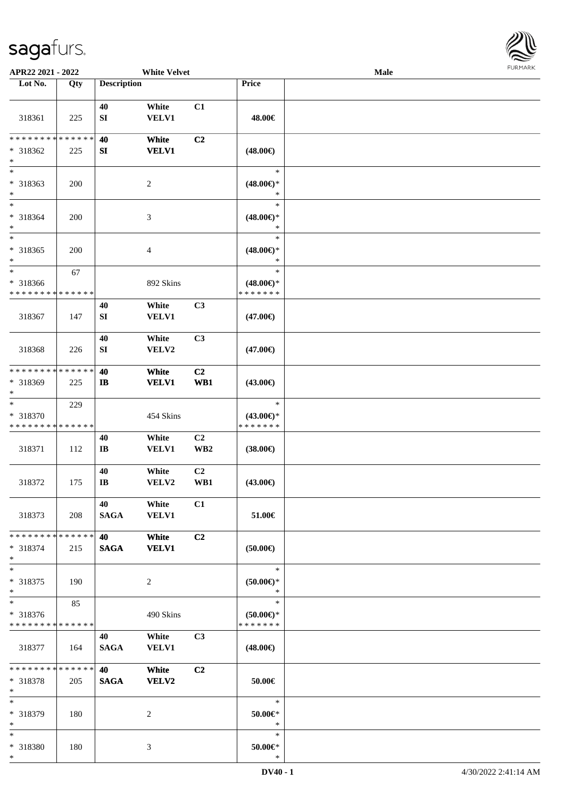\*



| APR22 2021 - 2022                                                |     |                               | <b>White Velvet</b>   |                       |                                                | <b>Male</b> |  |
|------------------------------------------------------------------|-----|-------------------------------|-----------------------|-----------------------|------------------------------------------------|-------------|--|
| Lot No.                                                          | Qty | <b>Description</b>            |                       |                       | Price                                          |             |  |
| 318361                                                           | 225 | 40<br>${\bf S}{\bf I}$        | White<br><b>VELV1</b> | C1                    | 48.00€                                         |             |  |
| * * * * * * * * * * * * * *<br>* 318362<br>$\ast$                | 225 | 40<br>SI                      | White<br><b>VELV1</b> | C2                    | $(48.00\epsilon)$                              |             |  |
| $_{*}^{-}$<br>* 318363<br>$\ast$                                 | 200 |                               | $\overline{c}$        |                       | $\ast$<br>$(48.00\epsilon)$ *<br>$\ast$        |             |  |
| $\ast$<br>* 318364<br>$\ast$                                     | 200 |                               | 3                     |                       | $\ast$<br>$(48.00\epsilon)$ *<br>$\ast$        |             |  |
| $*$<br>* 318365<br>$\ast$                                        | 200 |                               | 4                     |                       | $\ast$<br>$(48.00\epsilon)$ *<br>$\ast$        |             |  |
| $*$<br>* 318366<br>* * * * * * * * * * * * * *                   | 67  |                               | 892 Skins             |                       | $\ast$<br>$(48.00\epsilon)$ *<br>* * * * * * * |             |  |
| 318367                                                           | 147 | 40<br>${\bf S}{\bf I}$        | White<br><b>VELV1</b> | C3                    | $(47.00\epsilon)$                              |             |  |
| 318368                                                           | 226 | 40<br>SI                      | White<br>VELV2        | C3                    | $(47.00\epsilon)$                              |             |  |
| * * * * * * * * <mark>* * * * * * *</mark><br>* 318369<br>$\ast$ | 225 | 40<br>$\mathbf{I}$            | White<br><b>VELV1</b> | C <sub>2</sub><br>WB1 | $(43.00\epsilon)$                              |             |  |
| $\ast$<br>* 318370<br>* * * * * * * * * * * * * *                | 229 |                               | 454 Skins             |                       | $\ast$<br>$(43.00\epsilon)$ *<br>* * * * * * * |             |  |
| 318371                                                           | 112 | 40<br>$\mathbf{I}\mathbf{B}$  | White<br><b>VELV1</b> | C2<br>WB <sub>2</sub> | $(38.00\epsilon)$                              |             |  |
| 318372                                                           | 175 | 40<br>$\mathbf{I} \mathbf{B}$ | White<br>VELV2        | C <sub>2</sub><br>WB1 | $(43.00\epsilon)$                              |             |  |
| 318373                                                           | 208 | 40<br>SAGA                    | White<br><b>VELV1</b> | C1                    | 51.00€                                         |             |  |
| * * * * * * * * <mark>* * * * * *</mark><br>$* 318374$<br>$\ast$ | 215 | <b>40</b><br><b>SAGA</b>      | White<br><b>VELV1</b> | C <sub>2</sub>        | $(50.00\epsilon)$                              |             |  |
| $*$<br>* 318375<br>$\ast$                                        | 190 |                               | 2                     |                       | $\ast$<br>$(50.00ε)$ *<br>$\ast$               |             |  |
| $*$<br>* 318376<br>* * * * * * * * * * * * * *                   | 85  |                               | 490 Skins             |                       | $\ast$<br>$(50.00 \in )$ *<br>* * * * * * *    |             |  |
| 318377                                                           | 164 | 40<br><b>SAGA</b>             | White<br><b>VELV1</b> | C <sub>3</sub>        | $(48.00\epsilon)$                              |             |  |
| * * * * * * * * * * * * * * *<br>* 318378<br>$\ast$              | 205 | 40<br><b>SAGA</b>             | White<br><b>VELV2</b> | C2                    | 50.00€                                         |             |  |
| $\ast$<br>* 318379<br>$*$                                        | 180 |                               | 2                     |                       | $\ast$<br>50.00€*<br>$\ast$                    |             |  |
| $*$<br>* 318380<br>$*$                                           | 180 |                               | 3                     |                       | $\ast$<br>$50.00 \in$ *<br>$\ast$              |             |  |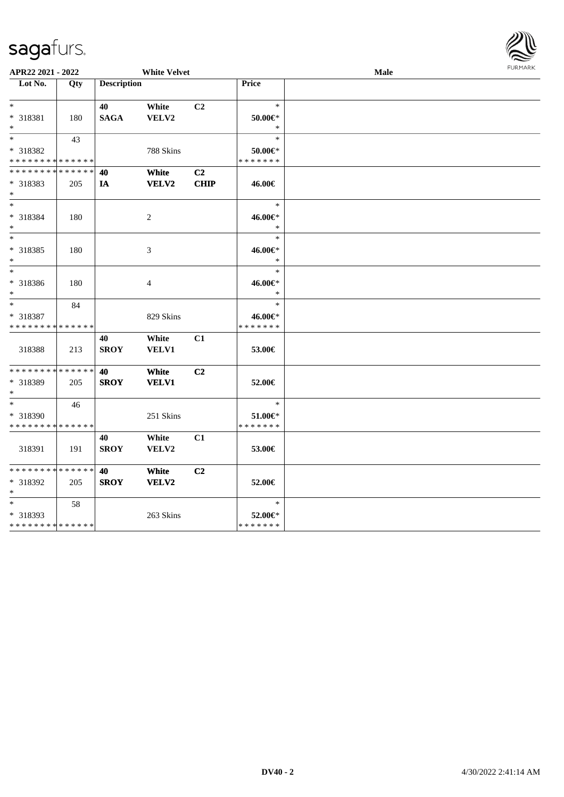|                                  | APR22 2021 - 2022<br><b>White Velvet</b> |                    |                |             |               | <b>FUNITANN</b> |  |  |
|----------------------------------|------------------------------------------|--------------------|----------------|-------------|---------------|-----------------|--|--|
| $\overline{\phantom{1}}$ Lot No. | Qty                                      | <b>Description</b> |                |             | Price         |                 |  |  |
|                                  |                                          |                    |                |             |               |                 |  |  |
| $*$                              |                                          | 40                 | White          | C2          | $\ast$        |                 |  |  |
| * 318381                         | 180                                      | <b>SAGA</b>        | VELV2          |             | $50.00 \in$ * |                 |  |  |
| $*$                              |                                          |                    |                |             | $\ast$        |                 |  |  |
| $*$                              | 43                                       |                    |                |             | $\ast$        |                 |  |  |
| * 318382                         |                                          |                    | 788 Skins      |             | $50.00 \in$ * |                 |  |  |
| * * * * * * * * * * * * * *      |                                          |                    |                |             | * * * * * * * |                 |  |  |
| * * * * * * * *                  | * * * * * *                              | 40                 | White          | C2          |               |                 |  |  |
| * 318383                         | 205                                      | IA                 | <b>VELV2</b>   | <b>CHIP</b> | 46.00€        |                 |  |  |
| $*$                              |                                          |                    |                |             |               |                 |  |  |
| $*$                              |                                          |                    |                |             | $\ast$        |                 |  |  |
| * 318384                         | 180                                      |                    | $\overline{c}$ |             | 46.00€*       |                 |  |  |
| $*$                              |                                          |                    |                |             | $\ast$        |                 |  |  |
| $\ast$                           |                                          |                    |                |             | $\ast$        |                 |  |  |
| * 318385                         | 180                                      |                    | 3              |             | 46.00€*       |                 |  |  |
| $\ast$                           |                                          |                    |                |             | $\ast$        |                 |  |  |
| $\ast$                           |                                          |                    |                |             | $\ast$        |                 |  |  |
| * 318386                         | 180                                      |                    | 4              |             | 46.00€*       |                 |  |  |
| $*$                              |                                          |                    |                |             | $\ast$        |                 |  |  |
| $*$                              | 84                                       |                    |                |             | $\ast$        |                 |  |  |
| * 318387                         |                                          |                    | 829 Skins      |             | 46.00€*       |                 |  |  |
| * * * * * * * * * * * * * *      |                                          |                    |                |             | * * * * * * * |                 |  |  |
|                                  |                                          |                    |                |             |               |                 |  |  |
|                                  |                                          | 40                 | White          | C1          |               |                 |  |  |
| 318388                           | 213                                      | <b>SROY</b>        | <b>VELV1</b>   |             | 53.00€        |                 |  |  |
| * * * * * * * *                  | * * * * * *                              | 40                 | White          | C2          |               |                 |  |  |
| * 318389                         |                                          | <b>SROY</b>        | <b>VELV1</b>   |             | 52.00€        |                 |  |  |
| $*$                              | 205                                      |                    |                |             |               |                 |  |  |
| $\ast$                           |                                          |                    |                |             | $\ast$        |                 |  |  |
|                                  | 46                                       |                    |                |             |               |                 |  |  |
| * 318390                         |                                          |                    | 251 Skins      |             | $51.00 \in$   |                 |  |  |
| * * * * * * * * * * * * * *      |                                          |                    |                |             | * * * * * * * |                 |  |  |
|                                  |                                          | 40                 | White          | C1          |               |                 |  |  |
| 318391                           | 191                                      | <b>SROY</b>        | VELV2          |             | 53.00€        |                 |  |  |
|                                  |                                          |                    |                |             |               |                 |  |  |
| * * * * * * * * * * * * * *      |                                          | 40                 | White          | C2          |               |                 |  |  |
| * 318392                         | 205                                      | <b>SROY</b>        | VELV2          |             | 52.00€        |                 |  |  |
| $*$                              |                                          |                    |                |             |               |                 |  |  |
| $*$                              | 58                                       |                    |                |             | $\ast$        |                 |  |  |
| * 318393                         |                                          |                    | 263 Skins      |             | 52.00€*       |                 |  |  |
| ******** <mark>******</mark>     |                                          |                    |                |             | * * * * * * * |                 |  |  |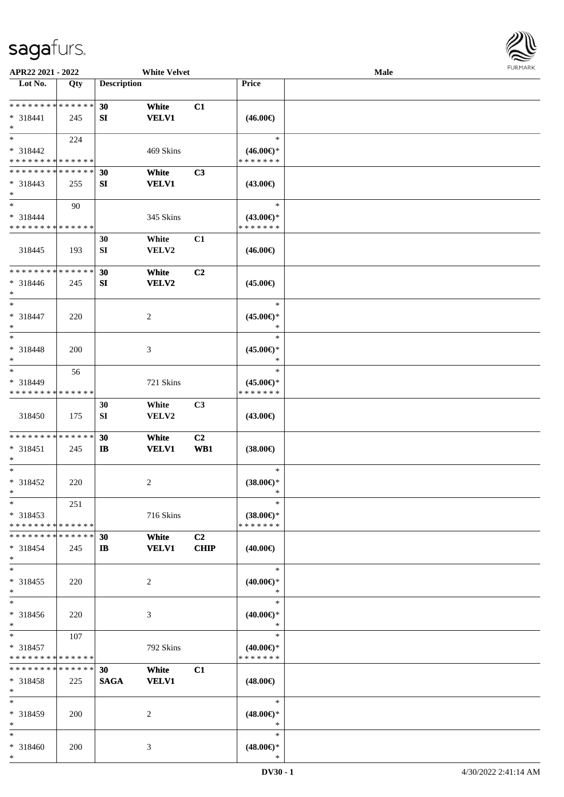

| APR22 2021 - 2022                                          |             |                    | <b>White Velvet</b> |                |                                      | Male |  |
|------------------------------------------------------------|-------------|--------------------|---------------------|----------------|--------------------------------------|------|--|
| Lot No.                                                    | Qty         | <b>Description</b> |                     |                | Price                                |      |  |
|                                                            |             |                    |                     |                |                                      |      |  |
| **************                                             |             | 30                 | White               | C1             |                                      |      |  |
| * 318441                                                   | 245         | SI                 | <b>VELV1</b>        |                | $(46.00\epsilon)$                    |      |  |
| $\ast$                                                     |             |                    |                     |                |                                      |      |  |
| $*$                                                        | 224         |                    |                     |                | $\ast$                               |      |  |
|                                                            |             |                    |                     |                |                                      |      |  |
| $* 318442$                                                 |             |                    | 469 Skins           |                | $(46.00\epsilon)$ *                  |      |  |
| * * * * * * * * * * * * * *                                |             |                    |                     |                | * * * * * * *                        |      |  |
| * * * * * * * * * * * * * *                                |             | 30                 | White               | C3             |                                      |      |  |
| $* 318443$                                                 | 255         | SI                 | <b>VELV1</b>        |                | $(43.00\epsilon)$                    |      |  |
| $*$                                                        |             |                    |                     |                |                                      |      |  |
| $\ast$                                                     | 90          |                    |                     |                | $\ast$                               |      |  |
| $* 318444$                                                 |             |                    | 345 Skins           |                | $(43.00\epsilon)$ *                  |      |  |
| * * * * * * * * * * * * * *                                |             |                    |                     |                | * * * * * * *                        |      |  |
|                                                            |             | 30                 | White               | C1             |                                      |      |  |
| 318445                                                     | 193         | SI                 | VELV2               |                | $(46.00\epsilon)$                    |      |  |
|                                                            |             |                    |                     |                |                                      |      |  |
| ********                                                   | * * * * * * |                    |                     |                |                                      |      |  |
|                                                            |             | 30                 | White               | C2             |                                      |      |  |
| $* 318446$                                                 | 245         | SI                 | <b>VELV2</b>        |                | $(45.00\epsilon)$                    |      |  |
| $\ast$                                                     |             |                    |                     |                |                                      |      |  |
| $\ast$                                                     |             |                    |                     |                | $\ast$                               |      |  |
| * 318447                                                   | 220         |                    | $\sqrt{2}$          |                | $(45.00\epsilon)$ *                  |      |  |
| $\ast$                                                     |             |                    |                     |                | $\ast$                               |      |  |
| $\ast$                                                     |             |                    |                     |                | $\ast$                               |      |  |
| * 318448                                                   | 200         |                    | 3                   |                | $(45.00\epsilon)$ *                  |      |  |
| $\ast$                                                     |             |                    |                     |                | $\ast$                               |      |  |
| $\ast$                                                     | 56          |                    |                     |                | $\ast$                               |      |  |
| * 318449                                                   |             |                    | 721 Skins           |                | $(45.00\epsilon)$ *                  |      |  |
| * * * * * * * *                                            | * * * * * * |                    |                     |                | * * * * * * *                        |      |  |
|                                                            |             |                    |                     |                |                                      |      |  |
|                                                            |             | 30                 | White               | C3             |                                      |      |  |
| 318450                                                     | 175         | ${\bf SI}$         | VELV2               |                | $(43.00\epsilon)$                    |      |  |
|                                                            |             |                    |                     |                |                                      |      |  |
| * * * * * * * * * * * * * *                                |             | 30                 | White               | C2             |                                      |      |  |
| * 318451                                                   | 245         | $\mathbf{I}$       | <b>VELV1</b>        | WB1            | $(38.00\epsilon)$                    |      |  |
| $\ast$                                                     |             |                    |                     |                |                                      |      |  |
| $\ast$                                                     |             |                    |                     |                | $\ast$                               |      |  |
| $* 318452$                                                 | 220         |                    | $\sqrt{2}$          |                | $(38.00\epsilon)$ *                  |      |  |
| $*$                                                        |             |                    |                     |                | $\ast$                               |      |  |
| $*$                                                        | 251         |                    |                     |                | $\ast$                               |      |  |
| $* 318453$                                                 |             |                    | 716 Skins           |                | $(38.00\epsilon)$ *                  |      |  |
| * * * * * * * * * * * * * *                                |             |                    |                     |                | * * * * * * *                        |      |  |
| * * * * * * * * * * * * * *                                |             |                    |                     |                |                                      |      |  |
|                                                            |             | 30                 | White               | C <sub>2</sub> |                                      |      |  |
| $* 318454$                                                 | 245         | $\mathbf{I}$       | <b>VELV1</b>        | <b>CHIP</b>    | $(40.00\epsilon)$                    |      |  |
| $\ast$                                                     |             |                    |                     |                |                                      |      |  |
| $\ast$                                                     |             |                    |                     |                | $\ast$                               |      |  |
| $* 318455$                                                 | 220         |                    | $\overline{c}$      |                | $(40.00\epsilon)$ *                  |      |  |
| $\ast$                                                     |             |                    |                     |                | $\ast$                               |      |  |
| $\ast$                                                     |             |                    |                     |                | $\ast$                               |      |  |
| * 318456                                                   | 220         |                    | $\mathfrak{Z}$      |                | $(40.00\epsilon)$ *                  |      |  |
| $*$                                                        |             |                    |                     |                | $\ast$                               |      |  |
| $*$                                                        | 107         |                    |                     |                | $\ast$                               |      |  |
|                                                            |             |                    |                     |                |                                      |      |  |
| $* 318457$                                                 |             |                    | 792 Skins           |                | $(40.00\epsilon)$ *<br>* * * * * * * |      |  |
| * * * * * * * * * * * * * *<br>* * * * * * * * * * * * * * |             |                    |                     |                |                                      |      |  |
|                                                            |             | 30                 | White               | C1             |                                      |      |  |
| $* 318458$                                                 | 225         | <b>SAGA</b>        | <b>VELV1</b>        |                | $(48.00\epsilon)$                    |      |  |
| $*$                                                        |             |                    |                     |                |                                      |      |  |
| $\ast$                                                     |             |                    |                     |                | $\ast$                               |      |  |
| $* 318459$                                                 | 200         |                    | 2                   |                | $(48.00\epsilon)$ *                  |      |  |
| $*$                                                        |             |                    |                     |                | $\ast$                               |      |  |
| $*$                                                        |             |                    |                     |                | $\ast$                               |      |  |
| * 318460                                                   | 200         |                    | 3                   |                | $(48.00\epsilon)$ *                  |      |  |
| $*$                                                        |             |                    |                     |                | $\ast$                               |      |  |
|                                                            |             |                    |                     |                |                                      |      |  |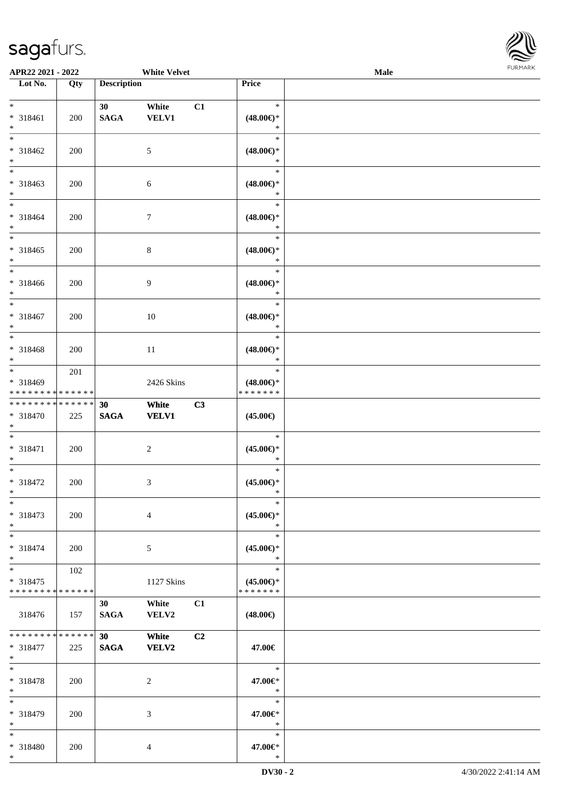\*



| APR22 2021 - 2022                                             |     |                                | <b>White Velvet</b>   |                |                                                | Male |  |
|---------------------------------------------------------------|-----|--------------------------------|-----------------------|----------------|------------------------------------------------|------|--|
| Lot No.                                                       | Qty | <b>Description</b>             |                       |                | <b>Price</b>                                   |      |  |
| $*$<br>* 318461<br>$\ast$                                     | 200 | 30<br><b>SAGA</b>              | White<br><b>VELV1</b> | C1             | $\ast$<br>$(48.00\epsilon)$ *<br>$\ast$        |      |  |
| $\overline{\ast}$<br>* 318462<br>$*$                          | 200 |                                | $\mathfrak{S}$        |                | $\ast$<br>$(48.00\epsilon)$ *<br>$\ast$        |      |  |
| * 318463<br>$\ast$                                            | 200 |                                | 6                     |                | $\ast$<br>$(48.00\epsilon)$ *<br>$\ast$        |      |  |
| $\ddot{x}$<br>* 318464<br>$*$                                 | 200 |                                | $\overline{7}$        |                | $\ast$<br>$(48.00\epsilon)$ *<br>$\ast$        |      |  |
| $\overline{\ast}$<br>* 318465<br>$\ast$                       | 200 |                                | $\,8\,$               |                | $\ast$<br>$(48.00\epsilon)$ *<br>$\ast$        |      |  |
| * 318466<br>$\ast$                                            | 200 |                                | 9                     |                | $\ast$<br>$(48.00\epsilon)$ *<br>$\ast$        |      |  |
| $\overline{\ast}$<br>* 318467<br>$\ast$                       | 200 |                                | 10                    |                | $\ast$<br>$(48.00\epsilon)$ *<br>$\ast$        |      |  |
| $*$<br>* 318468<br>$*$                                        | 200 |                                | 11                    |                | $\ast$<br>$(48.00\epsilon)$ *<br>$\ast$        |      |  |
| $*$<br>* 318469<br>* * * * * * * * * * * * * * *              | 201 |                                | 2426 Skins            |                | $\ast$<br>$(48.00\epsilon)$ *<br>* * * * * * * |      |  |
| * * * * * * * * <mark>* * * * * * *</mark><br>* 318470<br>$*$ | 225 | 30<br><b>SAGA</b>              | White<br><b>VELV1</b> | C3             | $(45.00\epsilon)$                              |      |  |
| $*$<br>* 318471<br>$\ast$                                     | 200 |                                | $\overline{2}$        |                | $\ast$<br>$(45.00\epsilon)$ *<br>$\ast$        |      |  |
| $\ast$<br>* 318472<br>$*$                                     | 200 |                                | 3                     |                | $\ast$<br>$(45.00\epsilon)$ *<br>$\ast$        |      |  |
| $\ast$<br>* 318473<br>$\ast$                                  | 200 |                                | $\overline{4}$        |                | $\ast$<br>$(45.00\epsilon)$ *<br>$\ast$        |      |  |
| $*$ $-$<br>* 318474<br>$\ast$                                 | 200 |                                | 5                     |                | $\ast$<br>$(45.00\epsilon)$ *<br>$\ast$        |      |  |
| $*$<br>* 318475<br>* * * * * * * * <mark>* * * * * *</mark>   | 102 |                                | 1127 Skins            |                | $\ast$<br>$(45.00\epsilon)$ *<br>* * * * * * * |      |  |
| 318476                                                        | 157 | 30 <sup>1</sup><br><b>SAGA</b> | White<br><b>VELV2</b> | C1             | $(48.00\epsilon)$                              |      |  |
| * * * * * * * * <mark>* * * * * *</mark> *<br>* 318477<br>$*$ | 225 | 30<br><b>SAGA</b>              | White<br><b>VELV2</b> | C <sub>2</sub> | 47.00€                                         |      |  |
| $\ddot{x}$<br>* 318478<br>$*$                                 | 200 |                                | 2                     |                | $\ast$<br>47.00€*<br>$\ast$                    |      |  |
| $*$<br>* 318479<br>$*$                                        | 200 |                                | 3                     |                | $\ast$<br>47.00€*<br>$\ast$                    |      |  |
| $\ast$<br>* 318480                                            | 200 |                                | $\overline{4}$        |                | $\ast$<br>47.00€*                              |      |  |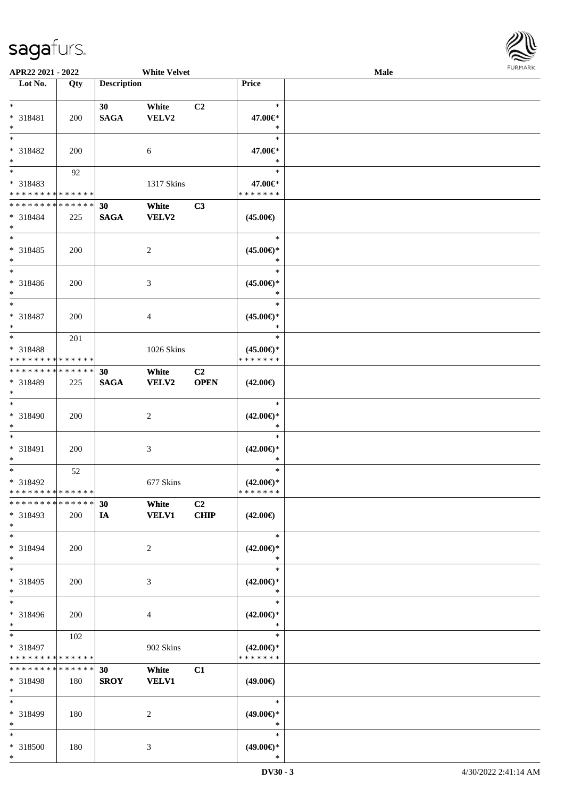

| APR22 2021 - 2022                                                       |                    |                                | <b>White Velvet</b>   |                               |                                                | Male |  |
|-------------------------------------------------------------------------|--------------------|--------------------------------|-----------------------|-------------------------------|------------------------------------------------|------|--|
| Lot No.                                                                 | Qty                | <b>Description</b>             |                       |                               | Price                                          |      |  |
| $*$<br>* 318481<br>$*$                                                  | 200                | 30 <sup>°</sup><br><b>SAGA</b> | White<br>VELV2        | C <sub>2</sub>                | $\ast$<br>47.00€*<br>$\ast$                    |      |  |
| $*$<br>* 318482<br>$*$<br>$\overline{\phantom{0}}$                      | 200                |                                | 6                     |                               | $\ast$<br>47.00€*<br>$\ast$                    |      |  |
| * 318483<br>* * * * * * * * * * * * * *<br>******** <mark>******</mark> | 92                 |                                | 1317 Skins            |                               | $\ast$<br>47.00€*<br>* * * * * * *             |      |  |
| * 318484<br>$*$<br>$*$                                                  | 225                | 30<br><b>SAGA</b>              | White<br><b>VELV2</b> | C3                            | $(45.00\epsilon)$<br>$\ast$                    |      |  |
| * 318485<br>$*$<br>$\ast$                                               | 200                |                                | $\overline{c}$        |                               | $(45.00\epsilon)$ *<br>$\ast$<br>$\ast$        |      |  |
| $* 318486$<br>$*$<br>$*$                                                | 200                |                                | 3                     |                               | $(45.00\epsilon)$ *<br>$\ast$<br>$\ast$        |      |  |
| $* 318487$<br>$*$<br>$*$                                                | 200                |                                | 4                     |                               | $(45.00\epsilon)$ *<br>$\ast$<br>$\ast$        |      |  |
| * 318488<br>* * * * * * * * * * * * * *                                 | 201                |                                | 1026 Skins            |                               | $(45.00\epsilon)$ *<br>* * * * * * *           |      |  |
| * * * * * * * * * * * * * * *<br>* 318489<br>$*$<br>$*$                 | 225                | 30<br><b>SAGA</b>              | White<br><b>VELV2</b> | C2<br><b>OPEN</b>             | $(42.00\epsilon)$<br>$\ast$                    |      |  |
| * 318490<br>$*$<br>$*$                                                  | 200                |                                | $\overline{c}$        |                               | $(42.00\epsilon)$ *<br>$\ast$<br>$\ast$        |      |  |
| $* 318491$<br>$*$<br>$*$                                                | 200                |                                | 3                     |                               | $(42.00\epsilon)$ *<br>$\ast$<br>$\ast$        |      |  |
| * 318492<br>* * * * * * * * * * * * * * *                               | 52                 |                                | 677 Skins             |                               | $(42.00\epsilon)$ *<br>*******                 |      |  |
| * * * * * * * * * * * * * * *<br>* 318493<br>$*$                        | 200                | 30<br>IA                       | White<br><b>VELV1</b> | C <sub>2</sub><br><b>CHIP</b> | $(42.00\epsilon)$                              |      |  |
| $*$<br>* 318494<br>$*$                                                  | 200                |                                | 2                     |                               | $\ast$<br>$(42.00\epsilon)$ *<br>∗             |      |  |
| $*$<br>* 318495<br>$*$                                                  | 200                |                                | 3                     |                               | $\ast$<br>$(42.00\epsilon)$ *<br>$\ast$        |      |  |
| $*$<br>* 318496<br>$*$                                                  | 200                |                                | 4                     |                               | $\ast$<br>$(42.00\epsilon)$ *<br>$\ast$        |      |  |
| $*$<br>* 318497<br>* * * * * * * * * * * * * *                          | 102                |                                | 902 Skins             |                               | $\ast$<br>$(42.00\epsilon)$ *<br>* * * * * * * |      |  |
| * * * * * * * *<br>* 318498<br>$*$                                      | * * * * * *<br>180 | 30<br><b>SROY</b>              | White<br><b>VELV1</b> | C1                            | $(49.00\epsilon)$                              |      |  |
| $*$<br>* 318499<br>$*$                                                  | 180                |                                | 2                     |                               | $\ast$<br>$(49.00\epsilon)$ *<br>$\ast$        |      |  |
| $*$<br>* 318500<br>$*$                                                  | 180                |                                | 3                     |                               | $\ast$<br>$(49.00\epsilon)$ *<br>$\ast$        |      |  |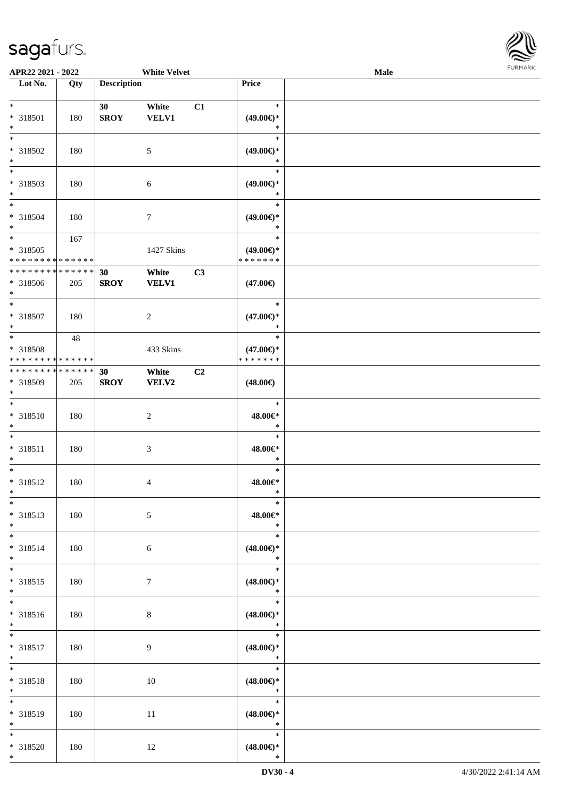

| APR22 2021 - 2022                                                                 |                    |                    | <b>White Velvet</b>   |    |                                                 | Male |  |
|-----------------------------------------------------------------------------------|--------------------|--------------------|-----------------------|----|-------------------------------------------------|------|--|
| Lot No.                                                                           | Qty                | <b>Description</b> |                       |    | Price                                           |      |  |
| $\ast$                                                                            |                    | 30                 | White                 | C1 | $\ast$                                          |      |  |
| * 318501<br>$*$                                                                   | 180                | <b>SROY</b>        | <b>VELV1</b>          |    | $(49.00\epsilon)$ *<br>$\ast$                   |      |  |
| * 318502<br>$\ast$                                                                | 180                |                    | 5                     |    | $\ast$<br>$(49.00\epsilon)$ *<br>$\ast$         |      |  |
| $\overline{\ }$<br>* 318503<br>$\ast$                                             | 180                |                    | 6                     |    | $\ast$<br>$(49.00\epsilon)$ *<br>$\ast$         |      |  |
| $*$<br>* 318504<br>$*$                                                            | 180                |                    | $\overline{7}$        |    | $\ast$<br>$(49.00\epsilon)$ *<br>$\ast$         |      |  |
| $\ddot{x}$<br>* 318505<br>* * * * * * * * <mark>* * * * * * *</mark>              | 167                |                    | 1427 Skins            |    | $\ast$<br>$(49.00\epsilon)$ *<br>* * * * * * *  |      |  |
| * * * * * * * * <mark>*</mark><br>* 318506<br>$\ast$                              | * * * * * *<br>205 | 30<br><b>SROY</b>  | White<br><b>VELV1</b> | C3 | $(47.00\epsilon)$                               |      |  |
| * 318507<br>$*$                                                                   | 180                |                    | $\overline{2}$        |    | $\ast$<br>$(47.00\epsilon)$ *<br>$\ast$         |      |  |
| $\overline{\mathbf{r}}$<br>* 318508<br>* * * * * * * * <mark>* * * * * * *</mark> | 48                 |                    | 433 Skins             |    | $\ast$<br>$(47.00\epsilon)$ *<br>* * * * * * *  |      |  |
| * * * * * * * * <mark>* * * * * * *</mark><br>* 318509<br>$\ast$                  | 205                | 30<br><b>SROY</b>  | White<br>VELV2        | C2 | $(48.00\epsilon)$                               |      |  |
| $\overline{\ast}$<br>* 318510<br>$\ast$                                           | 180                |                    | $\overline{2}$        |    | $\ast$<br>48.00€*<br>$\ast$                     |      |  |
| $\ast$<br>* 318511<br>$\ast$                                                      | 180                |                    | 3                     |    | $\ast$<br>48.00€*<br>$\ast$                     |      |  |
| $*$<br>* 318512<br>$\ast$                                                         | 180                |                    | 4                     |    | $\ast$<br>48.00€*<br>$\ast$                     |      |  |
| $\ast$<br>* 318513<br>$*$                                                         | 180                |                    | $\mathfrak{S}$        |    | $\ast$<br>48.00€*<br>$\ast$                     |      |  |
| $*$ $-$<br>* 318514<br>$\ast$                                                     | 180                |                    | 6                     |    | $\ast$<br>$(48.00\epsilon)$ *<br>$\ast$         |      |  |
| $*$<br>* 318515<br>$*$                                                            | 180                |                    | $\tau$                |    | $\ast$<br>$(48.00\epsilon)$ *<br>$\mathbb{R}^n$ |      |  |
| $\overline{\ast}$<br>* 318516<br>$*$                                              | 180                |                    | 8                     |    | $\ast$<br>$(48.00\epsilon)$ *<br>$\star$        |      |  |
| $*$<br>* 318517<br>$*$                                                            | 180                |                    | $\overline{9}$        |    | $\ast$<br>$(48.00\epsilon)$ *<br>$\ast$         |      |  |
| $*$<br>* 318518<br>$*$                                                            | 180                |                    | 10                    |    | $\ast$<br>$(48.00\epsilon)$ *<br>$\ast$         |      |  |
| $\overline{\mathbf{r}}$<br>* 318519<br>$*$                                        | 180                |                    | 11                    |    | $\ast$<br>$(48.00\epsilon)$ *<br>$\ast$         |      |  |
| $*$<br>* 318520<br>$*$                                                            | 180                |                    | 12                    |    | $\ast$<br>$(48.00\epsilon)$ *<br>$\ast$         |      |  |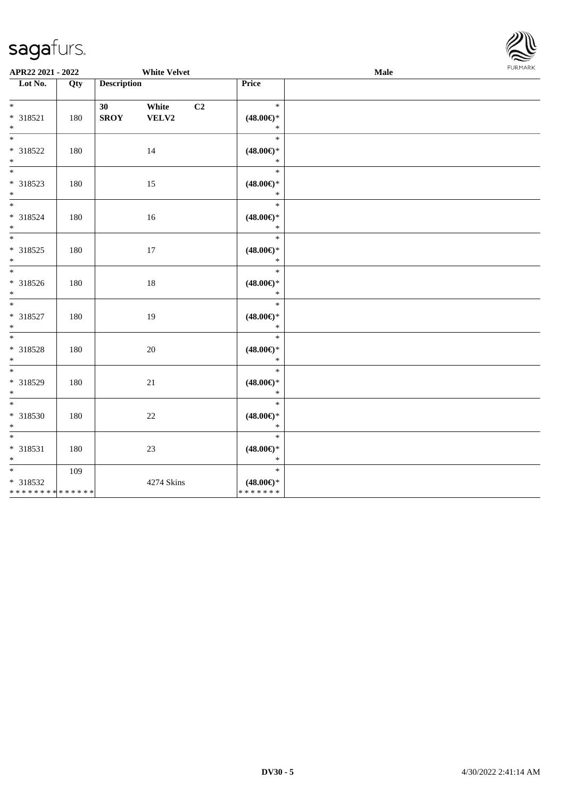

| APR22 2021 - 2022                                             |     |                                | <b>White Velvet</b> |    |                                                | Male | <b>FURPIARR</b> |  |
|---------------------------------------------------------------|-----|--------------------------------|---------------------|----|------------------------------------------------|------|-----------------|--|
| Lot No.                                                       | Qty | <b>Description</b>             |                     |    | Price                                          |      |                 |  |
| $*$<br>* 318521<br>$*$                                        | 180 | 30 <sub>1</sub><br><b>SROY</b> | White<br>VELV2      | C2 | $\ast$<br>$(48.00\epsilon)$ *<br>$\ast$        |      |                 |  |
| $\overline{\mathbf{r}}$<br>* 318522<br>$*$                    | 180 |                                | 14                  |    | $\ast$<br>$(48.00\epsilon)$ *<br>$\ast$        |      |                 |  |
| * 318523<br>$*$                                               | 180 |                                | 15                  |    | $\ast$<br>$(48.00\epsilon)$ *<br>$\ast$        |      |                 |  |
| $\overline{\mathbf{r}}$<br>* 318524<br>$*$                    | 180 |                                | 16                  |    | $\ast$<br>$(48.00\epsilon)$ *<br>$\ast$        |      |                 |  |
| $\overline{\ast}$<br>* 318525                                 | 180 |                                | 17                  |    | $\ast$<br>$(48.00\epsilon)$ *<br>$\ast$        |      |                 |  |
| $*$<br>* 318526<br>$*$                                        | 180 |                                | 18                  |    | $\ast$<br>$(48.00\epsilon)$ *<br>$\ast$        |      |                 |  |
| $\ddot{x}$<br>* 318527<br>$\ast$                              | 180 |                                | 19                  |    | $\ast$<br>$(48.00\epsilon)$ *<br>$\ast$        |      |                 |  |
| $\overline{\mathbf{r}^*}$<br>* 318528<br>$*$                  | 180 |                                | $20\,$              |    | $\ast$<br>$(48.00\epsilon)$ *<br>$\ast$        |      |                 |  |
| $\ddot{x}$<br>* 318529<br>$*$                                 | 180 |                                | 21                  |    | $\ast$<br>$(48.00\epsilon)$ *<br>$\ast$        |      |                 |  |
| $\ddot{x}$<br>* 318530<br>$*$                                 | 180 |                                | $22\,$              |    | $\ast$<br>$(48.00\epsilon)$ *<br>$\ast$        |      |                 |  |
| $*$<br>* 318531<br>$\ast$                                     | 180 |                                | 23                  |    | $\ast$<br>$(48.00\epsilon)$ *<br>$\ast$        |      |                 |  |
| $*$<br>* 318532<br>* * * * * * * * <mark>* * * * * * *</mark> | 109 |                                | 4274 Skins          |    | $\ast$<br>$(48.00\epsilon)$ *<br>* * * * * * * |      |                 |  |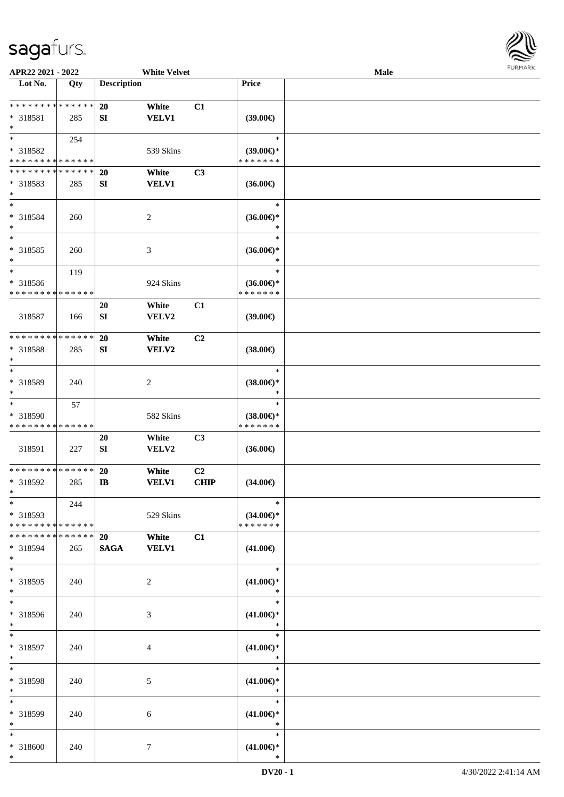

| APR22 2021 - 2022                                 |                    |                         | <b>White Velvet</b>   |                   |                                                | Male |  |
|---------------------------------------------------|--------------------|-------------------------|-----------------------|-------------------|------------------------------------------------|------|--|
| Lot No.                                           | Qty                | <b>Description</b>      |                       |                   | Price                                          |      |  |
| **************<br>* 318581<br>$\ast$              | 285                | 20<br>SI                | White<br><b>VELV1</b> | C1                | (39.00)                                        |      |  |
| $*$<br>* 318582<br>* * * * * * * * * * * * * *    | 254                |                         | 539 Skins             |                   | $\ast$<br>$(39.00€)$ *<br>* * * * * * *        |      |  |
| * * * * * * * * * * * * * *<br>* 318583<br>$\ast$ | 285                | <b>20</b><br>${\bf SI}$ | White<br><b>VELV1</b> | C3                | $(36.00\epsilon)$                              |      |  |
| $\ast$<br>* 318584<br>$\ast$                      | 260                |                         | $\sqrt{2}$            |                   | $\ast$<br>$(36.00\epsilon)$ *<br>$\ast$        |      |  |
| $\ast$<br>$* 318585$<br>$\ast$                    | 260                |                         | $\mathfrak{Z}$        |                   | $\ast$<br>$(36.00\epsilon)$ *<br>$\ast$        |      |  |
| $\ast$<br>* 318586<br>* * * * * * * * * * * * * * | 119                |                         | 924 Skins             |                   | $\ast$<br>$(36.00\epsilon)$ *<br>* * * * * * * |      |  |
| 318587                                            | 166                | 20<br>SI                | White<br>VELV2        | C1                | $(39.00\epsilon)$                              |      |  |
| * * * * * * * * * * * * * *<br>* 318588<br>$\ast$ | 285                | 20<br>SI                | White<br>VELV2        | C2                | $(38.00\epsilon)$                              |      |  |
| $\ast$<br>* 318589<br>$\ast$                      | 240                |                         | $\sqrt{2}$            |                   | $\ast$<br>$(38.00\epsilon)$ *<br>$\ast$        |      |  |
| $\ast$<br>* 318590<br>* * * * * * * * * * * * * * | 57                 |                         | 582 Skins             |                   | $\ast$<br>$(38.00\epsilon)$ *<br>* * * * * * * |      |  |
| 318591                                            | 227                | $20\,$<br>${\bf SI}$    | White<br>VELV2        | C3                | $(36.00\epsilon)$                              |      |  |
| ******** <mark>******</mark><br>$* 318592$<br>$*$ | 285                | <b>20</b><br><b>IB</b>  | White<br><b>VELV1</b> | C2<br><b>CHIP</b> | $(34.00\epsilon)$                              |      |  |
| $*$<br>* 318593<br>* * * * * * * * * * * * * *    | 244                |                         | 529 Skins             |                   | $\ast$<br>$(34.00\epsilon)$ *<br>* * * * * * * |      |  |
| * * * * * * * *<br>* 318594<br>$*$                | * * * * * *<br>265 | 20<br><b>SAGA</b>       | White<br><b>VELV1</b> | C1                | $(41.00\epsilon)$                              |      |  |
| $\overline{\ast}$<br>* 318595<br>$*$              | 240                |                         | 2                     |                   | $\ast$<br>$(41.00\epsilon)$ *<br>$\ast$        |      |  |
| $*$<br>* 318596<br>$*$                            | 240                |                         | 3                     |                   | $\ast$<br>$(41.00\epsilon)$ *<br>$\ast$        |      |  |
| $*$<br>* 318597<br>$*$                            | 240                |                         | 4                     |                   | $\ast$<br>$(41.00\epsilon)$ *<br>$\ast$        |      |  |
| $\ast$<br>* 318598<br>$*$                         | 240                |                         | 5                     |                   | $\ast$<br>$(41.00\epsilon)$ *<br>$\ast$        |      |  |
| $\ast$<br>* 318599<br>$*$                         | 240                |                         | 6                     |                   | $\ast$<br>$(41.00\epsilon)$ *<br>$\ast$        |      |  |
| $*$<br>* 318600<br>$*$                            | 240                |                         | $\tau$                |                   | $\ast$<br>$(41.00\epsilon)$ *<br>$\ast$        |      |  |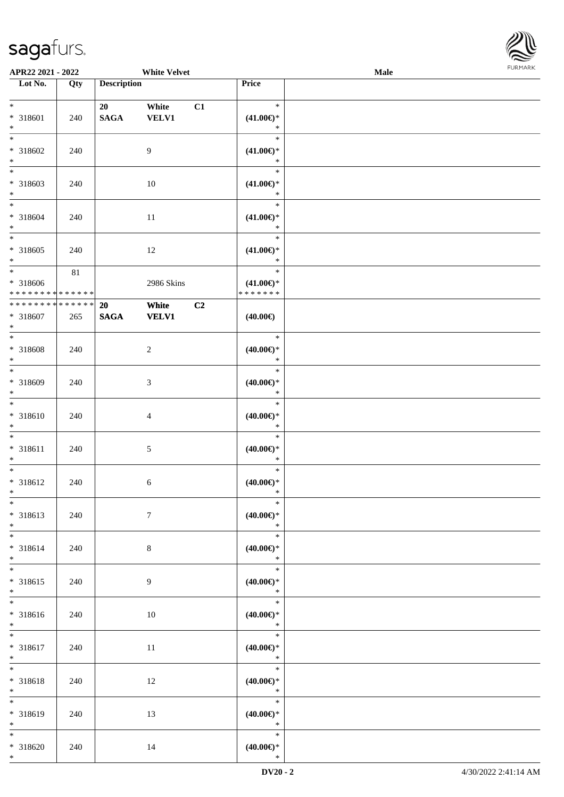

| APR22 2021 - 2022                                      |        |                    | <b>White Velvet</b> |    |                                      | Male | 101111111111 |
|--------------------------------------------------------|--------|--------------------|---------------------|----|--------------------------------------|------|--------------|
| Lot No.                                                | Qty    | <b>Description</b> |                     |    | Price                                |      |              |
|                                                        |        |                    |                     |    |                                      |      |              |
| $*$                                                    |        | 20                 | White               | C1 | $\ast$                               |      |              |
| * 318601                                               | 240    | <b>SAGA</b>        | VELV1               |    | $(41.00\epsilon)$ *<br>$\ast$        |      |              |
| $*$<br>$*$                                             |        |                    |                     |    | $\ast$                               |      |              |
| * 318602                                               |        |                    | 9                   |    |                                      |      |              |
| $*$                                                    | 240    |                    |                     |    | $(41.00\epsilon)$ *<br>$\ast$        |      |              |
|                                                        |        |                    |                     |    | $\ast$                               |      |              |
| * 318603                                               | 240    |                    | 10                  |    | $(41.00\epsilon)$ *                  |      |              |
| $*$                                                    |        |                    |                     |    | $\ast$                               |      |              |
|                                                        |        |                    |                     |    | $\ast$                               |      |              |
| * 318604                                               | 240    |                    | 11                  |    | $(41.00\epsilon)$ *                  |      |              |
| $*$                                                    |        |                    |                     |    | $\ast$                               |      |              |
| $\overline{\phantom{0}}$                               |        |                    |                     |    | $\ast$                               |      |              |
| * 318605                                               | 240    |                    | 12                  |    | $(41.00\epsilon)$ *                  |      |              |
| $*$                                                    |        |                    |                     |    | $\ast$                               |      |              |
| $*$                                                    | $81\,$ |                    |                     |    | $\ast$                               |      |              |
| * 318606<br>* * * * * * * * <mark>* * * * * * *</mark> |        |                    | 2986 Skins          |    | $(41.00\epsilon)$ *<br>* * * * * * * |      |              |
| * * * * * * * * <mark>* * * * * * *</mark>             |        | 20                 | White               | C2 |                                      |      |              |
| * 318607                                               | 265    | <b>SAGA</b>        | <b>VELV1</b>        |    | $(40.00\epsilon)$                    |      |              |
| $*$                                                    |        |                    |                     |    |                                      |      |              |
| $*$                                                    |        |                    |                     |    | $\ast$                               |      |              |
| * 318608                                               | 240    |                    | $\overline{c}$      |    | $(40.00\epsilon)$ *                  |      |              |
| $*$                                                    |        |                    |                     |    | $\ast$                               |      |              |
|                                                        |        |                    |                     |    | $\ast$                               |      |              |
| * 318609                                               | 240    |                    | 3                   |    | $(40.00\epsilon)$ *                  |      |              |
| $\ast$                                                 |        |                    |                     |    | $\ast$                               |      |              |
|                                                        |        |                    |                     |    | $\ast$                               |      |              |
| * 318610                                               | 240    |                    | 4                   |    | $(40.00\epsilon)$ *<br>$\ast$        |      |              |
| $*$<br>$*$                                             |        |                    |                     |    | $\ast$                               |      |              |
| * 318611                                               | 240    |                    | 5                   |    | $(40.00\epsilon)$ *                  |      |              |
| $\ast$                                                 |        |                    |                     |    | $\ast$                               |      |              |
| $*$                                                    |        |                    |                     |    | $\ast$                               |      |              |
| * 318612                                               | 240    |                    | 6                   |    | $(40.00\varepsilon)$ *               |      |              |
| $*$ $-$                                                |        |                    |                     |    | ∗                                    |      |              |
| $*$                                                    |        |                    |                     |    | $\ast$                               |      |              |
| * 318613                                               | 240    |                    | $\tau$              |    | $(40.00\epsilon)$ *                  |      |              |
| $*$                                                    |        |                    |                     |    | $\ast$                               |      |              |
| $*$                                                    |        |                    |                     |    | $\ast$                               |      |              |
| * 318614<br>$*$                                        | 240    |                    | $8\,$               |    | $(40.00\epsilon)$ *<br>$\ast$        |      |              |
| $*$                                                    |        |                    |                     |    | $\ast$                               |      |              |
| * 318615                                               | 240    |                    | 9                   |    | $(40.00\epsilon)$ *                  |      |              |
| $*$                                                    |        |                    |                     |    | $\ast$                               |      |              |
| $\overline{\ }$                                        |        |                    |                     |    | $\ast$                               |      |              |
| * 318616                                               | 240    |                    | 10                  |    | $(40.00\epsilon)$ *                  |      |              |
| $*$                                                    |        |                    |                     |    | $\ast$                               |      |              |
| $*$                                                    |        |                    |                     |    | $\ast$                               |      |              |
| * 318617                                               | 240    |                    | 11                  |    | $(40.00\epsilon)$ *                  |      |              |
| $*$<br>$*$                                             |        |                    |                     |    | $\ast$<br>$\ast$                     |      |              |
|                                                        |        |                    |                     |    |                                      |      |              |
| * 318618<br>$*$                                        | 240    |                    | 12                  |    | $(40.00\epsilon)$ *<br>$\ast$        |      |              |
| $\overline{\ }$                                        |        |                    |                     |    | $\ast$                               |      |              |
| * 318619                                               | 240    |                    | 13                  |    | $(40.00\epsilon)$ *                  |      |              |
| $*$                                                    |        |                    |                     |    | $\ast$                               |      |              |
| $*$                                                    |        |                    |                     |    | $\ast$                               |      |              |
| * 318620                                               | 240    |                    | 14                  |    | $(40.00\epsilon)$ *                  |      |              |
| $*$                                                    |        |                    |                     |    | $\ast$                               |      |              |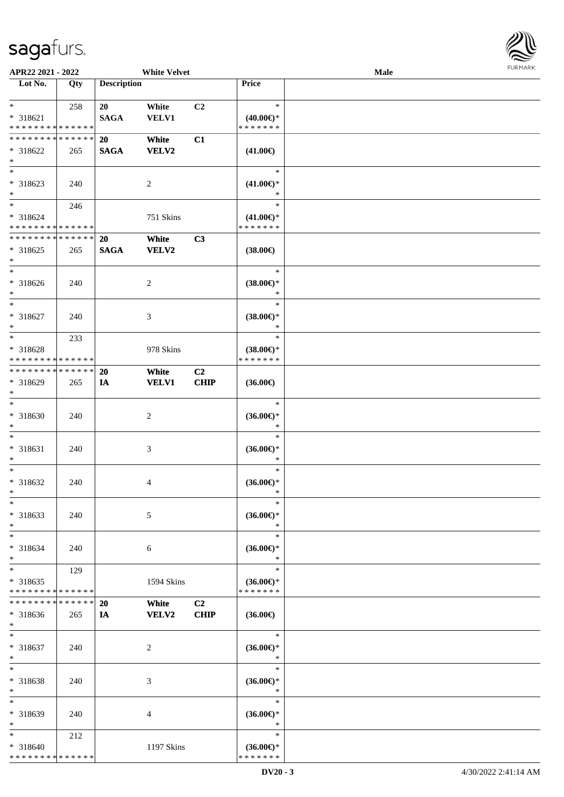

| APR22 2021 - 2022                                          |                    |                    | <b>White Velvet</b>   |                   |                                                | Male |  |
|------------------------------------------------------------|--------------------|--------------------|-----------------------|-------------------|------------------------------------------------|------|--|
| Lot No.                                                    | Qty                | <b>Description</b> |                       |                   | Price                                          |      |  |
| $\ast$<br>* 318621<br>* * * * * * * * * * * * * *          | 258                | 20<br><b>SAGA</b>  | White<br><b>VELV1</b> | C2                | $\ast$<br>$(40.00\epsilon)$ *<br>* * * * * * * |      |  |
| * * * * * * * * * * * * * *<br>$* 318622$<br>$\ast$        | 265                | 20<br><b>SAGA</b>  | White<br><b>VELV2</b> | C1                | $(41.00\epsilon)$                              |      |  |
| $\overline{\ast}$<br>* 318623<br>$\ast$                    | 240                |                    | $\sqrt{2}$            |                   | $\ast$<br>$(41.00\epsilon)$ *                  |      |  |
| $\overline{\ }$<br>* 318624<br>* * * * * * * * * * * * * * | 246                |                    | 751 Skins             |                   | $\ast$<br>$(41.00\epsilon)$ *<br>* * * * * * * |      |  |
| **************<br>$* 318625$<br>$\ast$                     | 265                | 20<br><b>SAGA</b>  | White<br><b>VELV2</b> | C3                | $(38.00\epsilon)$                              |      |  |
| $\ast$<br>* 318626<br>$\ast$                               | 240                |                    | $\overline{c}$        |                   | $\ast$<br>$(38.00\epsilon)$ *<br>$\ast$        |      |  |
| $\ast$<br>* 318627<br>$\ast$                               | 240                |                    | 3                     |                   | $\ast$<br>$(38.00\epsilon)$ *<br>$\ast$        |      |  |
| $\ast$<br>* 318628<br>* * * * * * * * * * * * * *          | 233                |                    | 978 Skins             |                   | $\ast$<br>$(38.00\epsilon)$ *<br>* * * * * * * |      |  |
| * * * * * * * * * * * * * *<br>* 318629<br>$\ast$          | 265                | <b>20</b><br>IA    | White<br><b>VELV1</b> | C2<br><b>CHIP</b> | $(36.00\epsilon)$                              |      |  |
| $\ast$<br>* 318630<br>$\ast$                               | 240                |                    | $\boldsymbol{2}$      |                   | $\ast$<br>$(36.00\epsilon)$ *<br>$\ast$        |      |  |
| $\ast$<br>$* 318631$<br>$\ast$                             | 240                |                    | $\mathfrak{Z}$        |                   | $\ast$<br>$(36.00\epsilon)$ *<br>$\ast$        |      |  |
| $\ast$<br>* 318632<br>$*$                                  | 240                |                    | 4                     |                   | $\ast$<br>$(36.00\epsilon)$ *<br>$\ast$        |      |  |
| $\ast$<br>* 318633<br>$\ast$                               | 240                |                    | 5                     |                   | $\ast$<br>$(36.00\epsilon)$ *<br>∗             |      |  |
| $\ast$<br>* 318634<br>$\ast$                               | 240                |                    | 6                     |                   | $\ast$<br>$(36.00\epsilon)$ *<br>$\ast$        |      |  |
| $\ast$<br>* 318635<br>* * * * * * * * * * * * * *          | 129                |                    | 1594 Skins            |                   | $\ast$<br>$(36.00\epsilon)$ *<br>* * * * * * * |      |  |
| * * * * * * * *<br>* 318636<br>$\ast$                      | * * * * * *<br>265 | 20<br>IA           | White<br><b>VELV2</b> | C2<br><b>CHIP</b> | $(36.00\epsilon)$                              |      |  |
| $\ast$<br>* 318637<br>$\ast$                               | 240                |                    | $\overline{c}$        |                   | $\ast$<br>$(36.00\epsilon)$ *<br>$\ast$        |      |  |
| $\ast$<br>* 318638<br>$\ast$                               | 240                |                    | 3                     |                   | $\ast$<br>$(36.00\epsilon)$ *<br>$\ast$        |      |  |
| $\ast$<br>* 318639<br>$\ast$                               | 240                |                    | 4                     |                   | $\ast$<br>$(36.00\epsilon)$ *<br>$\ast$        |      |  |
| $\ast$<br>* 318640<br>* * * * * * * * * * * * * *          | 212                |                    | 1197 Skins            |                   | $\ast$<br>$(36.00\epsilon)$ *<br>* * * * * * * |      |  |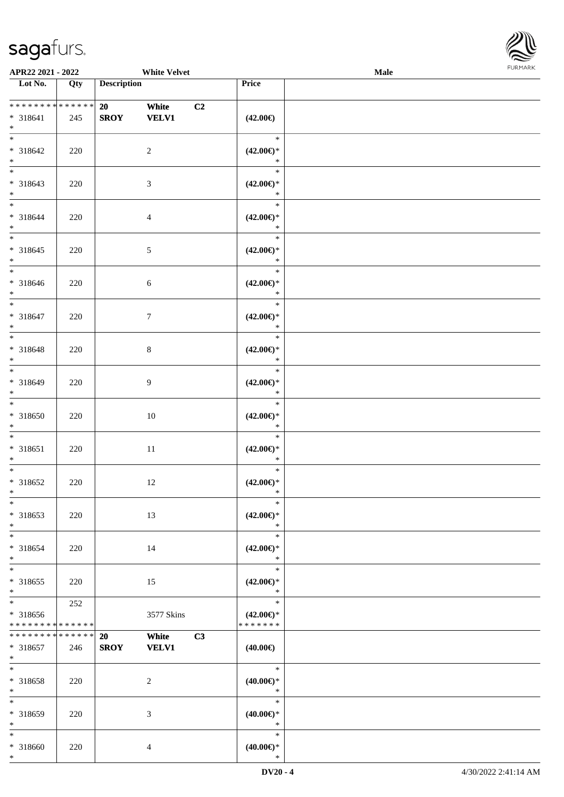

| APR22 2021 - 2022                                |                    |                                                         | <b>White Velvet</b> |                                                | <b>Male</b> |  |
|--------------------------------------------------|--------------------|---------------------------------------------------------|---------------------|------------------------------------------------|-------------|--|
| Lot No.                                          | Qty                | <b>Description</b>                                      |                     | Price                                          |             |  |
|                                                  |                    |                                                         |                     |                                                |             |  |
| * * * * * * * * * * * * * *<br>$* 318641$<br>$*$ | 245                | White<br>20 <sub>2</sub><br><b>SROY</b><br><b>VELV1</b> | C2                  | $(42.00\epsilon)$                              |             |  |
| $*$<br>* 318642<br>$*$                           | 220                | $\overline{2}$                                          |                     | $\ast$<br>$(42.00\epsilon)$ *<br>$\ast$        |             |  |
| $* 318643$<br>$*$                                | 220                | $\mathfrak{Z}$                                          |                     | $\ast$<br>$(42.00\epsilon)$ *<br>$\ast$        |             |  |
| $*$<br>$* 318644$<br>$*$                         | 220                | $\overline{4}$                                          |                     | $\ast$<br>$(42.00\epsilon)$ *<br>$\ast$        |             |  |
| $*$<br>$* 318645$<br>$*$                         | 220                | $5\,$                                                   |                     | $\ast$<br>$(42.00\epsilon)$ *<br>$\ast$        |             |  |
| $*$<br>$* 318646$<br>$*$                         | 220                | 6                                                       |                     | $\ast$<br>$(42.00\epsilon)$ *<br>$\ast$        |             |  |
| $*$<br>$* 318647$<br>$*$                         | 220                | $\overline{7}$                                          |                     | $\ast$<br>$(42.00\epsilon)$ *<br>$\ast$        |             |  |
| * 318648<br>$*$                                  | 220                | $8\,$                                                   |                     | $\ast$<br>$(42.00\epsilon)$ *<br>$\ast$        |             |  |
| $*$<br>* 318649<br>$*$                           | 220                | 9                                                       |                     | $\ast$<br>$(42.00\epsilon)$ *<br>$\ast$        |             |  |
| $*$<br>$* 318650$<br>$*$                         | 220                | 10                                                      |                     | $\ast$<br>$(42.00\epsilon)$ *<br>$\ast$        |             |  |
| $*$<br>* 318651<br>$*$                           | 220                | $11\,$                                                  |                     | $\ast$<br>$(42.00\epsilon)$ *<br>$\ast$        |             |  |
| $*$<br>$* 318652$<br>$*$                         | 220                | 12                                                      |                     | $\ast$<br>$(42.00\epsilon)$ *<br>$\ast$        |             |  |
| $*$<br>* 318653<br>$*$                           | 220                | 13                                                      |                     | $\ast$<br>$(42.00\epsilon)$ *<br>$\ast$        |             |  |
| $*$<br>* 318654<br>$*$                           | 220                | 14                                                      |                     | $\ast$<br>$(42.00\epsilon)$ *<br>$\ast$        |             |  |
| $*$<br>* 318655<br>$*$                           | 220                | 15                                                      |                     | $\ast$<br>$(42.00\epsilon)$ *<br>$\ast$        |             |  |
| * 318656<br>* * * * * * * *                      | 252<br>* * * * * * |                                                         | 3577 Skins          | $\ast$<br>$(42.00\epsilon)$ *<br>* * * * * * * |             |  |
| * * * * * * * * * * * * * *<br>* 318657<br>$*$   | 246                | 20<br>White<br><b>SROY</b><br><b>VELV1</b>              | C3                  | $(40.00\epsilon)$                              |             |  |
| $*$<br>* 318658<br>$*$                           | 220                | 2                                                       |                     | $\ast$<br>$(40.00\epsilon)$ *<br>$\ast$        |             |  |
| $*$<br>* 318659<br>$*$                           | 220                | 3                                                       |                     | $\ast$<br>$(40.00\epsilon)$ *<br>$\ast$        |             |  |
| $*$<br>* 318660<br>$*$                           | 220                | 4                                                       |                     | $\ast$<br>$(40.00\epsilon)$ *<br>$\ast$        |             |  |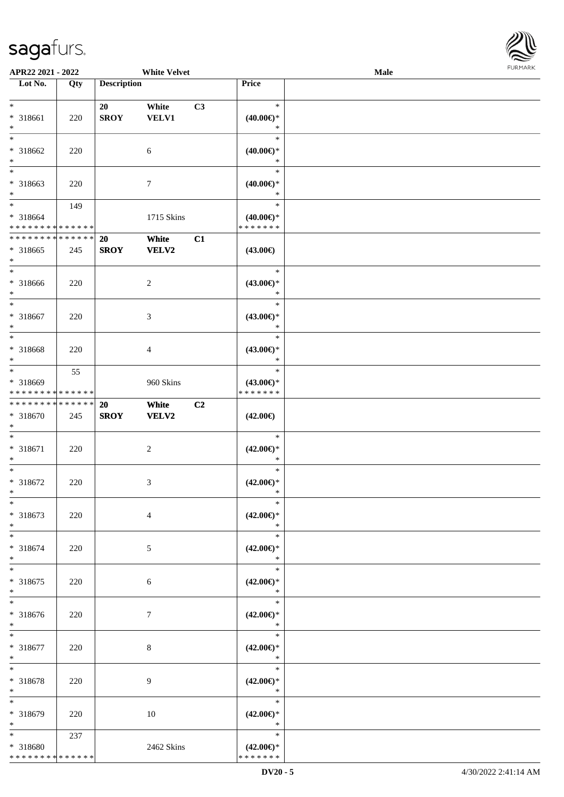

| APR22 2021 - 2022                       |     |                    | <b>White Velvet</b> |    |                                    | <b>Male</b> |  |
|-----------------------------------------|-----|--------------------|---------------------|----|------------------------------------|-------------|--|
| Lot No.                                 | Qty | <b>Description</b> |                     |    | Price                              |             |  |
|                                         |     |                    |                     |    |                                    |             |  |
| $\ast$                                  |     | 20                 | White               | C3 | $\ast$                             |             |  |
| * 318661                                | 220 | <b>SROY</b>        | <b>VELV1</b>        |    | $(40.00\epsilon)$ *                |             |  |
| $\ast$                                  |     |                    |                     |    | $\ast$                             |             |  |
| $\ast$                                  |     |                    |                     |    | $\ast$                             |             |  |
| * 318662                                | 220 |                    | 6                   |    | $(40.00\epsilon)$ *                |             |  |
| $\ast$                                  |     |                    |                     |    | $\ast$                             |             |  |
| $\overline{\phantom{1}}$                |     |                    |                     |    | $\ast$                             |             |  |
| * 318663                                | 220 |                    | $\boldsymbol{7}$    |    | $(40.00\epsilon)$ *                |             |  |
| $\ast$                                  |     |                    |                     |    | $\ast$                             |             |  |
| $\overline{\phantom{a}^*}$              | 149 |                    |                     |    | $\ast$                             |             |  |
|                                         |     |                    |                     |    |                                    |             |  |
| * 318664<br>* * * * * * * * * * * * * * |     |                    | 1715 Skins          |    | $(40.00\in)^\ast$<br>* * * * * * * |             |  |
| * * * * * * * * * * * * * *             |     |                    |                     |    |                                    |             |  |
|                                         |     | 20                 | White               | C1 |                                    |             |  |
| $*318665$                               | 245 | <b>SROY</b>        | <b>VELV2</b>        |    | $(43.00\epsilon)$                  |             |  |
| $\ast$                                  |     |                    |                     |    |                                    |             |  |
| $\overline{\phantom{a}^*}$              |     |                    |                     |    | $\ast$                             |             |  |
| * 318666                                | 220 |                    | $\sqrt{2}$          |    | $(43.00\epsilon)$ *                |             |  |
| $\ast$                                  |     |                    |                     |    | $\ast$                             |             |  |
| $\ast$                                  |     |                    |                     |    | $\ast$                             |             |  |
| $* 318667$                              | 220 |                    | $\mathfrak{Z}$      |    | $(43.00\epsilon)$ *                |             |  |
| $\ast$                                  |     |                    |                     |    | $\ast$                             |             |  |
| $\ast$                                  |     |                    |                     |    | $\ast$                             |             |  |
| * 318668                                | 220 |                    | $\overline{4}$      |    | $(43.00\epsilon)$ *                |             |  |
| $\ast$                                  |     |                    |                     |    | $\ast$                             |             |  |
| $\ast$                                  | 55  |                    |                     |    | $\ast$                             |             |  |
| * 318669                                |     |                    | 960 Skins           |    | $(43.00\epsilon)$ *                |             |  |
| * * * * * * * * * * * * * *             |     |                    |                     |    | * * * * * * *                      |             |  |
| ******** <mark>*****</mark> *           |     | 20                 | White               | C2 |                                    |             |  |
| * 318670                                | 245 | <b>SROY</b>        | VELV2               |    | $(42.00\epsilon)$                  |             |  |
| $\ast$                                  |     |                    |                     |    |                                    |             |  |
| $\ast$                                  |     |                    |                     |    | $\ast$                             |             |  |
| $* 318671$                              | 220 |                    | $\sqrt{2}$          |    | $(42.00\epsilon)$ *                |             |  |
| $\ast$                                  |     |                    |                     |    | $\ast$                             |             |  |
| $\ast$                                  |     |                    |                     |    | $\ast$                             |             |  |
| $* 318672$                              | 220 |                    | $\mathfrak{Z}$      |    | $(42.00\epsilon)$ *                |             |  |
| $*$                                     |     |                    |                     |    | $\ast$                             |             |  |
| $*$                                     |     |                    |                     |    | $\ast$                             |             |  |
| $* 318673$                              |     |                    |                     |    | $(42.00\epsilon)$ *                |             |  |
|                                         | 220 |                    | $\overline{4}$      |    |                                    |             |  |
| $\ast$<br>$\ast$                        |     |                    |                     |    | $\ast$<br>$\ast$                   |             |  |
|                                         |     |                    |                     |    |                                    |             |  |
| * 318674                                | 220 |                    | 5                   |    | $(42.00\epsilon)$ *                |             |  |
| $\ast$                                  |     |                    |                     |    | $\ast$                             |             |  |
| $\ast$                                  |     |                    |                     |    | $\ast$                             |             |  |
| $* 318675$                              | 220 |                    | 6                   |    | $(42.00\epsilon)$ *                |             |  |
| $\ast$                                  |     |                    |                     |    | $\ast$                             |             |  |
| $\ast$                                  |     |                    |                     |    | $\ast$                             |             |  |
| * 318676                                | 220 |                    | 7                   |    | $(42.00\epsilon)$ *                |             |  |
| $*$                                     |     |                    |                     |    | $\ast$                             |             |  |
| $*$                                     |     |                    |                     |    | $\ast$                             |             |  |
| $* 318677$                              | 220 |                    | $\,8\,$             |    | $(42.00\epsilon)$ *                |             |  |
| $\ast$                                  |     |                    |                     |    | $\ast$                             |             |  |
| $\ast$                                  |     |                    |                     |    | $\ast$                             |             |  |
| * 318678                                | 220 |                    | 9                   |    | $(42.00\epsilon)$ *                |             |  |
| $\ast$                                  |     |                    |                     |    | $\ast$                             |             |  |
| $\ast$                                  |     |                    |                     |    | $\ast$                             |             |  |
| * 318679                                | 220 |                    | 10                  |    | $(42.00\epsilon)$ *                |             |  |
| $\ast$                                  |     |                    |                     |    | $\ast$                             |             |  |
| $*$                                     | 237 |                    |                     |    | $\ast$                             |             |  |
| * 318680                                |     |                    | 2462 Skins          |    | $(42.00\epsilon)$ *                |             |  |
| * * * * * * * * * * * * * *             |     |                    |                     |    | * * * * * * *                      |             |  |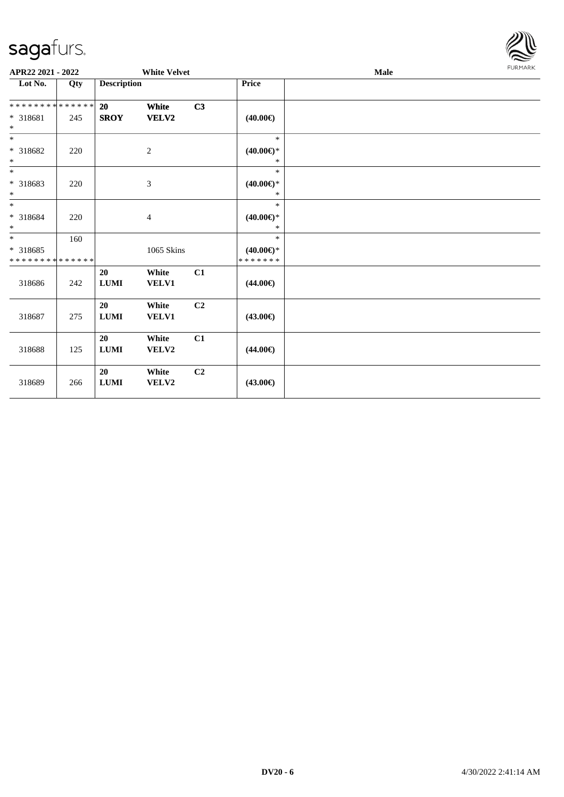

| APR22 2021 - 2022           |     |                    | <b>White Velvet</b>         |    |                     | <b>Male</b> | <b>FURMARK</b> |
|-----------------------------|-----|--------------------|-----------------------------|----|---------------------|-------------|----------------|
| Lot No.                     | Qty | <b>Description</b> |                             |    | Price               |             |                |
| **************              |     | 20                 | White                       | C3 |                     |             |                |
| $* 318681$                  | 245 | <b>SROY</b>        | <b>VELV2</b>                |    | $(40.00\epsilon)$   |             |                |
| $*$                         |     |                    |                             |    |                     |             |                |
| $\overline{\phantom{0}}$    |     |                    |                             |    | $\ast$              |             |                |
| $* 318682$                  | 220 |                    | $\overline{c}$              |    | $(40.00\epsilon)$ * |             |                |
| $\ast$<br>$\overline{\ast}$ |     |                    |                             |    | $\ast$<br>$\ast$    |             |                |
| * 318683                    | 220 |                    | $\ensuremath{\mathfrak{Z}}$ |    | $(40.00\epsilon)$ * |             |                |
| $*$                         |     |                    |                             |    | *                   |             |                |
| $*$                         |     |                    |                             |    | $\ast$              |             |                |
| * 318684                    | 220 |                    | 4                           |    | $(40.00\epsilon)$ * |             |                |
| $\ast$                      |     |                    |                             |    | $\ast$              |             |                |
| $*$                         | 160 |                    |                             |    | $\ast$              |             |                |
| * 318685                    |     |                    | 1065 Skins                  |    | $(40.00\epsilon)$ * |             |                |
| * * * * * * * * * * * * * * |     |                    |                             |    | * * * * * * *       |             |                |
|                             |     | 20                 | White                       | C1 |                     |             |                |
| 318686                      | 242 | ${\bf LUMI}$       | VELV1                       |    | $(44.00\epsilon)$   |             |                |
|                             |     | 20                 | White                       | C2 |                     |             |                |
| 318687                      | 275 | <b>LUMI</b>        | VELV1                       |    | $(43.00\epsilon)$   |             |                |
|                             |     | 20                 | White                       | C1 |                     |             |                |
| 318688                      | 125 | <b>LUMI</b>        | VELV2                       |    | $(44.00\epsilon)$   |             |                |
|                             |     |                    |                             |    |                     |             |                |
|                             |     | 20                 | White                       | C2 |                     |             |                |
| 318689                      | 266 | <b>LUMI</b>        | VELV2                       |    | $(43.00\epsilon)$   |             |                |
|                             |     |                    |                             |    |                     |             |                |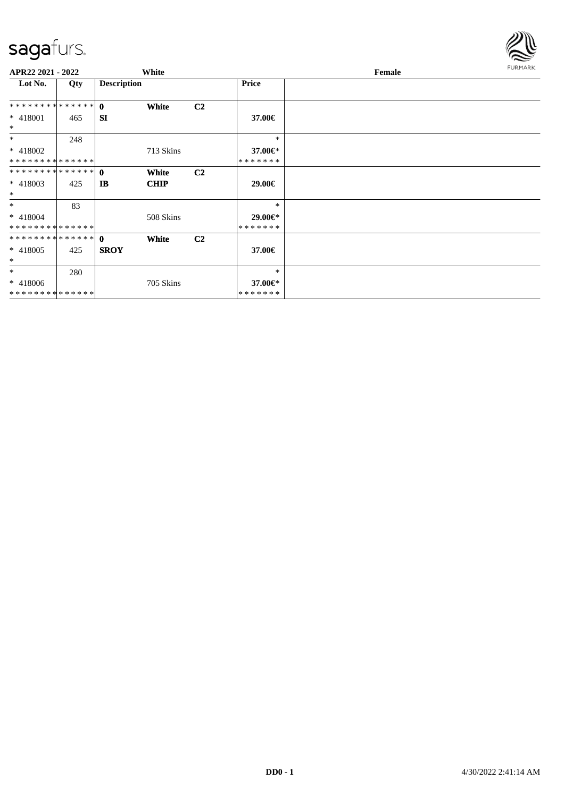

| APR22 2021 - 2022            |     |                    | White                |                |                          | Female | <b>FURMARK</b> |
|------------------------------|-----|--------------------|----------------------|----------------|--------------------------|--------|----------------|
| Lot No.                      | Qty | <b>Description</b> |                      |                | Price                    |        |                |
|                              |     |                    | White                | C <sub>2</sub> |                          |        |                |
| $* 418001$<br>$*$            | 465 | <b>SI</b>          |                      |                | 37.00€                   |        |                |
| $*$                          | 248 |                    |                      |                | $\ast$                   |        |                |
| * 418002                     |     |                    | 713 Skins            |                | 37.00€*                  |        |                |
| * * * * * * * * * * * * * *  |     |                    |                      |                | *******                  |        |                |
| $* 418003$<br>$*$            | 425 | IB                 | White<br><b>CHIP</b> | C <sub>2</sub> | 29.00€                   |        |                |
| $*$                          | 83  |                    |                      |                | $\ast$                   |        |                |
| $* 418004$<br>************** |     |                    | 508 Skins            |                | 29.00€*<br>* * * * * * * |        |                |
| ************** 0             |     |                    | White                | C <sub>2</sub> |                          |        |                |
| $* 418005$<br>$\ast$         | 425 | <b>SROY</b>        |                      |                | 37.00€                   |        |                |
| $\ast$                       | 280 |                    |                      |                | $\ast$                   |        |                |
| $* 418006$<br>************** |     |                    | 705 Skins            |                | 37.00€*<br>*******       |        |                |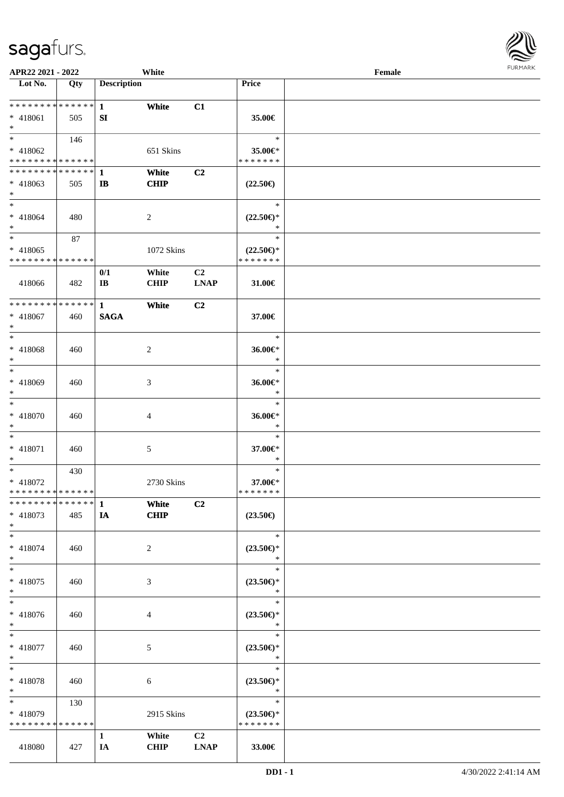

| APR22 2021 - 2022                                                         |     |                       | White                |                               |                                      | Female |  |
|---------------------------------------------------------------------------|-----|-----------------------|----------------------|-------------------------------|--------------------------------------|--------|--|
| Lot No.                                                                   | Qty | <b>Description</b>    |                      |                               | Price                                |        |  |
|                                                                           |     |                       |                      |                               |                                      |        |  |
| ******** <mark>******</mark>                                              |     | $\mathbf{1}$          | White                | C1                            |                                      |        |  |
| * 418061                                                                  | 505 | SI                    |                      |                               | 35.00€                               |        |  |
| $*$<br>$\overline{\ast}$                                                  |     |                       |                      |                               |                                      |        |  |
|                                                                           | 146 |                       |                      |                               | $\ast$                               |        |  |
| * 418062                                                                  |     |                       | 651 Skins            |                               | 35.00€*                              |        |  |
| * * * * * * * * * * * * * *<br>* * * * * * * * <mark>* * * * * * *</mark> |     |                       |                      |                               | * * * * * * *                        |        |  |
|                                                                           |     | 1                     | White                | C2                            |                                      |        |  |
| * 418063<br>$*$                                                           | 505 | IB                    | <b>CHIP</b>          |                               | $(22.50\epsilon)$                    |        |  |
| $*$                                                                       |     |                       |                      |                               | $\ast$                               |        |  |
| * 418064                                                                  | 480 |                       | 2                    |                               | $(22.50\epsilon)$ *                  |        |  |
| $*$                                                                       |     |                       |                      |                               | $\ast$                               |        |  |
| $*$                                                                       | 87  |                       |                      |                               | $\ast$                               |        |  |
| * 418065                                                                  |     |                       | 1072 Skins           |                               | $(22.50\epsilon)$ *                  |        |  |
| * * * * * * * * * * * * * *                                               |     |                       |                      |                               | * * * * * * *                        |        |  |
|                                                                           |     | 0/1                   | White                | C <sub>2</sub>                |                                      |        |  |
| 418066                                                                    | 482 | $\mathbf{I}$ <b>B</b> | <b>CHIP</b>          | <b>LNAP</b>                   | 31.00€                               |        |  |
|                                                                           |     |                       |                      |                               |                                      |        |  |
| * * * * * * * * <mark>* * * * * * *</mark>                                |     | $\mathbf{1}$          | White                | C <sub>2</sub>                |                                      |        |  |
| * 418067                                                                  | 460 | <b>SAGA</b>           |                      |                               | 37.00€                               |        |  |
| $*$                                                                       |     |                       |                      |                               |                                      |        |  |
| $*$                                                                       |     |                       |                      |                               | $\ast$                               |        |  |
| * 418068                                                                  | 460 |                       | 2                    |                               | 36.00€*                              |        |  |
| $*$                                                                       |     |                       |                      |                               | $\ast$                               |        |  |
| $\ast$                                                                    |     |                       |                      |                               | $\ast$                               |        |  |
| * 418069                                                                  | 460 |                       | 3                    |                               | 36.00€*                              |        |  |
| $\ast$                                                                    |     |                       |                      |                               | $\ast$                               |        |  |
| $*$                                                                       |     |                       |                      |                               | $\ast$                               |        |  |
| * 418070                                                                  | 460 |                       | 4                    |                               | $36.00 \text{E}^*$                   |        |  |
| $*$                                                                       |     |                       |                      |                               | $\ast$                               |        |  |
| $*$                                                                       |     |                       |                      |                               | $\ast$                               |        |  |
| * 418071                                                                  | 460 |                       | 5                    |                               | 37.00€*                              |        |  |
| $\ast$                                                                    |     |                       |                      |                               | $\ast$                               |        |  |
| $*$                                                                       | 430 |                       |                      |                               | $\ast$                               |        |  |
| * 418072                                                                  |     |                       | 2730 Skins           |                               | 37.00€*                              |        |  |
| * * * * * * * * * * * * * *                                               |     |                       |                      |                               | *******                              |        |  |
| * * * * * * * * * * * * * * <mark>*</mark>                                |     | $\mathbf{1}$          | White                | C2                            |                                      |        |  |
| * 418073                                                                  | 485 | IA                    | CHIP                 |                               | $(23.50\epsilon)$                    |        |  |
| $*$                                                                       |     |                       |                      |                               |                                      |        |  |
| $*$                                                                       |     |                       |                      |                               | $\ast$                               |        |  |
| * 418074                                                                  | 460 |                       | 2                    |                               | $(23.50\epsilon)$ *                  |        |  |
| $*$                                                                       |     |                       |                      |                               | $\ast$                               |        |  |
| $*$                                                                       |     |                       |                      |                               | $\ast$                               |        |  |
| * 418075                                                                  | 460 |                       | 3                    |                               | $(23.50\epsilon)$ *                  |        |  |
| $*$                                                                       |     |                       |                      |                               | $\ast$                               |        |  |
| $_{*}$                                                                    |     |                       |                      |                               | $\ast$                               |        |  |
| * 418076                                                                  | 460 |                       | $\overline{4}$       |                               | $(23.50\epsilon)$ *                  |        |  |
| $\ast$                                                                    |     |                       |                      |                               | $\ast$                               |        |  |
| $*$ $-$                                                                   |     |                       |                      |                               | $\ast$                               |        |  |
| * 418077                                                                  | 460 |                       | 5                    |                               | $(23.50\epsilon)$ *                  |        |  |
| $*$<br>$*$                                                                |     |                       |                      |                               | $\ast$<br>$\ast$                     |        |  |
|                                                                           |     |                       |                      |                               |                                      |        |  |
| * 418078                                                                  | 460 |                       | 6                    |                               | $(23.50\epsilon)$ *<br>$\ast$        |        |  |
| $*$<br>$*$ and $*$                                                        |     |                       |                      |                               | $\ast$                               |        |  |
|                                                                           | 130 |                       |                      |                               |                                      |        |  |
| * 418079<br>* * * * * * * * * * * * * *                                   |     |                       | 2915 Skins           |                               | $(23.50\epsilon)$ *<br>* * * * * * * |        |  |
|                                                                           |     |                       |                      |                               |                                      |        |  |
|                                                                           | 427 | $\mathbf{1}$          | White<br><b>CHIP</b> | C <sub>2</sub><br><b>LNAP</b> | 33.00€                               |        |  |
| 418080                                                                    |     | IA                    |                      |                               |                                      |        |  |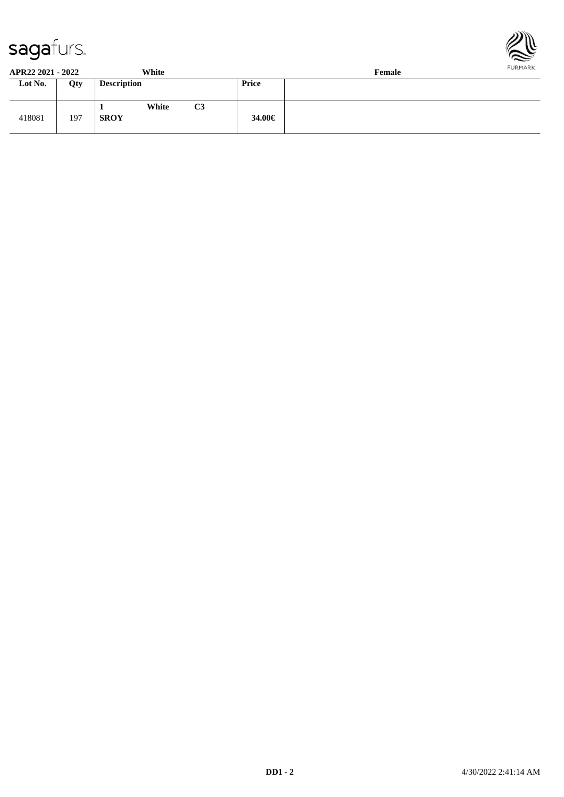



| APR22 2021 - 2022 |     | White                |    |        | Female | . |
|-------------------|-----|----------------------|----|--------|--------|---|
| Lot No.           | Qty | <b>Description</b>   |    | Price  |        |   |
| 418081            | 197 | White<br><b>SROY</b> | C3 | 34.00€ |        |   |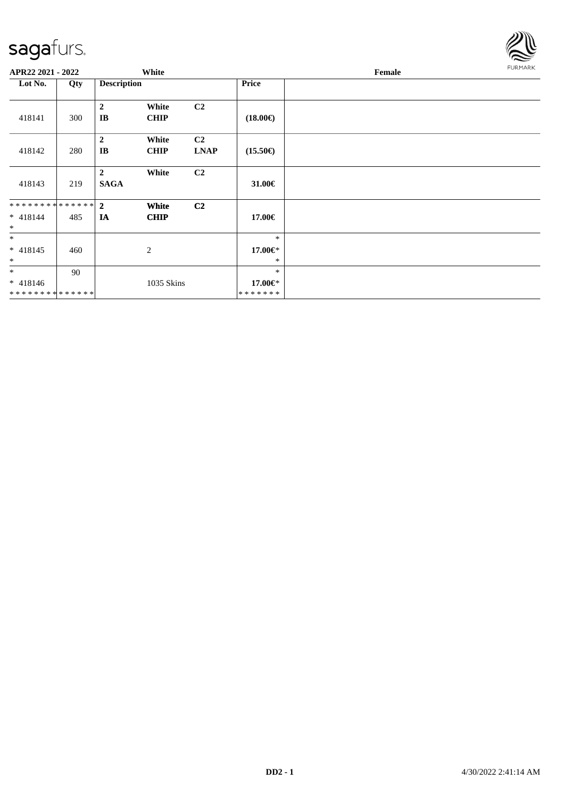

| APR22 2021 - 2022                      |     |                               | White                |                               |                              | Female | FURMARK |
|----------------------------------------|-----|-------------------------------|----------------------|-------------------------------|------------------------------|--------|---------|
| Lot No.                                | Qty | <b>Description</b>            |                      |                               | <b>Price</b>                 |        |         |
| 418141                                 | 300 | $\boldsymbol{2}$<br>IB        | White<br><b>CHIP</b> | C2                            | $(18.00\epsilon)$            |        |         |
| 418142                                 | 280 | $\boldsymbol{2}$<br>$\bf{IB}$ | White<br><b>CHIP</b> | C <sub>2</sub><br><b>LNAP</b> | $(15.50\epsilon)$            |        |         |
| 418143                                 | 219 | $\mathbf{2}$<br><b>SAGA</b>   | White                | C2                            | 31.00€                       |        |         |
| **************<br>$* 418144$<br>$\ast$ | 485 | $\mathbf{2}$<br>IA            | White<br><b>CHIP</b> | C <sub>2</sub>                | 17.00€                       |        |         |
| $*$<br>$* 418145$<br>$\ast$            | 460 |                               | 2                    |                               | $\ast$<br>17.00€*<br>$\ast$  |        |         |
| $\ast$<br>$* 418146$<br>************** | 90  |                               | 1035 Skins           |                               | $\ast$<br>17.00€*<br>******* |        |         |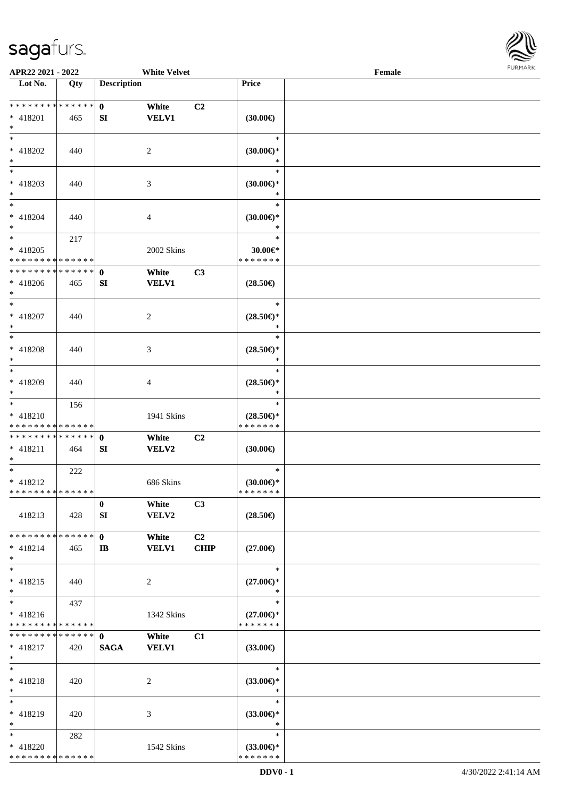

| APR22 2021 - 2022               |     |                    | <b>White Velvet</b> |                |                               | Female |  |
|---------------------------------|-----|--------------------|---------------------|----------------|-------------------------------|--------|--|
| Lot No.                         | Qty | <b>Description</b> |                     |                | Price                         |        |  |
|                                 |     |                    |                     |                |                               |        |  |
| ******** <mark>******</mark>    |     | $\mathbf{0}$       | White               | C2             |                               |        |  |
| $* 418201$                      | 465 | SI                 | <b>VELV1</b>        |                | (30.00)                       |        |  |
| $*$                             |     |                    |                     |                |                               |        |  |
| $*$                             |     |                    |                     |                | $\ast$                        |        |  |
| * 418202                        |     |                    |                     |                |                               |        |  |
|                                 | 440 |                    | $\overline{2}$      |                | $(30.00\epsilon)$ *           |        |  |
| $*$<br>$\overline{\phantom{0}}$ |     |                    |                     |                | $\ast$                        |        |  |
|                                 |     |                    |                     |                | $\ast$                        |        |  |
| $* 418203$                      | 440 |                    | 3                   |                | $(30.00\epsilon)$ *           |        |  |
| $*$                             |     |                    |                     |                | $\ast$                        |        |  |
| $*$                             |     |                    |                     |                | $\ast$                        |        |  |
| $* 418204$                      | 440 |                    | 4                   |                | $(30.00\varepsilon)$ *        |        |  |
| $*$                             |     |                    |                     |                | $\ast$                        |        |  |
| $*$                             | 217 |                    |                     |                | $\ast$                        |        |  |
| * 418205                        |     |                    | 2002 Skins          |                | $30.00 \in$ *                 |        |  |
| * * * * * * * * * * * * * *     |     |                    |                     |                | * * * * * * *                 |        |  |
| * * * * * * * * * * * * * *     |     |                    |                     |                |                               |        |  |
|                                 |     | $\mathbf 0$        | White               | C3             |                               |        |  |
| $* 418206$                      | 465 | SI                 | <b>VELV1</b>        |                | $(28.50\epsilon)$             |        |  |
| $*$                             |     |                    |                     |                |                               |        |  |
| $*$                             |     |                    |                     |                | $\ast$                        |        |  |
| * 418207                        | 440 |                    | 2                   |                | $(28.50\epsilon)$ *           |        |  |
| $*$                             |     |                    |                     |                | $\ast$                        |        |  |
| $*$                             |     |                    |                     |                | $\ast$                        |        |  |
| $* 418208$                      | 440 |                    | 3                   |                | $(28.50\epsilon)$ *           |        |  |
| $*$                             |     |                    |                     |                | $\ast$                        |        |  |
| $*$                             |     |                    |                     |                | $\ast$                        |        |  |
| * 418209                        | 440 |                    | 4                   |                | $(28.50\epsilon)$ *           |        |  |
| $*$                             |     |                    |                     |                | $\ast$                        |        |  |
| $*$                             |     |                    |                     |                | $\ast$                        |        |  |
|                                 | 156 |                    |                     |                |                               |        |  |
| * 418210                        |     |                    | 1941 Skins          |                | $(28.50\epsilon)$ *           |        |  |
| * * * * * * * * * * * * * *     |     |                    |                     |                | * * * * * * *                 |        |  |
| * * * * * * * * * * * * * * *   |     | $\mathbf{0}$       | White               | C2             |                               |        |  |
| $* 418211$                      | 464 | SI                 | VELV2               |                | $(30.00\epsilon)$             |        |  |
| $*$                             |     |                    |                     |                |                               |        |  |
| $*$                             | 222 |                    |                     |                | $\ast$                        |        |  |
| $* 418212$                      |     |                    | 686 Skins           |                | $(30.00\epsilon)$ *           |        |  |
| * * * * * * * * * * * * * *     |     |                    |                     |                | * * * * * * *                 |        |  |
|                                 |     | $\bf{0}$           | White               | C3             |                               |        |  |
| 418213                          | 428 | SI                 | VELV2               |                | $(28.50\in)$                  |        |  |
|                                 |     |                    |                     |                |                               |        |  |
| * * * * * * * * * * * * * * *   |     | $\mathbf{0}$       | White               | C <sub>2</sub> |                               |        |  |
| $* 418214$                      | 465 | $\mathbf{I}$       | <b>VELV1</b>        | <b>CHIP</b>    | $(27.00\epsilon)$             |        |  |
| $*$                             |     |                    |                     |                |                               |        |  |
| $*$                             |     |                    |                     |                | $\ast$                        |        |  |
|                                 |     |                    |                     |                |                               |        |  |
| $* 418215$                      | 440 |                    | 2                   |                | $(27.00\epsilon)$ *           |        |  |
| $*$                             |     |                    |                     |                | $\ast$                        |        |  |
| $*$                             | 437 |                    |                     |                | $\ast$                        |        |  |
| $* 418216$                      |     |                    | 1342 Skins          |                | $(27.00\epsilon)$ *           |        |  |
| * * * * * * * * * * * * * *     |     |                    |                     |                | * * * * * * *                 |        |  |
| * * * * * * * * * * * * * * *   |     | $\mathbf{0}$       | White               | C1             |                               |        |  |
| $* 418217$                      | 420 | <b>SAGA</b>        | <b>VELV1</b>        |                | $(33.00\epsilon)$             |        |  |
| $*$                             |     |                    |                     |                |                               |        |  |
| $*$                             |     |                    |                     |                | $\ast$                        |        |  |
| * 418218                        | 420 |                    | 2                   |                | $(33.00\epsilon)$ *           |        |  |
| $*$                             |     |                    |                     |                | $\ast$                        |        |  |
| $*$                             |     |                    |                     |                | $\ast$                        |        |  |
|                                 |     |                    |                     |                |                               |        |  |
| * 418219<br>$*$                 | 420 |                    | 3                   |                | $(33.00\epsilon)$ *<br>$\ast$ |        |  |
|                                 |     |                    |                     |                |                               |        |  |
| $*$                             | 282 |                    |                     |                | $\ast$                        |        |  |
| * 418220                        |     |                    | 1542 Skins          |                | $(33.00€)$ *                  |        |  |
| * * * * * * * * * * * * * *     |     |                    |                     |                | * * * * * * *                 |        |  |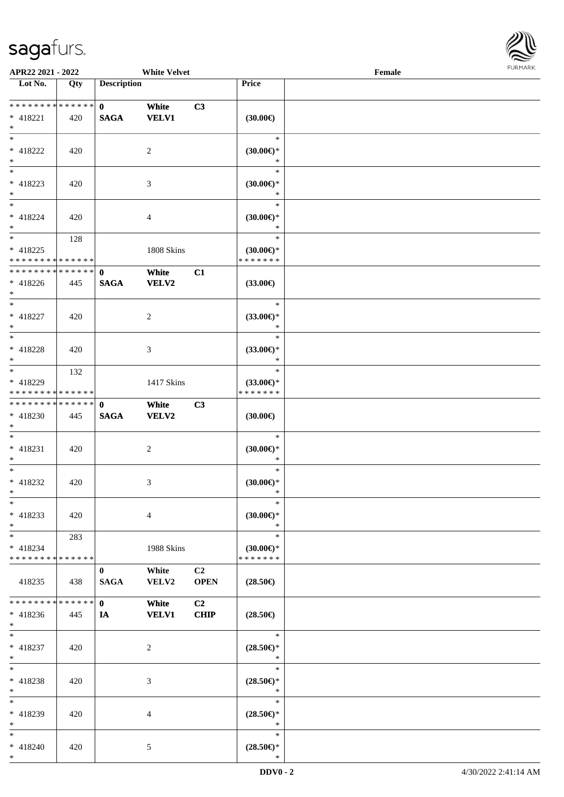\*



| APR22 2021 - 2022                                                                     |               |                                | <b>White Velvet</b>   |                   |                                                | Female |  |
|---------------------------------------------------------------------------------------|---------------|--------------------------------|-----------------------|-------------------|------------------------------------------------|--------|--|
| Lot No.                                                                               | Qty           | <b>Description</b>             |                       |                   | Price                                          |        |  |
| ******** <mark>******</mark><br>$* 418221$<br>$*$                                     | 420           | $\mathbf{0}$<br><b>SAGA</b>    | White<br><b>VELV1</b> | C3                | $(30.00\epsilon)$                              |        |  |
| * 418222<br>$*$                                                                       | 420           |                                | 2                     |                   | $\ast$<br>$(30.00\epsilon)$ *<br>$\ast$        |        |  |
| * 418223<br>$\ast$                                                                    | 420           |                                | 3                     |                   | $\ast$<br>$(30.00\epsilon)$ *<br>$\ast$        |        |  |
| $\ddot{x}$<br>* 418224<br>$*$<br>$\overline{\ast}$                                    | 420           |                                | $\overline{4}$        |                   | $\ast$<br>(30.00)<br>$\ast$<br>$\ast$          |        |  |
| * 418225<br>* * * * * * * * <mark>* * * * * * *</mark>                                | 128           |                                | 1808 Skins            |                   | $(30.00\epsilon)$ *<br>* * * * * * *           |        |  |
| * * * * * * * * <mark>* * * * * * *</mark><br>* 418226<br>$\ast$<br>$\overline{\ast}$ | 445           | $\mathbf 0$<br><b>SAGA</b>     | White<br><b>VELV2</b> | C1                | $(33.00\epsilon)$                              |        |  |
| * 418227<br>$*$                                                                       | 420           |                                | 2                     |                   | $\ast$<br>$(33.00\epsilon)$ *<br>$\ast$        |        |  |
| * 418228<br>$\ast$                                                                    | 420           |                                | 3                     |                   | $\ast$<br>$(33.00\epsilon)$ *<br>$\ast$        |        |  |
| $\overline{\mathbf{r}}$<br>* 418229<br>* * * * * * * * <mark>* * * * * *</mark> *     | 132           |                                | 1417 Skins            |                   | $\ast$<br>$(33.00\epsilon)$ *<br>* * * * * * * |        |  |
| * * * * * * * * <mark>* * * * * * *</mark><br>* 418230<br>$*$                         | 445           | $\mathbf 0$<br>$\mathbf{SAGA}$ | White<br><b>VELV2</b> | C3                | $(30.00\epsilon)$                              |        |  |
| $*$<br>$* 418231$<br>$\ast$                                                           | 420           |                                | 2                     |                   | $\ast$<br>$(30.00\epsilon)$ *<br>$\ast$        |        |  |
| $*$<br>* 418232<br>$*$                                                                | 420           |                                | 3                     |                   | $\ast$<br>$(30.00\epsilon)$ *<br>*             |        |  |
| $\ast$<br>* 418233<br>$\ast$                                                          | 420           |                                | $\overline{4}$        |                   | $\ast$<br>$(30.00\epsilon)$ *<br>$\ast$        |        |  |
| $*$ $-$<br>$* 418234$<br>* * * * * * * * <mark>* * * * * *</mark> *                   | 283           |                                | 1988 Skins            |                   | $\ast$<br>$(30.00\epsilon)$ *<br>* * * * * * * |        |  |
| 418235                                                                                | 438           | $\bf{0}$<br><b>SAGA</b>        | White<br>VELV2        | C2<br><b>OPEN</b> | $(28.50\epsilon)$                              |        |  |
| * * * * * * * *<br>$* 418236$<br>$*$                                                  | ******<br>445 | $\mathbf{0}$<br>IA             | White<br><b>VELV1</b> | C2<br><b>CHIP</b> | $(28.50\epsilon)$                              |        |  |
| $\overline{\ast}$<br>$* 418237$<br>$*$                                                | 420           |                                | 2                     |                   | $\ast$<br>$(28.50\epsilon)$ *<br>$\ast$        |        |  |
| $*$<br>* 418238<br>$*$                                                                | 420           |                                | 3                     |                   | $\ast$<br>$(28.50\epsilon)$ *<br>$\ast$        |        |  |
| $\ast$<br>* 418239<br>$\ast$                                                          | 420           |                                | $\overline{4}$        |                   | $\ast$<br>$(28.50\epsilon)$ *<br>$\ast$        |        |  |
| $\ast$<br>$* 418240$                                                                  | 420           |                                | 5                     |                   | $\ast$<br>$(28.50\epsilon)$ *                  |        |  |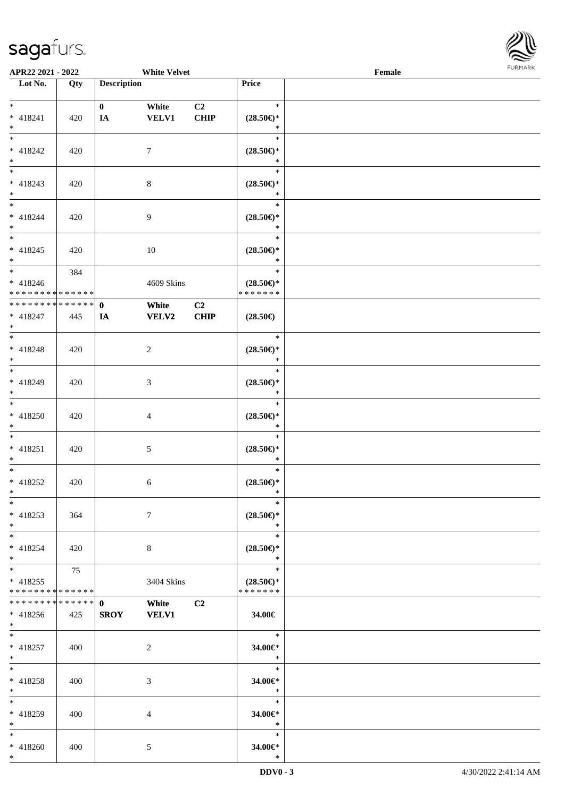\*



| APR22 2021 - 2022                          |     |                               | <b>White Velvet</b> |                |                     | Female |  |
|--------------------------------------------|-----|-------------------------------|---------------------|----------------|---------------------|--------|--|
| Lot No.                                    | Qty | <b>Description</b>            |                     |                | Price               |        |  |
|                                            |     |                               |                     |                |                     |        |  |
| $*$                                        |     | $\mathbf{0}$                  | White               | C <sub>2</sub> | $\ast$              |        |  |
| $* 418241$                                 | 420 | IA                            | <b>VELV1</b>        | <b>CHIP</b>    | $(28.50\epsilon)$ * |        |  |
| $*$                                        |     |                               |                     |                | $\ast$              |        |  |
| $*$                                        |     |                               |                     |                | $\ast$              |        |  |
| $* 418242$                                 | 420 |                               | $\tau$              |                | $(28.50\epsilon)$ * |        |  |
| $\ast$                                     |     |                               |                     |                | $\ast$              |        |  |
|                                            |     |                               |                     |                | $\ast$              |        |  |
| $* 418243$                                 | 420 |                               | $\,8\,$             |                | $(28.50\epsilon)$ * |        |  |
| $\ast$                                     |     |                               |                     |                | $\ast$              |        |  |
| $*$                                        |     |                               |                     |                | $\ast$              |        |  |
| * 418244                                   | 420 |                               | $\overline{9}$      |                | $(28.50\epsilon)$ * |        |  |
| $*$                                        |     |                               |                     |                | $\ast$              |        |  |
| $\overline{\ast}$                          |     |                               |                     |                | $\ast$              |        |  |
| $* 418245$                                 | 420 |                               | 10                  |                | $(28.50\epsilon)$ * |        |  |
| $\ast$                                     |     |                               |                     |                | $\ast$              |        |  |
|                                            | 384 |                               |                     |                | $\ast$              |        |  |
| $* 418246$                                 |     |                               | 4609 Skins          |                | $(28.50\epsilon)$ * |        |  |
| * * * * * * * * <mark>* * * * * * *</mark> |     |                               |                     |                | * * * * * * *       |        |  |
| * * * * * * * * * * * * * * *              |     | $\mathbf{0}$                  | White               | C2             |                     |        |  |
| * 418247                                   | 445 | IA                            | <b>VELV2</b>        | CHIP           | $(28.50\epsilon)$   |        |  |
| $*$                                        |     |                               |                     |                |                     |        |  |
| $\overline{\ast}$                          |     |                               |                     |                | $\ast$              |        |  |
| * 418248                                   | 420 |                               | 2                   |                | $(28.50\epsilon)$ * |        |  |
| $\ast$                                     |     |                               |                     |                | $\ast$              |        |  |
| $*$                                        |     |                               |                     |                | $\ast$              |        |  |
| * 418249                                   | 420 |                               | 3                   |                | $(28.50\epsilon)$ * |        |  |
| $*$                                        |     |                               |                     |                | $\ast$              |        |  |
| $\ast$                                     |     |                               |                     |                | $\ast$              |        |  |
| $* 418250$                                 | 420 |                               | $\overline{4}$      |                | $(28.50\epsilon)$ * |        |  |
| $*$                                        |     |                               |                     |                | $\ast$              |        |  |
| $*$                                        |     |                               |                     |                | $\ast$              |        |  |
| $* 418251$                                 | 420 |                               | 5                   |                | $(28.50\epsilon)$ * |        |  |
| $\ast$                                     |     |                               |                     |                | $\ast$              |        |  |
| $*$                                        |     |                               |                     |                | $\ast$              |        |  |
| * 418252                                   | 420 |                               | 6                   |                | $(28.50\epsilon)$ * |        |  |
| $\ast$                                     |     |                               |                     |                | $\ast$              |        |  |
| $*$                                        |     |                               |                     |                | $\ast$              |        |  |
| $* 418253$                                 | 364 |                               | $7\phantom{.0}$     |                | $(28.50\epsilon)$ * |        |  |
| $*$                                        |     |                               |                     |                | $\ast$              |        |  |
| $*$ $-$                                    |     |                               |                     |                | $\ast$              |        |  |
| $* 418254$                                 | 420 |                               | 8                   |                | $(28.50\epsilon)$ * |        |  |
| $\ast$                                     |     |                               |                     |                | $\ast$              |        |  |
| $\ddot{x}$                                 | 75  |                               |                     |                | $\ast$              |        |  |
| $* 418255$                                 |     |                               | 3404 Skins          |                | $(28.50\epsilon)$ * |        |  |
| * * * * * * * * <mark>* * * * * * *</mark> |     |                               |                     |                | * * * * * * *       |        |  |
| * * * * * * * * <mark>* * * * * * *</mark> |     | $\mathbf{0}$ and $\mathbf{0}$ | <b>White</b>        | C <sub>2</sub> |                     |        |  |
| * 418256                                   | 425 | <b>SROY</b>                   | <b>VELV1</b>        |                | 34.00€              |        |  |
| $*$ $-$                                    |     |                               |                     |                |                     |        |  |
| $\overline{\mathbf{r}}$                    |     |                               |                     |                | $\ddot{x}$          |        |  |
| $* 418257$                                 | 400 |                               | 2                   |                | 34.00€*             |        |  |
| $*$                                        |     |                               |                     |                | $*$                 |        |  |
| $*$ $-$                                    |     |                               |                     |                | $\ast$              |        |  |
| * 418258                                   | 400 |                               | 3                   |                | 34.00€*             |        |  |
| $\ast$                                     |     |                               |                     |                | $\ast$              |        |  |
| $\ddot{x}$                                 |     |                               |                     |                | $\ast$              |        |  |
| * 418259                                   | 400 |                               | $\overline{4}$      |                | 34.00€*             |        |  |
| $*$                                        |     |                               |                     |                | $\ast$              |        |  |
| $*$                                        |     |                               |                     |                | $\ast$              |        |  |
| $* 418260$                                 | 400 |                               | 5                   |                | 34.00€*             |        |  |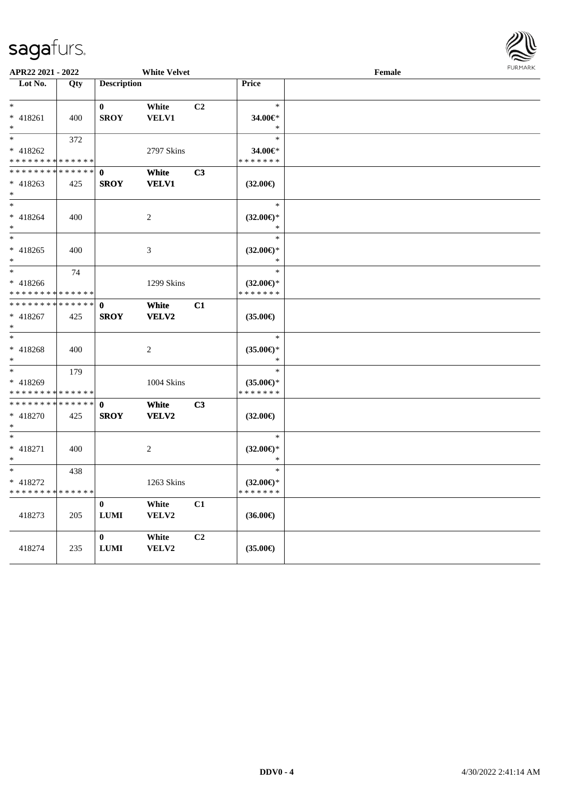

| APR22 2021 - 2022                          |             |                    | <b>White Velvet</b> |                |                     | Female |  |  |
|--------------------------------------------|-------------|--------------------|---------------------|----------------|---------------------|--------|--|--|
| Lot No.                                    | Qty         | <b>Description</b> |                     |                | <b>Price</b>        |        |  |  |
|                                            |             |                    |                     |                |                     |        |  |  |
| $*$ $-$                                    |             | $\bf{0}$           | White               | C <sub>2</sub> | $\ast$              |        |  |  |
| $* 418261$                                 | 400         | <b>SROY</b>        | VELV1               |                | 34.00€*             |        |  |  |
| $*$                                        |             |                    |                     |                | $\ast$<br>$\ast$    |        |  |  |
| $*$ $-$                                    | 372         |                    |                     |                |                     |        |  |  |
| $* 418262$                                 |             |                    | 2797 Skins          |                | 34.00€*             |        |  |  |
| * * * * * * * * * * * * * *                |             |                    |                     |                | * * * * * * *       |        |  |  |
| * * * * * * * * * * * * * *                |             | $\mathbf 0$        | White               | C <sub>3</sub> |                     |        |  |  |
| $* 418263$                                 | 425         | <b>SROY</b>        | <b>VELV1</b>        |                | $(32.00\epsilon)$   |        |  |  |
| $\ast$                                     |             |                    |                     |                |                     |        |  |  |
| $*$                                        |             |                    |                     |                | $\ast$              |        |  |  |
| $* 418264$                                 | 400         |                    | $\overline{c}$      |                | $(32.00\epsilon)$ * |        |  |  |
| $\ast$                                     |             |                    |                     |                | $\ast$              |        |  |  |
| $*$                                        |             |                    |                     |                | $\ast$              |        |  |  |
| $* 418265$                                 | 400         |                    | 3                   |                | $(32.00\epsilon)$ * |        |  |  |
| $\ast$                                     |             |                    |                     |                | $\ast$              |        |  |  |
| $*$ $-$                                    | 74          |                    |                     |                | $\ast$              |        |  |  |
| $* 418266$                                 |             |                    | 1299 Skins          |                | $(32.00\epsilon)$ * |        |  |  |
| * * * * * * * *                            | * * * * * * |                    |                     |                | * * * * * * *       |        |  |  |
| * * * * * * * * <mark>* * * * * * *</mark> |             | $\mathbf 0$        | <b>White</b>        | C1             |                     |        |  |  |
| $* 418267$                                 | 425         | <b>SROY</b>        | VELV2               |                | $(35.00\epsilon)$   |        |  |  |
| $*$                                        |             |                    |                     |                |                     |        |  |  |
| $*$                                        |             |                    |                     |                | $\ast$              |        |  |  |
| $* 418268$                                 | 400         |                    | $\overline{c}$      |                | $(35.00\epsilon)$ * |        |  |  |
| $\ast$                                     |             |                    |                     |                | $\ast$              |        |  |  |
| $*$                                        | 179         |                    |                     |                | $\ast$              |        |  |  |
| * 418269                                   |             |                    | 1004 Skins          |                | $(35.00\epsilon)$ * |        |  |  |
| * * * * * * * * <mark>* * * * * * *</mark> |             |                    |                     |                | * * * * * * *       |        |  |  |
| * * * * * * * *                            | * * * * * * | $\mathbf{0}$       | White               | C <sub>3</sub> |                     |        |  |  |
| * 418270                                   | 425         | <b>SROY</b>        | VELV2               |                | $(32.00\epsilon)$   |        |  |  |
| $\ast$                                     |             |                    |                     |                |                     |        |  |  |
| $*$                                        |             |                    |                     |                | $\ast$              |        |  |  |
| * 418271                                   | 400         |                    | $\overline{c}$      |                | $(32.00\epsilon)$ * |        |  |  |
| $*$                                        |             |                    |                     |                | $\ast$              |        |  |  |
| $*$                                        | 438         |                    |                     |                | $\ast$              |        |  |  |
| * 418272                                   |             |                    | 1263 Skins          |                | $(32.00\epsilon)$ * |        |  |  |
| * * * * * * * *                            | * * * * * * |                    |                     |                | * * * * * * *       |        |  |  |
|                                            |             | $\boldsymbol{0}$   | White               | C1             |                     |        |  |  |
| 418273                                     | 205         | ${\bf LUMI}$       | VELV2               |                | $(36.00\epsilon)$   |        |  |  |
|                                            |             |                    |                     |                |                     |        |  |  |
|                                            |             | $\bf{0}$           | White               | C2             |                     |        |  |  |
| 418274                                     | 235         | ${\bf LUMI}$       | VELV2               |                | $(35.00\epsilon)$   |        |  |  |
|                                            |             |                    |                     |                |                     |        |  |  |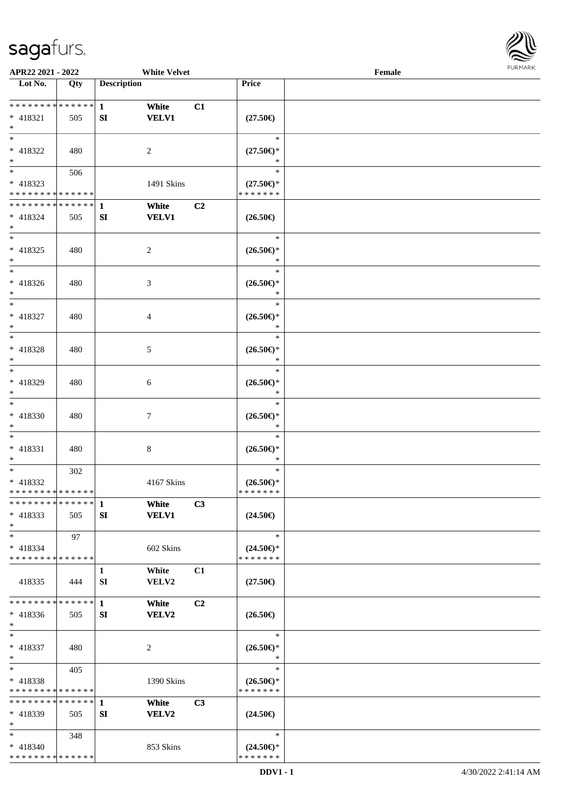\* \* \* \* \* \* \* \* \* \* \* \* \* \*



| APR22 2021 - 2022                          |     |                    | <b>White Velvet</b> |                |                                      | Female |  |
|--------------------------------------------|-----|--------------------|---------------------|----------------|--------------------------------------|--------|--|
| Lot No.                                    | Qty | <b>Description</b> |                     |                | Price                                |        |  |
|                                            |     |                    |                     |                |                                      |        |  |
| * * * * * * * * <mark>* * * * * * *</mark> |     | $\mathbf{1}$       | White               | C1             |                                      |        |  |
| * 418321                                   | 505 | SI                 | <b>VELV1</b>        |                | $(27.50\epsilon)$                    |        |  |
| $\ast$                                     |     |                    |                     |                |                                      |        |  |
| $*$                                        |     |                    |                     |                | $\ast$                               |        |  |
| * 418322                                   | 480 |                    | 2                   |                | $(27.50\epsilon)$ *                  |        |  |
| $*$<br>$*$                                 |     |                    |                     |                |                                      |        |  |
|                                            | 506 |                    |                     |                | $\ast$                               |        |  |
| * 418323                                   |     |                    | 1491 Skins          |                | $(27.50\epsilon)$ *                  |        |  |
| * * * * * * * * * * * * * *                |     |                    |                     |                | * * * * * * *                        |        |  |
| ******** <mark>******</mark>               |     | $\mathbf{1}$       | White               | C <sub>2</sub> |                                      |        |  |
| * 418324                                   | 505 | SI                 | <b>VELV1</b>        |                | $(26.50\epsilon)$                    |        |  |
| $*$<br>$*$                                 |     |                    |                     |                |                                      |        |  |
|                                            |     |                    |                     |                | $\ast$                               |        |  |
| $* 418325$                                 | 480 |                    | 2                   |                | $(26.50\epsilon)$ *                  |        |  |
| $*$<br>$*$                                 |     |                    |                     |                | *<br>$\ast$                          |        |  |
|                                            |     |                    |                     |                |                                      |        |  |
| $* 418326$                                 | 480 |                    | 3                   |                | $(26.50\epsilon)$ *<br>$\ast$        |        |  |
| $*$<br>$*$                                 |     |                    |                     |                | $\ast$                               |        |  |
|                                            |     |                    |                     |                |                                      |        |  |
| * 418327<br>$*$                            | 480 |                    | 4                   |                | $(26.50\epsilon)$ *<br>$\ast$        |        |  |
|                                            |     |                    |                     |                | $\ast$                               |        |  |
|                                            |     |                    |                     |                |                                      |        |  |
| * 418328<br>$\ast$                         | 480 |                    | 5                   |                | $(26.50\epsilon)$ *<br>$\ast$        |        |  |
| $*$                                        |     |                    |                     |                | $\ast$                               |        |  |
| * 418329                                   | 480 |                    | 6                   |                | $(26.50\epsilon)$ *                  |        |  |
| $*$                                        |     |                    |                     |                | *                                    |        |  |
| $*$                                        |     |                    |                     |                | $\ast$                               |        |  |
| * 418330                                   | 480 |                    | 7                   |                | $(26.50\epsilon)$ *                  |        |  |
| $*$                                        |     |                    |                     |                | $\ast$                               |        |  |
| $*$                                        |     |                    |                     |                | $\ast$                               |        |  |
| $* 418331$                                 | 480 |                    | 8                   |                | $(26.50\epsilon)$ *                  |        |  |
| $*$                                        |     |                    |                     |                | *                                    |        |  |
| $*$                                        | 302 |                    |                     |                | $\ast$                               |        |  |
| * 418332                                   |     |                    | 4167 Skins          |                | $(26.50\epsilon)$ *                  |        |  |
| * * * * * * * * * * * * * *                |     |                    |                     |                | * * * * * * *                        |        |  |
| * * * * * * * * * * * * * * *              |     | $\mathbf 1$        | White               | C3             |                                      |        |  |
| $* 418333$                                 | 505 | SI                 | <b>VELV1</b>        |                | $(24.50\epsilon)$                    |        |  |
| $*$                                        |     |                    |                     |                |                                      |        |  |
| $*$                                        | 97  |                    |                     |                | $\ast$                               |        |  |
| $* 418334$                                 |     |                    | 602 Skins           |                | $(24.50\epsilon)$ *                  |        |  |
| * * * * * * * * * * * * * *                |     |                    |                     |                | * * * * * * *                        |        |  |
|                                            |     | 1                  | White               | C1             |                                      |        |  |
| 418335                                     | 444 | SI                 | VELV2               |                | $(27.50\epsilon)$                    |        |  |
|                                            |     |                    |                     |                |                                      |        |  |
| * * * * * * * * * * * * * * *              |     | $\mathbf{1}$       | White               | C2             |                                      |        |  |
| $* 418336$                                 | 505 | SI                 | <b>VELV2</b>        |                | $(26.50\epsilon)$                    |        |  |
| $*$                                        |     |                    |                     |                |                                      |        |  |
| $*$                                        |     |                    |                     |                | $\ast$                               |        |  |
| * 418337                                   | 480 |                    | 2                   |                | $(26.50\epsilon)$ *                  |        |  |
| $*$                                        |     |                    |                     |                | $\ast$<br>$\ast$                     |        |  |
| $*$                                        | 405 |                    |                     |                |                                      |        |  |
| * 418338<br>* * * * * * * * * * * * * *    |     |                    | 1390 Skins          |                | $(26.50\epsilon)$ *<br>* * * * * * * |        |  |
| * * * * * * * * * * * * * * *              |     |                    |                     |                |                                      |        |  |
|                                            |     | 1                  | White               | C3             |                                      |        |  |
| * 418339<br>$*$                            | 505 | SI                 | <b>VELV2</b>        |                | $(24.50\epsilon)$                    |        |  |
| $*$                                        |     |                    |                     |                | $\ast$                               |        |  |
| * 418340                                   | 348 |                    | 853 Skins           |                | $(24.50\epsilon)$ *                  |        |  |
|                                            |     |                    |                     |                |                                      |        |  |

\* \* \* \* \* \* \*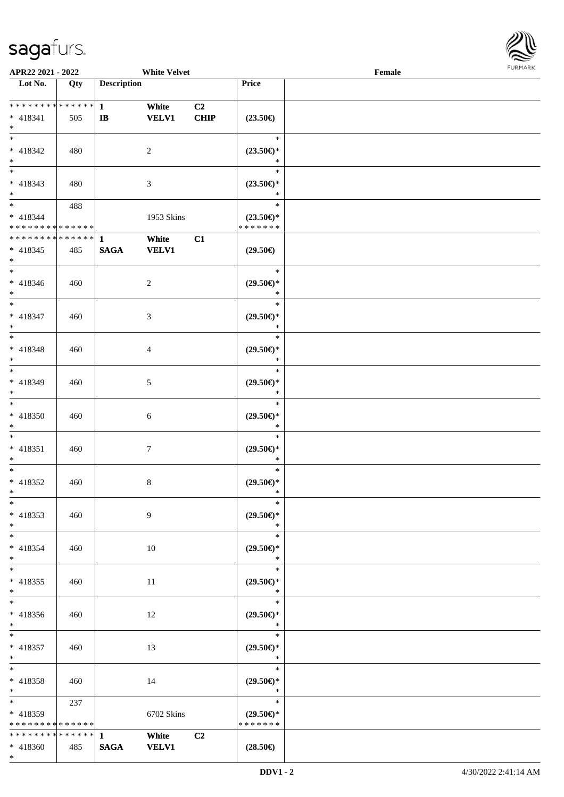\*



| APR22 2021 - 2022                                |     | <b>White Velvet</b>          |                       |                   |                                                | Female |  |  |
|--------------------------------------------------|-----|------------------------------|-----------------------|-------------------|------------------------------------------------|--------|--|--|
| Lot No.                                          | Qty | <b>Description</b>           |                       |                   | Price                                          |        |  |  |
| ******** <mark>******</mark><br>* 418341<br>$*$  | 505 | $\mathbf{1}$<br>$\mathbf{I}$ | White<br><b>VELV1</b> | C2<br><b>CHIP</b> | $(23.50\epsilon)$                              |        |  |  |
| $*$<br>$* 418342$<br>$*$                         | 480 |                              | $\overline{c}$        |                   | $\ast$<br>$(23.50\epsilon)$ *<br>$\ast$        |        |  |  |
| $\overline{\phantom{0}}$<br>$* 418343$<br>$*$    | 480 |                              | $\mathfrak{Z}$        |                   | $\ast$<br>$(23.50\epsilon)$ *<br>$\ast$        |        |  |  |
| $*$<br>* 418344<br>* * * * * * * * * * * * * *   | 488 |                              | 1953 Skins            |                   | $\ast$<br>$(23.50\epsilon)$ *<br>* * * * * * * |        |  |  |
| * * * * * * * * * * * * * *<br>$* 418345$<br>$*$ | 485 | $\mathbf{1}$<br><b>SAGA</b>  | White<br><b>VELV1</b> | C1                | $(29.50\epsilon)$                              |        |  |  |
| $*$<br>$* 418346$<br>$\ast$                      | 460 |                              | 2                     |                   | $\ast$<br>$(29.50\epsilon)$ *<br>$\ast$        |        |  |  |
| $*$<br>$* 418347$<br>$*$                         | 460 |                              | 3                     |                   | $\ast$<br>$(29.50\epsilon)$ *<br>$\ast$        |        |  |  |
| $\overline{\phantom{0}}$<br>* 418348<br>$*$      | 460 |                              | 4                     |                   | $\ast$<br>$(29.50\epsilon)$ *<br>$\ast$        |        |  |  |
| $*$<br>$* 418349$<br>$*$                         | 460 |                              | 5                     |                   | $\ast$<br>$(29.50\epsilon)$ *<br>$\ast$        |        |  |  |
| $*$<br>$* 418350$<br>$*$                         | 460 |                              | 6                     |                   | $\ast$<br>$(29.50\epsilon)$ *<br>$\ast$        |        |  |  |
| $*$<br>$* 418351$<br>$*$                         | 460 |                              | 7                     |                   | $\ast$<br>$(29.50\epsilon)$ *<br>$\ast$        |        |  |  |
| $*$<br>$* 418352$<br>$\ast$                      | 460 |                              | 8                     |                   | $\ast$<br>$(29.50\epsilon)$ *<br>$\ast$        |        |  |  |
| $\ast$<br>* 418353<br>$*$                        | 460 |                              | 9                     |                   | $\ast$<br>$(29.50\epsilon)$ *<br>$\ast$        |        |  |  |
| $\overline{\ast}$<br>* 418354<br>$*$             | 460 |                              | $10\,$                |                   | $\ast$<br>$(29.50\epsilon)$ *<br>$\ast$        |        |  |  |
| $\overline{\ast}$<br>$* 418355$<br>$*$           | 460 |                              | $11\,$                |                   | $\ast$<br>$(29.50\epsilon)$ *<br>$\ast$        |        |  |  |
| $\ast$<br>* 418356<br>$*$                        | 460 |                              | 12                    |                   | $\ast$<br>$(29.50\epsilon)$ *<br>$\ast$        |        |  |  |
| $*$<br>$* 418357$<br>$*$                         | 460 |                              | 13                    |                   | $\ast$<br>$(29.50\epsilon)$ *<br>$\ast$        |        |  |  |
| $*$<br>* 418358<br>$*$                           | 460 |                              | 14                    |                   | $\ast$<br>$(29.50\epsilon)$ *<br>$\ast$        |        |  |  |
| $*$<br>* 418359<br>* * * * * * * * * * * * * *   | 237 |                              | 6702 Skins            |                   | $\ast$<br>$(29.50\epsilon)$ *<br>* * * * * * * |        |  |  |
| * * * * * * * * * * * * * * *<br>* 418360        | 485 | $\mathbf{1}$<br><b>SAGA</b>  | White<br><b>VELV1</b> | C2                | $(28.50\epsilon)$                              |        |  |  |
|                                                  |     |                              |                       |                   |                                                |        |  |  |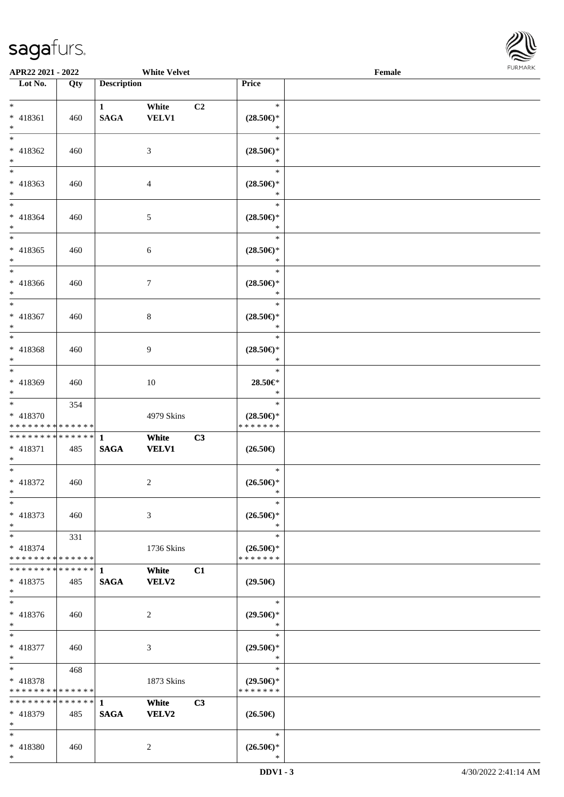\*



| APR22 2021 - 2022                                     |     |                              | <b>White Velvet</b>   |    |                                                              | $\ensuremath{\textnormal{\textbf{Female}}}$ | <b>FURMARK</b> |
|-------------------------------------------------------|-----|------------------------------|-----------------------|----|--------------------------------------------------------------|---------------------------------------------|----------------|
| Lot No.                                               | Qty | <b>Description</b>           |                       |    | Price                                                        |                                             |                |
| $*$<br>* 418361                                       | 460 | $1 \quad$<br>$\mathbf{SAGA}$ | White<br><b>VELV1</b> | C2 | $\ast$<br>$(28.50\epsilon)$ *                                |                                             |                |
| $\ast$<br>$\overline{\phantom{a}^*}$<br>* 418362      | 460 |                              | 3                     |    | $\ast$<br>$\ast$<br>$(28.50\epsilon)$ *                      |                                             |                |
| $\ast$<br>$\overline{\phantom{0}}$<br>$* 418363$      | 460 |                              | $\overline{4}$        |    | $\ast$<br>$\ast$<br>$(28.50\epsilon)$ *                      |                                             |                |
| $*$<br>$\overline{\ast}$<br>$* 418364$                | 460 |                              | $\sqrt{5}$            |    | $\ast$<br>$\ast$<br>$(28.50\epsilon)$ *                      |                                             |                |
| $*$<br>$*$<br>$* 418365$                              | 460 |                              | $\sqrt{6}$            |    | $\ast$<br>$\ast$<br>$(28.50\epsilon)$ *<br>$\ast$            |                                             |                |
| $*$<br>$\ast$<br>$* 418366$<br>$*$                    | 460 |                              | $\tau$                |    | $\ast$<br>$(28.50\epsilon)$ *<br>$\ast$                      |                                             |                |
| $\overline{\phantom{0}}$<br>$* 418367$<br>$*$         | 460 |                              | $\,8\,$               |    | $\ast$<br>$(28.50\epsilon)$ *<br>$\ast$                      |                                             |                |
| $*$<br>* 418368<br>$\ast$                             | 460 |                              | 9                     |    | $\ast$<br>$(28.50\epsilon)$ *<br>$\ast$                      |                                             |                |
| $\overline{\phantom{0}}$<br>* 418369<br>$*$           | 460 |                              | 10                    |    | $\ast$<br>28.50€*<br>$\ast$                                  |                                             |                |
| $*$<br>$* 418370$<br>* * * * * * * * * * * * * *      | 354 |                              | 4979 Skins            |    | $\ast$<br>$(28.50\epsilon)$ *<br>* * * * * * *               |                                             |                |
| * * * * * * * * * * * * * * *<br>$* 418371$<br>$\ast$ | 485 | $\mathbf{1}$<br><b>SAGA</b>  | White<br><b>VELV1</b> | C3 | $(26.50\epsilon)$                                            |                                             |                |
| $\overline{\phantom{0}}$<br>$* 418372$<br>$\ast$      | 460 |                              | $\overline{c}$        |    | $\ast$<br>$(26.50\epsilon)$ *<br>$\ast$                      |                                             |                |
| $\ast$<br>* 418373<br>$\ast$                          | 460 |                              | $\mathfrak{Z}$        |    | $\ast$<br>$(26.50\epsilon)$ *<br>$\ast$                      |                                             |                |
| $*$<br>* 418374<br>* * * * * * * * * * * * * *        | 331 |                              | 1736 Skins            |    | $\ast$<br>$(26.50\epsilon)$ *<br>* * * * * * *               |                                             |                |
| * * * * * * * * * * * * * * *<br>$* 418375$<br>$\ast$ | 485 | 1<br><b>SAGA</b>             | White<br><b>VELV2</b> | C1 | $(29.50\epsilon)$                                            |                                             |                |
| $_{\ast}^{-}$<br>* 418376<br>$\ast$                   | 460 |                              | $\overline{c}$        |    | $\ast$<br>$(29.50\epsilon)$ *<br>$\ast$                      |                                             |                |
| $\ast$<br>* 418377<br>$\ast$                          | 460 |                              | $\mathfrak{Z}$        |    | $\ast$<br>$(29.50\epsilon)$ *<br>$\ast$                      |                                             |                |
| $\ast$<br>* 418378<br>* * * * * * * * * * * * * *     | 468 |                              | 1873 Skins            |    | $\ast$<br>$(29.50\epsilon)$ *<br>* * * * * * *               |                                             |                |
| * * * * * * * * * * * * * *<br>$* 418379$<br>$\ast$   | 485 | $\mathbf{1}$<br><b>SAGA</b>  | White<br><b>VELV2</b> | C3 | $(26.50\epsilon)$                                            |                                             |                |
| $\ast$<br>* 418380                                    | 460 |                              | $\overline{2}$        |    | $\ast$<br>$(26.50\mathnormal{\in}\mathcal{)^{\! \! \times}}$ |                                             |                |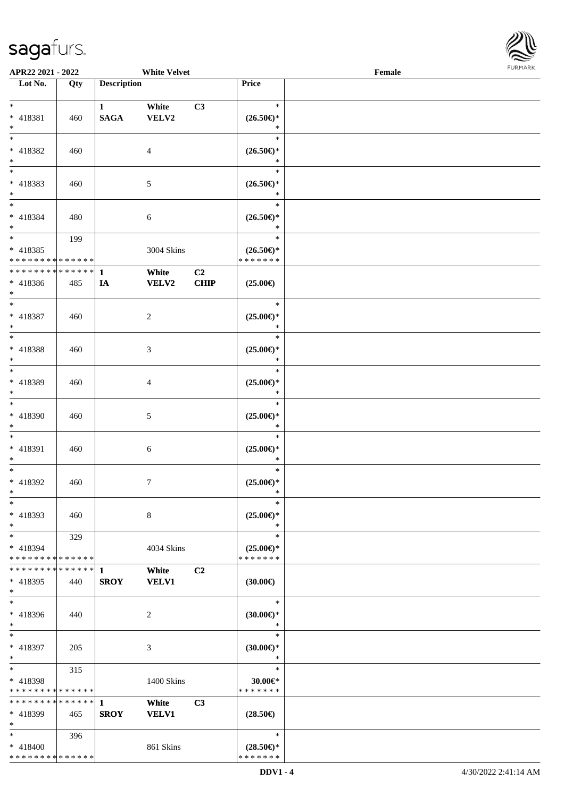\* \* \* \* \* \* \* \* \* \* \* \* \* \*



| APR22 2021 - 2022                          |             |                    | <b>White Velvet</b> |                |                               | Female |  |
|--------------------------------------------|-------------|--------------------|---------------------|----------------|-------------------------------|--------|--|
| Lot No.                                    | Qty         | <b>Description</b> |                     |                | Price                         |        |  |
|                                            |             |                    |                     |                |                               |        |  |
| $*$                                        |             | $\mathbf{1}$       | White               | C3             | $\ast$                        |        |  |
| * 418381                                   | 460         | <b>SAGA</b>        | VELV2               |                | $(26.50\epsilon)$ *           |        |  |
| $*$                                        |             |                    |                     |                | $\ast$                        |        |  |
| $\overline{\ast}$                          |             |                    |                     |                | $\ast$                        |        |  |
| * 418382                                   | 460         |                    | $\overline{4}$      |                | $(26.50\epsilon)$ *           |        |  |
| $*$                                        |             |                    |                     |                | $\ast$                        |        |  |
|                                            |             |                    |                     |                | $\ast$                        |        |  |
| * 418383                                   | 460         |                    | 5                   |                | $(26.50\epsilon)$ *           |        |  |
| $*$                                        |             |                    |                     |                | $\ast$                        |        |  |
| $*$                                        |             |                    |                     |                | $\ast$                        |        |  |
|                                            |             |                    |                     |                |                               |        |  |
| * 418384                                   | 480         |                    | 6                   |                | $(26.50\epsilon)$ *           |        |  |
| $\ast$<br>$\overline{\ast}$                |             |                    |                     |                | $\ast$<br>$\ast$              |        |  |
|                                            | 199         |                    |                     |                |                               |        |  |
| * 418385                                   |             |                    | 3004 Skins          |                | $(26.50\epsilon)$ *           |        |  |
| * * * * * * * * <mark>* * * * * * *</mark> |             |                    |                     |                | * * * * * * *                 |        |  |
| * * * * * * * * <mark>* * * * * * *</mark> |             | $\mathbf{1}$       | White               | C <sub>2</sub> |                               |        |  |
| * 418386                                   | 485         | IA                 | VELV2               | CHIP           | $(25.00\epsilon)$             |        |  |
| $*$                                        |             |                    |                     |                |                               |        |  |
| $\overline{\ast}$                          |             |                    |                     |                | $\ast$                        |        |  |
| * 418387                                   | 460         |                    | 2                   |                | $(25.00\epsilon)$ *           |        |  |
| $*$                                        |             |                    |                     |                | $\ast$                        |        |  |
| $\overline{\ast}$                          |             |                    |                     |                | $\ast$                        |        |  |
| * 418388                                   | 460         |                    | 3                   |                | $(25.00\epsilon)$ *           |        |  |
| $\ast$                                     |             |                    |                     |                | $\ast$                        |        |  |
|                                            |             |                    |                     |                | $\ast$                        |        |  |
| * 418389                                   | 460         |                    | $\overline{4}$      |                | $(25.00\epsilon)$ *           |        |  |
| $\ast$                                     |             |                    |                     |                | $\ast$                        |        |  |
| $\overline{\ast}$                          |             |                    |                     |                | $\ast$                        |        |  |
| * 418390                                   | 460         |                    | 5                   |                | $(25.00\epsilon)$ *           |        |  |
| $\ast$                                     |             |                    |                     |                | $\ast$                        |        |  |
| $*$                                        |             |                    |                     |                | $\ast$                        |        |  |
| * 418391                                   |             |                    |                     |                |                               |        |  |
| $\ast$                                     | 460         |                    | 6                   |                | $(25.00\epsilon)$ *<br>$\ast$ |        |  |
| $*$                                        |             |                    |                     |                | $\ast$                        |        |  |
|                                            |             |                    |                     |                |                               |        |  |
| * 418392                                   | 460         |                    | $\tau$              |                | $(25.00\epsilon)$ *           |        |  |
| $*$                                        |             |                    |                     |                | $\ast$                        |        |  |
| $\ast$                                     |             |                    |                     |                | $\ast$                        |        |  |
| * 418393                                   | 460         |                    | 8                   |                | $(25.00\epsilon)$ *           |        |  |
| $*$                                        |             |                    |                     |                | ∗                             |        |  |
| $*$ $-$                                    | 329         |                    |                     |                | $\ast$                        |        |  |
| * 418394                                   |             |                    | 4034 Skins          |                | $(25.00\epsilon)$ *           |        |  |
| * * * * * * * * <mark>* * * * * * *</mark> |             |                    |                     |                | * * * * * * *                 |        |  |
| * * * * * * * *                            | $*$ ***** 1 |                    | White               | C2             |                               |        |  |
| $* 418395$                                 | 440         | <b>SROY</b>        | <b>VELV1</b>        |                | $(30.00\epsilon)$             |        |  |
| $\ast$                                     |             |                    |                     |                |                               |        |  |
| $*$                                        |             |                    |                     |                | $\ast$                        |        |  |
| * 418396                                   | 440         |                    | 2                   |                | $(30.00\epsilon)$ *           |        |  |
| $*$                                        |             |                    |                     |                | $\ast$                        |        |  |
| $*$                                        |             |                    |                     |                | $\ast$                        |        |  |
| * 418397                                   | 205         |                    | 3                   |                | $(30.00\epsilon)$ *           |        |  |
| $*$                                        |             |                    |                     |                | $\ast$                        |        |  |
| $*$ $*$                                    | 315         |                    |                     |                | $\ast$                        |        |  |
| * 418398                                   |             |                    | 1400 Skins          |                | $30.00 \in$ *                 |        |  |
| * * * * * * * * <mark>* * * * * * *</mark> |             |                    |                     |                | * * * * * * *                 |        |  |
| * * * * * * * * <mark>* * * * * * *</mark> |             | $\mathbf{1}$       | White               | C3             |                               |        |  |
| * 418399                                   | 465         | <b>SROY</b>        | <b>VELV1</b>        |                | $(28.50\epsilon)$             |        |  |
| $\ast$                                     |             |                    |                     |                |                               |        |  |
| $\ddot{x}$                                 |             |                    |                     |                | $\ast$                        |        |  |
|                                            | 396         |                    |                     |                |                               |        |  |
| * 418400                                   |             |                    | 861 Skins           |                | $(28.50\epsilon)$ *           |        |  |

\* \* \* \* \* \* \*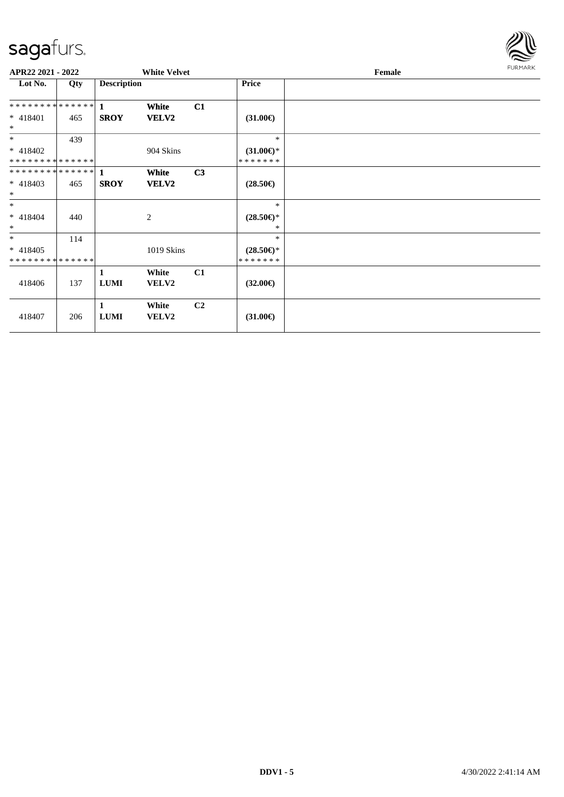

| APR22 2021 - 2022                         |     |                    | <b>White Velvet</b>   |                |                                | Female | FURMARK |
|-------------------------------------------|-----|--------------------|-----------------------|----------------|--------------------------------|--------|---------|
| Lot No.                                   | Qty | <b>Description</b> |                       |                | <b>Price</b>                   |        |         |
| **************                            |     | $\mathbf{1}$       | White                 | C1             |                                |        |         |
| * 418401<br>$\ast$                        | 465 | <b>SROY</b>        | VELV2                 |                | $(31.00\epsilon)$              |        |         |
| $\ast$                                    | 439 |                    |                       |                | $*$                            |        |         |
| $* 418402$<br>**************              |     |                    | 904 Skins             |                | $(31.00\epsilon)$ *<br>******* |        |         |
| **************                            |     | $\mathbf{1}$       | White                 | C <sub>3</sub> |                                |        |         |
| $* 418403$<br>$\ast$                      | 465 | <b>SROY</b>        | VELV2                 |                | $(28.50\epsilon)$              |        |         |
| $\ast$                                    |     |                    |                       |                | $*$                            |        |         |
| $* 418404$<br>$\ast$                      | 440 |                    | 2                     |                | $(28.50\epsilon)$ *<br>*       |        |         |
| $*$                                       | 114 |                    |                       |                | $*$                            |        |         |
| $* 418405$<br>* * * * * * * * * * * * * * |     |                    | 1019 Skins            |                | $(28.50\epsilon)$ *<br>******* |        |         |
| 418406                                    | 137 | 1<br>$\bf LUMI$    | White<br><b>VELV2</b> | C1             | $(32.00\epsilon)$              |        |         |
| 418407                                    | 206 | 1<br><b>LUMI</b>   | White<br><b>VELV2</b> | C <sub>2</sub> | $(31.00\epsilon)$              |        |         |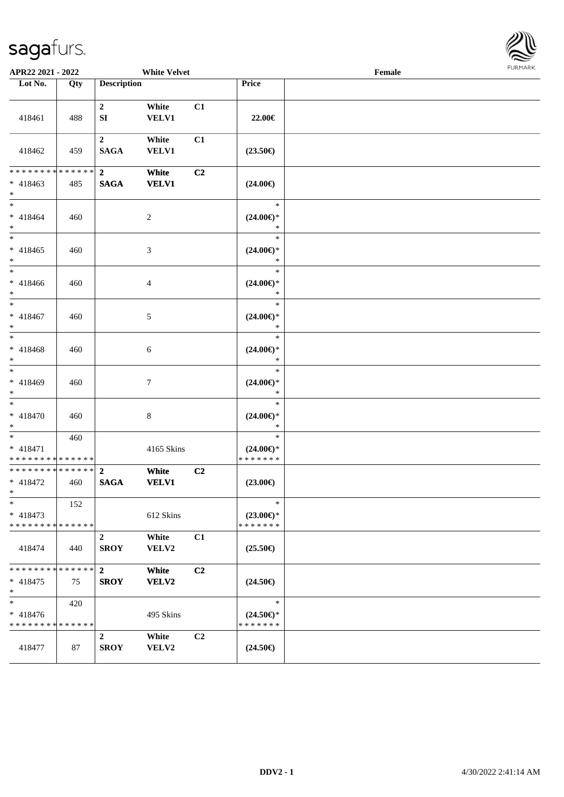

| APR22 2021 - 2022                                     |     | <b>White Velvet</b>           |                       |    |                                                | <b>FUNITANN</b><br>$\ensuremath{\textnormal{\textbf{Female}}}$ |  |  |
|-------------------------------------------------------|-----|-------------------------------|-----------------------|----|------------------------------------------------|----------------------------------------------------------------|--|--|
| Lot No.                                               | Qty | <b>Description</b>            |                       |    | Price                                          |                                                                |  |  |
| 418461                                                | 488 | $\mathbf{2}$<br>SI            | White<br><b>VELV1</b> | C1 | 22.00€                                         |                                                                |  |  |
| 418462                                                | 459 | $2^{\circ}$<br><b>SAGA</b>    | White<br><b>VELV1</b> | C1 | $(23.50\epsilon)$                              |                                                                |  |  |
| ******** <mark>******</mark><br>$* 418463$<br>$*$     | 485 | $\overline{2}$<br><b>SAGA</b> | White<br><b>VELV1</b> | C2 | $(24.00\epsilon)$                              |                                                                |  |  |
| $*$<br>$* 418464$<br>$*$                              | 460 |                               | 2                     |    | $\ast$<br>$(24.00\epsilon)$ *<br>$\ast$        |                                                                |  |  |
| $* 418465$<br>$*$                                     | 460 |                               | 3                     |    | $\ast$<br>$(24.00\epsilon)$ *<br>$\ast$        |                                                                |  |  |
| $*$<br>$* 418466$<br>$*$                              | 460 |                               | $\overline{4}$        |    | $\ast$<br>$(24.00\epsilon)$ *<br>$\ast$        |                                                                |  |  |
| $*$<br>$* 418467$<br>$*$                              | 460 |                               | 5                     |    | $\ast$<br>$(24.00\epsilon)$ *<br>$\ast$        |                                                                |  |  |
| $*$<br>* 418468<br>$*$                                | 460 |                               | 6                     |    | $\ast$<br>$(24.00\epsilon)$ *<br>$\ast$        |                                                                |  |  |
| $*$<br>* 418469<br>$*$                                | 460 |                               | $\tau$                |    | $\ast$<br>$(24.00\epsilon)$ *<br>$\ast$        |                                                                |  |  |
| $*$<br>* 418470<br>$*$                                | 460 |                               | $\,8\,$               |    | $\ast$<br>$(24.00\epsilon)$ *<br>$\ast$        |                                                                |  |  |
| $*$<br>* 418471<br>* * * * * * * * * * * * * *        | 460 |                               | 4165 Skins            |    | $\ast$<br>$(24.00\epsilon)$ *<br>* * * * * * * |                                                                |  |  |
| * * * * * * * * * * * * * * *<br>$* 418472$<br>$\ast$ | 460 | $\overline{2}$<br><b>SAGA</b> | White<br><b>VELV1</b> | C2 | $(23.00\epsilon)$                              |                                                                |  |  |
| $\ast$<br>$* 418473$<br>* * * * * * * * * * * * * *   | 152 |                               | 612 Skins             |    | $\ast$<br>$(23.00\epsilon)$ *<br>* * * * * * * |                                                                |  |  |
| 418474                                                | 440 | $\mathbf{2}$<br><b>SROY</b>   | White<br>VELV2        | C1 | $(25.50\epsilon)$                              |                                                                |  |  |
| * * * * * * * * * * * * * * *<br>$* 418475$<br>$*$    | 75  | $\mathbf{2}$<br><b>SROY</b>   | White<br>VELV2        | C2 | $(24.50\epsilon)$                              |                                                                |  |  |
| $\ast$<br>$* 418476$<br>* * * * * * * * * * * * * *   | 420 |                               | 495 Skins             |    | $\ast$<br>$(24.50\epsilon)$ *<br>* * * * * * * |                                                                |  |  |
| 418477                                                | 87  | $\mathbf{2}$<br><b>SROY</b>   | White<br>VELV2        | C2 | $(24.50\epsilon)$                              |                                                                |  |  |